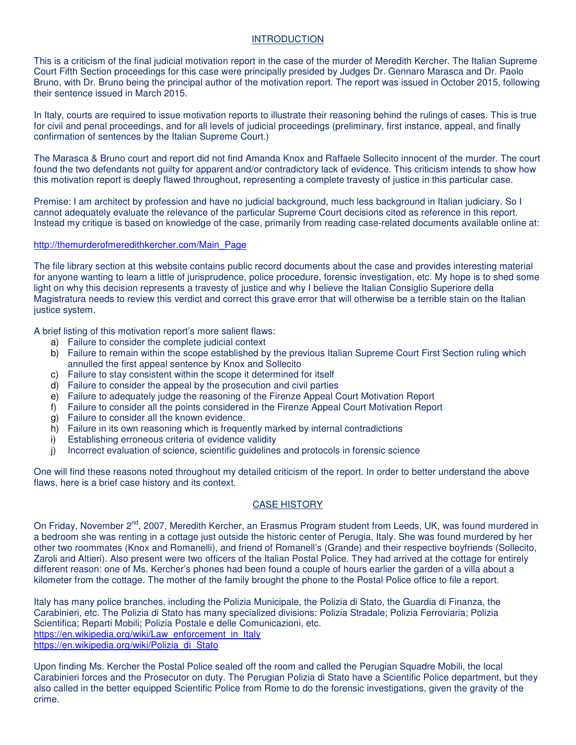### INTRODUCTION

This is a criticism of the final judicial motivation report in the case of the murder of Meredith Kercher. The Italian Supreme Court Fifth Section proceedings for this case were principally presided by Judges Dr. Gennaro Marasca and Dr. Paolo Bruno, with Dr. Bruno being the principal author of the motivation report. The report was issued in October 2015, following their sentence issued in March 2015.

In Italy, courts are required to issue motivation reports to illustrate their reasoning behind the rulings of cases. This is true for civil and penal proceedings, and for all levels of judicial proceedings (preliminary, first instance, appeal, and finally confirmation of sentences by the Italian Supreme Court.)

The Marasca & Bruno court and report did not find Amanda Knox and Raffaele Sollecito innocent of the murder. The court found the two defendants not guilty for apparent and/or contradictory lack of evidence. This criticism intends to show how this motivation report is deeply flawed throughout, representing a complete travesty of justice in this particular case.

Premise: I am architect by profession and have no judicial background, much less background in Italian judiciary. So I cannot adequately evaluate the relevance of the particular Supreme Court decisions cited as reference in this report. Instead my critique is based on knowledge of the case, primarily from reading case-related documents available online at:

### http://themurderofmeredithkercher.com/Main\_Page

The file library section at this website contains public record documents about the case and provides interesting material for anyone wanting to learn a little of jurisprudence, police procedure, forensic investigation, etc. My hope is to shed some light on why this decision represents a travesty of justice and why I believe the Italian Consiglio Superiore della Magistratura needs to review this verdict and correct this grave error that will otherwise be a terrible stain on the Italian justice system.

A brief listing of this motivation report's more salient flaws:

- a) Failure to consider the complete judicial context
- b) Failure to remain within the scope established by the previous Italian Supreme Court First Section ruling which annulled the first appeal sentence by Knox and Sollecito
- c) Failure to stay consistent within the scope it determined for itself
- d) Failure to consider the appeal by the prosecution and civil parties
- e) Failure to adequately judge the reasoning of the Firenze Appeal Court Motivation Report
- f) Failure to consider all the points considered in the Firenze Appeal Court Motivation Report
- g) Failure to consider all the known evidence.
- h) Failure in its own reasoning which is frequently marked by internal contradictions
- i) Establishing erroneous criteria of evidence validity
- j) Incorrect evaluation of science, scientific guidelines and protocols in forensic science

One will find these reasons noted throughout my detailed criticism of the report. In order to better understand the above flaws, here is a brief case history and its context.

## CASE HISTORY

On Friday, November 2<sup>nd</sup>, 2007, Meredith Kercher, an Erasmus Program student from Leeds, UK, was found murdered in a bedroom she was renting in a cottage just outside the historic center of Perugia, Italy. She was found murdered by her other two roommates (Knox and Romanelli), and friend of Romanell's (Grande) and their respective boyfriends (Sollecito, Zaroli and Altieri). Also present were two officers of the Italian Postal Police. They had arrived at the cottage for entirely different reason: one of Ms. Kercher's phones had been found a couple of hours earlier the garden of a villa about a kilometer from the cottage. The mother of the family brought the phone to the Postal Police office to file a report.

Italy has many police branches, including the Polizia Municipale, the Polizia di Stato, the Guardia di Finanza, the Carabinieri, etc. The Polizia di Stato has many specialized divisions: Polizia Stradale; Polizia Ferroviaria; Polizia Scientifica; Reparti Mobili; Polizia Postale e delle Comunicazioni, etc. https://en.wikipedia.org/wiki/Law\_enforcement\_in\_Italy https://en.wikipedia.org/wiki/Polizia\_di\_Stato

Upon finding Ms. Kercher the Postal Police sealed off the room and called the Perugian Squadre Mobili, the local Carabinieri forces and the Prosecutor on duty. The Perugian Polizia di Stato have a Scientific Police department, but they also called in the better equipped Scientific Police from Rome to do the forensic investigations, given the gravity of the crime.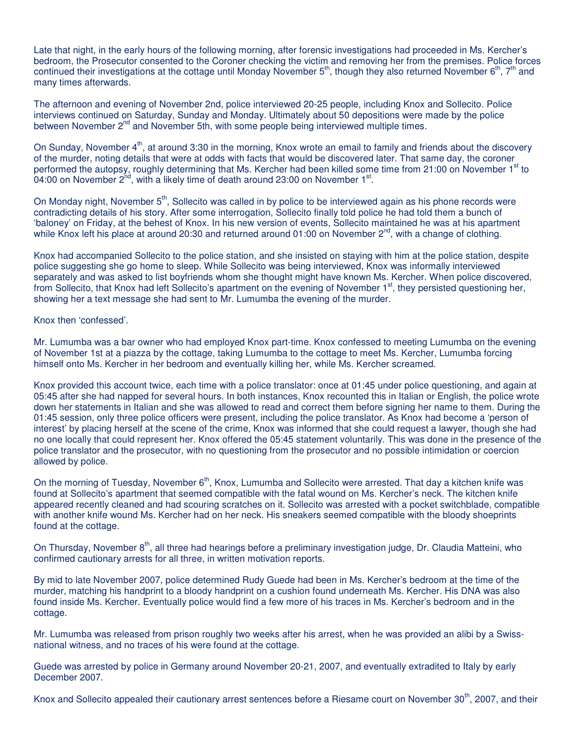Late that night, in the early hours of the following morning, after forensic investigations had proceeded in Ms. Kercher's bedroom, the Prosecutor consented to the Coroner checking the victim and removing her from the premises. Police forces continued their investigations at the cottage until Monday November  $5<sup>th</sup>$ , though they also returned November  $6<sup>th</sup>$ ,  $7<sup>th</sup>$  and many times afterwards.

The afternoon and evening of November 2nd, police interviewed 20-25 people, including Knox and Sollecito. Police interviews continued on Saturday, Sunday and Monday. Ultimately about 50 depositions were made by the police between November 2<sup>nd</sup> and November 5th, with some people being interviewed multiple times.

On Sunday, November  $4<sup>th</sup>$ , at around 3:30 in the morning, Knox wrote an email to family and friends about the discovery of the murder, noting details that were at odds with facts that would be discovered later. That same day, the coroner performed the autopsy, roughly determining that Ms. Kercher had been killed some time from 21:00 on November 1<sup>st</sup> to 04:00 on November 2<sup>nd</sup>, with a likely time of death around 23:00 on November 1<sup>st</sup>.

On Monday night, November 5<sup>th</sup>, Sollecito was called in by police to be interviewed again as his phone records were contradicting details of his story. After some interrogation, Sollecito finally told police he had told them a bunch of 'baloney' on Friday, at the behest of Knox. In his new version of events, Sollecito maintained he was at his apartment while Knox left his place at around 20:30 and returned around 01:00 on November  $2^{nd}$ , with a change of clothing.

Knox had accompanied Sollecito to the police station, and she insisted on staying with him at the police station, despite police suggesting she go home to sleep. While Sollecito was being interviewed, Knox was informally interviewed separately and was asked to list boyfriends whom she thought might have known Ms. Kercher. When police discovered, from Sollecito, that Knox had left Sollecito's apartment on the evening of November 1<sup>st</sup>, they persisted questioning her, showing her a text message she had sent to Mr. Lumumba the evening of the murder.

Knox then 'confessed'.

Mr. Lumumba was a bar owner who had employed Knox part-time. Knox confessed to meeting Lumumba on the evening of November 1st at a piazza by the cottage, taking Lumumba to the cottage to meet Ms. Kercher, Lumumba forcing himself onto Ms. Kercher in her bedroom and eventually killing her, while Ms. Kercher screamed.

Knox provided this account twice, each time with a police translator: once at 01:45 under police questioning, and again at 05:45 after she had napped for several hours. In both instances, Knox recounted this in Italian or English, the police wrote down her statements in Italian and she was allowed to read and correct them before signing her name to them. During the 01:45 session, only three police officers were present, including the police translator. As Knox had become a 'person of interest' by placing herself at the scene of the crime, Knox was informed that she could request a lawyer, though she had no one locally that could represent her. Knox offered the 05:45 statement voluntarily. This was done in the presence of the police translator and the prosecutor, with no questioning from the prosecutor and no possible intimidation or coercion allowed by police.

On the morning of Tuesday, November 6<sup>th</sup>, Knox, Lumumba and Sollecito were arrested. That day a kitchen knife was found at Sollecito's apartment that seemed compatible with the fatal wound on Ms. Kercher's neck. The kitchen knife appeared recently cleaned and had scouring scratches on it. Sollecito was arrested with a pocket switchblade, compatible with another knife wound Ms. Kercher had on her neck. His sneakers seemed compatible with the bloody shoeprints found at the cottage.

On Thursday, November 8<sup>th</sup>, all three had hearings before a preliminary investigation judge, Dr. Claudia Matteini, who confirmed cautionary arrests for all three, in written motivation reports.

By mid to late November 2007, police determined Rudy Guede had been in Ms. Kercher's bedroom at the time of the murder, matching his handprint to a bloody handprint on a cushion found underneath Ms. Kercher. His DNA was also found inside Ms. Kercher. Eventually police would find a few more of his traces in Ms. Kercher's bedroom and in the cottage.

Mr. Lumumba was released from prison roughly two weeks after his arrest, when he was provided an alibi by a Swissnational witness, and no traces of his were found at the cottage.

Guede was arrested by police in Germany around November 20-21, 2007, and eventually extradited to Italy by early December 2007.

Knox and Sollecito appealed their cautionary arrest sentences before a Riesame court on November 30<sup>th</sup>, 2007, and their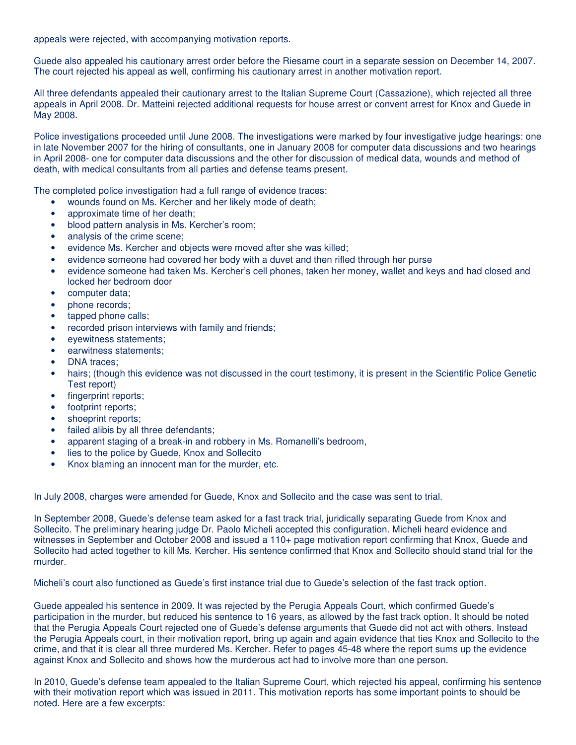appeals were rejected, with accompanying motivation reports.

Guede also appealed his cautionary arrest order before the Riesame court in a separate session on December 14, 2007. The court rejected his appeal as well, confirming his cautionary arrest in another motivation report.

All three defendants appealed their cautionary arrest to the Italian Supreme Court (Cassazione), which rejected all three appeals in April 2008. Dr. Matteini rejected additional requests for house arrest or convent arrest for Knox and Guede in May 2008.

Police investigations proceeded until June 2008. The investigations were marked by four investigative judge hearings: one in late November 2007 for the hiring of consultants, one in January 2008 for computer data discussions and two hearings in April 2008- one for computer data discussions and the other for discussion of medical data, wounds and method of death, with medical consultants from all parties and defense teams present.

The completed police investigation had a full range of evidence traces:

- wounds found on Ms. Kercher and her likely mode of death;
- approximate time of her death;
- blood pattern analysis in Ms. Kercher's room;
- analysis of the crime scene;
- evidence Ms. Kercher and objects were moved after she was killed;
- evidence someone had covered her body with a duvet and then rifled through her purse
- evidence someone had taken Ms. Kercher's cell phones, taken her money, wallet and keys and had closed and locked her bedroom door
- computer data;
- phone records;
- tapped phone calls;
- recorded prison interviews with family and friends;
- eyewitness statements;
- earwitness statements:
- DNA traces;
- hairs; (though this evidence was not discussed in the court testimony, it is present in the Scientific Police Genetic Test report)
- fingerprint reports;
- footprint reports;
- shoeprint reports;
- failed alibis by all three defendants;
- apparent staging of a break-in and robbery in Ms. Romanelli's bedroom,
- lies to the police by Guede, Knox and Sollecito
- Knox blaming an innocent man for the murder, etc.

In July 2008, charges were amended for Guede, Knox and Sollecito and the case was sent to trial.

In September 2008, Guede's defense team asked for a fast track trial, juridically separating Guede from Knox and Sollecito. The preliminary hearing judge Dr. Paolo Micheli accepted this configuration. Micheli heard evidence and witnesses in September and October 2008 and issued a 110+ page motivation report confirming that Knox, Guede and Sollecito had acted together to kill Ms. Kercher. His sentence confirmed that Knox and Sollecito should stand trial for the murder.

Micheli's court also functioned as Guede's first instance trial due to Guede's selection of the fast track option.

Guede appealed his sentence in 2009. It was rejected by the Perugia Appeals Court, which confirmed Guede's participation in the murder, but reduced his sentence to 16 years, as allowed by the fast track option. It should be noted that the Perugia Appeals Court rejected one of Guede's defense arguments that Guede did not act with others. Instead the Perugia Appeals court, in their motivation report, bring up again and again evidence that ties Knox and Sollecito to the crime, and that it is clear all three murdered Ms. Kercher. Refer to pages 45-48 where the report sums up the evidence against Knox and Sollecito and shows how the murderous act had to involve more than one person.

In 2010, Guede's defense team appealed to the Italian Supreme Court, which rejected his appeal, confirming his sentence with their motivation report which was issued in 2011. This motivation reports has some important points to should be noted. Here are a few excerpts: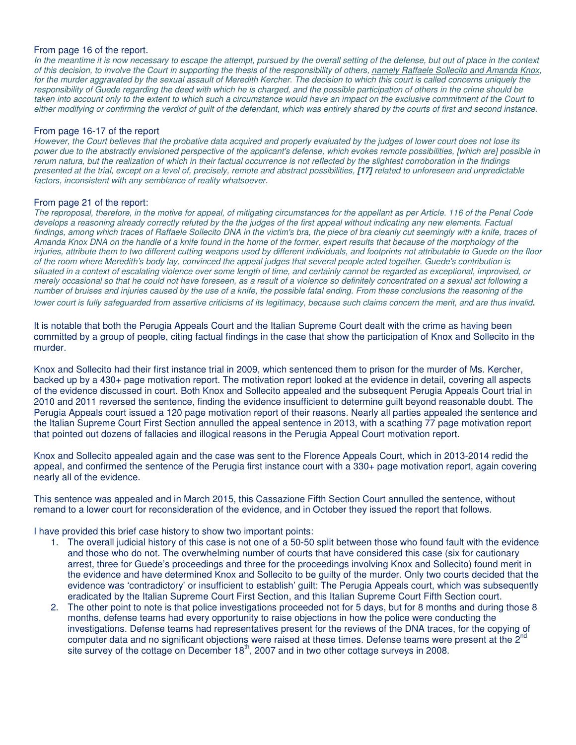#### From page 16 of the report.

*In the meantime it is now necessary to escape the attempt, pursued by the overall setting of the defense, but out of place in the context of this decision, to involve the Court in supporting the thesis of the responsibility of others, namely Raffaele Sollecito and Amanda Knox,*  for the murder aggravated by the sexual assault of Meredith Kercher. The decision to which this court is called concerns uniquely the *responsibility of Guede regarding the deed with which he is charged, and the possible participation of others in the crime should be taken into account only to the extent to which such a circumstance would have an impact on the exclusive commitment of the Court to either modifying or confirming the verdict of guilt of the defendant, which was entirely shared by the courts of first and second instance.* 

#### From page 16-17 of the report

*However, the Court believes that the probative data acquired and properly evaluated by the judges of lower court does not lose its power due to the abstractly envisioned perspective of the applicant's defense, which evokes remote possibilities, [which are] possible in rerum natura, but the realization of which in their factual occurrence is not reflected by the slightest corroboration in the findings presented at the trial, except on a level of, precisely, remote and abstract possibilities,* **[17]** *related to unforeseen and unpredictable factors, inconsistent with any semblance of reality whatsoever.* 

#### From page 21 of the report:

*The reproposal, therefore, in the motive for appeal, of mitigating circumstances for the appellant as per Article. 116 of the Penal Code develops a reasoning already correctly refuted by the the judges of the first appeal without indicating any new elements. Factual*  findings, among which traces of Raffaele Sollecito DNA in the victim's bra, the piece of bra cleanly cut seemingly with a knife, traces of *Amanda Knox DNA on the handle of a knife found in the home of the former, expert results that because of the morphology of the injuries, attribute them to two different cutting weapons used by different individuals, and footprints not attributable to Guede on the floor of the room where Meredith's body lay, convinced the appeal judges that several people acted together. Guede's contribution is situated in a context of escalating violence over some length of time, and certainly cannot be regarded as exceptional, improvised, or merely occasional so that he could not have foreseen, as a result of a violence so definitely concentrated on a sexual act following a number of bruises and injuries caused by the use of a knife, the possible fatal ending. From these conclusions the reasoning of the lower court is fully safeguarded from assertive criticisms of its legitimacy, because such claims concern the merit, and are thus invalid*.

It is notable that both the Perugia Appeals Court and the Italian Supreme Court dealt with the crime as having been committed by a group of people, citing factual findings in the case that show the participation of Knox and Sollecito in the murder.

Knox and Sollecito had their first instance trial in 2009, which sentenced them to prison for the murder of Ms. Kercher, backed up by a 430+ page motivation report. The motivation report looked at the evidence in detail, covering all aspects of the evidence discussed in court. Both Knox and Sollecito appealed and the subsequent Perugia Appeals Court trial in 2010 and 2011 reversed the sentence, finding the evidence insufficient to determine guilt beyond reasonable doubt. The Perugia Appeals court issued a 120 page motivation report of their reasons. Nearly all parties appealed the sentence and the Italian Supreme Court First Section annulled the appeal sentence in 2013, with a scathing 77 page motivation report that pointed out dozens of fallacies and illogical reasons in the Perugia Appeal Court motivation report.

Knox and Sollecito appealed again and the case was sent to the Florence Appeals Court, which in 2013-2014 redid the appeal, and confirmed the sentence of the Perugia first instance court with a 330+ page motivation report, again covering nearly all of the evidence.

This sentence was appealed and in March 2015, this Cassazione Fifth Section Court annulled the sentence, without remand to a lower court for reconsideration of the evidence, and in October they issued the report that follows.

I have provided this brief case history to show two important points:

- 1. The overall judicial history of this case is not one of a 50-50 split between those who found fault with the evidence and those who do not. The overwhelming number of courts that have considered this case (six for cautionary arrest, three for Guede's proceedings and three for the proceedings involving Knox and Sollecito) found merit in the evidence and have determined Knox and Sollecito to be guilty of the murder. Only two courts decided that the evidence was 'contradictory' or insufficient to establish' guilt: The Perugia Appeals court, which was subsequently eradicated by the Italian Supreme Court First Section, and this Italian Supreme Court Fifth Section court.
- 2. The other point to note is that police investigations proceeded not for 5 days, but for 8 months and during those 8 months, defense teams had every opportunity to raise objections in how the police were conducting the investigations. Defense teams had representatives present for the reviews of the DNA traces, for the copying of computer data and no significant objections were raised at these times. Defense teams were present at the 2<sup>nd</sup> site survey of the cottage on December 18<sup>th</sup>, 2007 and in two other cottage surveys in 2008.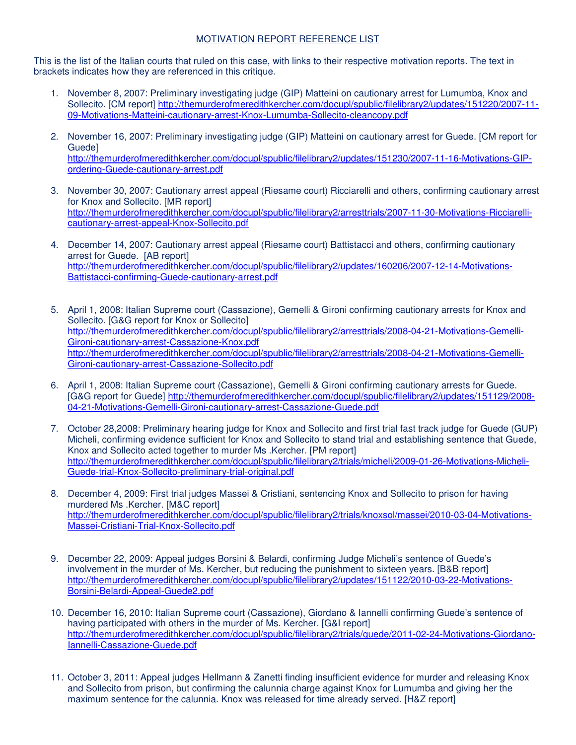# MOTIVATION REPORT REFERENCE LIST

This is the list of the Italian courts that ruled on this case, with links to their respective motivation reports. The text in brackets indicates how they are referenced in this critique.

- 1. November 8, 2007: Preliminary investigating judge (GIP) Matteini on cautionary arrest for Lumumba, Knox and Sollecito. [CM report] http://themurderofmeredithkercher.com/docupl/spublic/filelibrary2/updates/151220/2007-11- 09-Motivations-Matteini-cautionary-arrest-Knox-Lumumba-Sollecito-cleancopy.pdf
- 2. November 16, 2007: Preliminary investigating judge (GIP) Matteini on cautionary arrest for Guede. [CM report for Guede] http://themurderofmeredithkercher.com/docupl/spublic/filelibrary2/updates/151230/2007-11-16-Motivations-GIPordering-Guede-cautionary-arrest.pdf
- 3. November 30, 2007: Cautionary arrest appeal (Riesame court) Ricciarelli and others, confirming cautionary arrest for Knox and Sollecito. [MR report] http://themurderofmeredithkercher.com/docupl/spublic/filelibrary2/arresttrials/2007-11-30-Motivations-Ricciarellicautionary-arrest-appeal-Knox-Sollecito.pdf
- 4. December 14, 2007: Cautionary arrest appeal (Riesame court) Battistacci and others, confirming cautionary arrest for Guede. [AB report] http://themurderofmeredithkercher.com/docupl/spublic/filelibrary2/updates/160206/2007-12-14-Motivations-Battistacci-confirming-Guede-cautionary-arrest.pdf
- 5. April 1, 2008: Italian Supreme court (Cassazione), Gemelli & Gironi confirming cautionary arrests for Knox and Sollecito. [G&G report for Knox or Sollecito] http://themurderofmeredithkercher.com/docupl/spublic/filelibrary2/arresttrials/2008-04-21-Motivations-Gemelli-Gironi-cautionary-arrest-Cassazione-Knox.pdf http://themurderofmeredithkercher.com/docupl/spublic/filelibrary2/arresttrials/2008-04-21-Motivations-Gemelli-Gironi-cautionary-arrest-Cassazione-Sollecito.pdf
- 6. April 1, 2008: Italian Supreme court (Cassazione), Gemelli & Gironi confirming cautionary arrests for Guede. [G&G report for Guede] http://themurderofmeredithkercher.com/docupl/spublic/filelibrary2/updates/151129/2008- 04-21-Motivations-Gemelli-Gironi-cautionary-arrest-Cassazione-Guede.pdf
- 7. October 28,2008: Preliminary hearing judge for Knox and Sollecito and first trial fast track judge for Guede (GUP) Micheli, confirming evidence sufficient for Knox and Sollecito to stand trial and establishing sentence that Guede, Knox and Sollecito acted together to murder Ms .Kercher. [PM report] http://themurderofmeredithkercher.com/docupl/spublic/filelibrary2/trials/micheli/2009-01-26-Motivations-Micheli-Guede-trial-Knox-Sollecito-preliminary-trial-original.pdf
- 8. December 4, 2009: First trial judges Massei & Cristiani, sentencing Knox and Sollecito to prison for having murdered Ms .Kercher. [M&C report] http://themurderofmeredithkercher.com/docupl/spublic/filelibrary2/trials/knoxsol/massei/2010-03-04-Motivations-Massei-Cristiani-Trial-Knox-Sollecito.pdf
- 9. December 22, 2009: Appeal judges Borsini & Belardi, confirming Judge Micheli's sentence of Guede's involvement in the murder of Ms. Kercher, but reducing the punishment to sixteen years. [B&B report] http://themurderofmeredithkercher.com/docupl/spublic/filelibrary2/updates/151122/2010-03-22-Motivations-Borsini-Belardi-Appeal-Guede2.pdf
- 10. December 16, 2010: Italian Supreme court (Cassazione), Giordano & Iannelli confirming Guede's sentence of having participated with others in the murder of Ms. Kercher. [G&I report] http://themurderofmeredithkercher.com/docupl/spublic/filelibrary2/trials/guede/2011-02-24-Motivations-Giordano-Iannelli-Cassazione-Guede.pdf
- 11. October 3, 2011: Appeal judges Hellmann & Zanetti finding insufficient evidence for murder and releasing Knox and Sollecito from prison, but confirming the calunnia charge against Knox for Lumumba and giving her the maximum sentence for the calunnia. Knox was released for time already served. [H&Z report]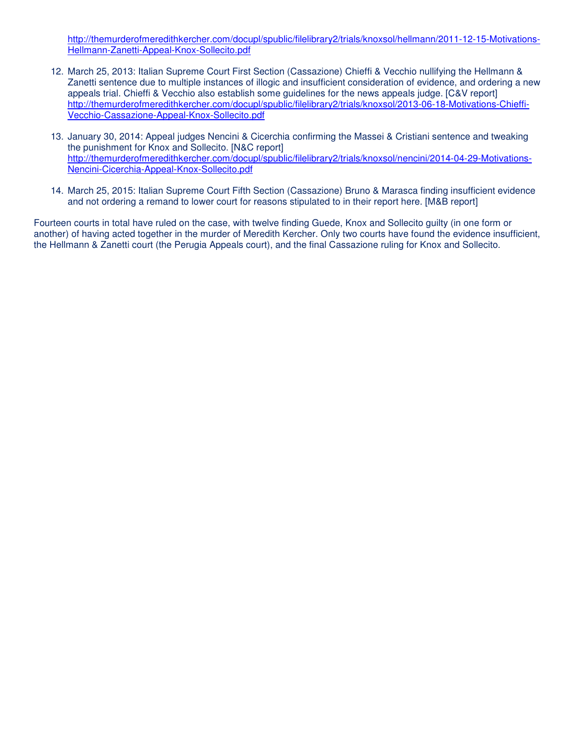http://themurderofmeredithkercher.com/docupl/spublic/filelibrary2/trials/knoxsol/hellmann/2011-12-15-Motivations-Hellmann-Zanetti-Appeal-Knox-Sollecito.pdf

- 12. March 25, 2013: Italian Supreme Court First Section (Cassazione) Chieffi & Vecchio nullifying the Hellmann & Zanetti sentence due to multiple instances of illogic and insufficient consideration of evidence, and ordering a new appeals trial. Chieffi & Vecchio also establish some guidelines for the news appeals judge. [C&V report] http://themurderofmeredithkercher.com/docupl/spublic/filelibrary2/trials/knoxsol/2013-06-18-Motivations-Chieffi-Vecchio-Cassazione-Appeal-Knox-Sollecito.pdf
- 13. January 30, 2014: Appeal judges Nencini & Cicerchia confirming the Massei & Cristiani sentence and tweaking the punishment for Knox and Sollecito. [N&C report] http://themurderofmeredithkercher.com/docupl/spublic/filelibrary2/trials/knoxsol/nencini/2014-04-29-Motivations-Nencini-Cicerchia-Appeal-Knox-Sollecito.pdf
- 14. March 25, 2015: Italian Supreme Court Fifth Section (Cassazione) Bruno & Marasca finding insufficient evidence and not ordering a remand to lower court for reasons stipulated to in their report here. [M&B report]

Fourteen courts in total have ruled on the case, with twelve finding Guede, Knox and Sollecito guilty (in one form or another) of having acted together in the murder of Meredith Kercher. Only two courts have found the evidence insufficient, the Hellmann & Zanetti court (the Perugia Appeals court), and the final Cassazione ruling for Knox and Sollecito.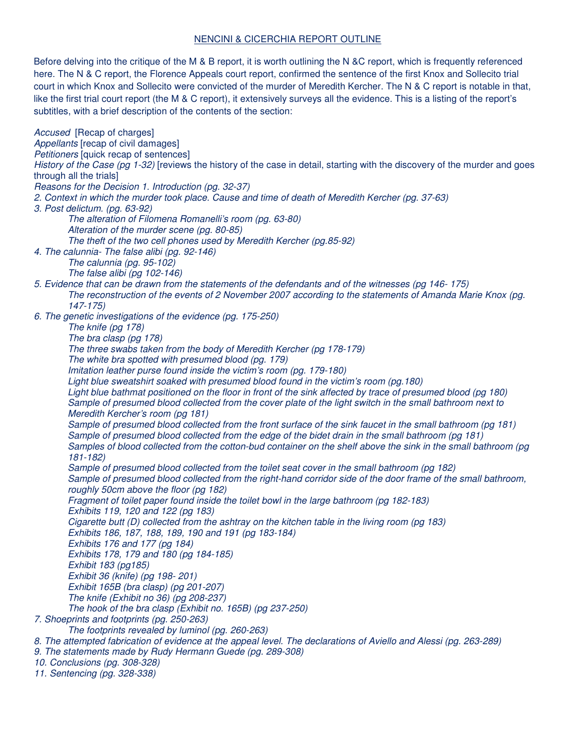# NENCINI & CICERCHIA REPORT OUTLINE

Before delving into the critique of the M & B report, it is worth outlining the N &C report, which is frequently referenced here. The N & C report, the Florence Appeals court report, confirmed the sentence of the first Knox and Sollecito trial court in which Knox and Sollecito were convicted of the murder of Meredith Kercher. The N & C report is notable in that, like the first trial court report (the M & C report), it extensively surveys all the evidence. This is a listing of the report's subtitles, with a brief description of the contents of the section:

*Accused* [Recap of charges] *Appellants* [recap of civil damages] *Petitioners* [quick recap of sentences] *History of the Case (pg 1-32)* [reviews the history of the case in detail, starting with the discovery of the murder and goes through all the trials] *Reasons for the Decision 1. Introduction (pg. 32-37) 2. Context in which the murder took place. Cause and time of death of Meredith Kercher (pg. 37-63) 3. Post delictum. (pg. 63-92) The alteration of Filomena Romanelli's room (pg. 63-80) Alteration of the murder scene (pg. 80-85) The theft of the two cell phones used by Meredith Kercher (pg.85-92) 4. The calunnia- The false alibi (pg. 92-146) The calunnia (pg. 95-102) The false alibi (pg 102-146) 5. Evidence that can be drawn from the statements of the defendants and of the witnesses (pg 146- 175) The reconstruction of the events of 2 November 2007 according to the statements of Amanda Marie Knox (pg. 147-175) 6. The genetic investigations of the evidence (pg. 175-250) The knife (pg 178) The bra clasp (pg 178) The three swabs taken from the body of Meredith Kercher (pg 178-179) The white bra spotted with presumed blood (pg. 179) Imitation leather purse found inside the victim's room (pg. 179-180)*  Light blue sweatshirt soaked with presumed blood found in the victim's room (pg.180) Light blue bathmat positioned on the floor in front of the sink affected by trace of presumed blood (pg 180) *Sample of presumed blood collected from the cover plate of the light switch in the small bathroom next to Meredith Kercher's room (pg 181) Sample of presumed blood collected from the front surface of the sink faucet in the small bathroom (pg 181) Sample of presumed blood collected from the edge of the bidet drain in the small bathroom (pg 181) Samples of blood collected from the cotton-bud container on the shelf above the sink in the small bathroom (pg 181-182) Sample of presumed blood collected from the toilet seat cover in the small bathroom (pg 182) Sample of presumed blood collected from the right-hand corridor side of the door frame of the small bathroom, roughly 50cm above the floor (pg 182) Fragment of toilet paper found inside the toilet bowl in the large bathroom (pg 182-183) Exhibits 119, 120 and 122 (pg 183) Cigarette butt (D) collected from the ashtray on the kitchen table in the living room (pg 183) Exhibits 186, 187, 188, 189, 190 and 191 (pg 183-184) Exhibits 176 and 177 (pg 184) Exhibits 178, 179 and 180 (pg 184-185) Exhibit 183 (pg185) Exhibit 36 (knife) (pg 198- 201) Exhibit 165B (bra clasp) (pg 201-207) The knife (Exhibit no 36) (pg 208-237) The hook of the bra clasp (Exhibit no. 165B) (pg 237-250) 7. Shoeprints and footprints (pg. 250-263) The footprints revealed by luminol (pg. 260-263) 8. The attempted fabrication of evidence at the appeal level. The declarations of Aviello and Alessi (pg. 263-289) 9. The statements made by Rudy Hermann Guede (pg. 289-308) 10. Conclusions (pg. 308-328)* 

*11. Sentencing (pg. 328-338)*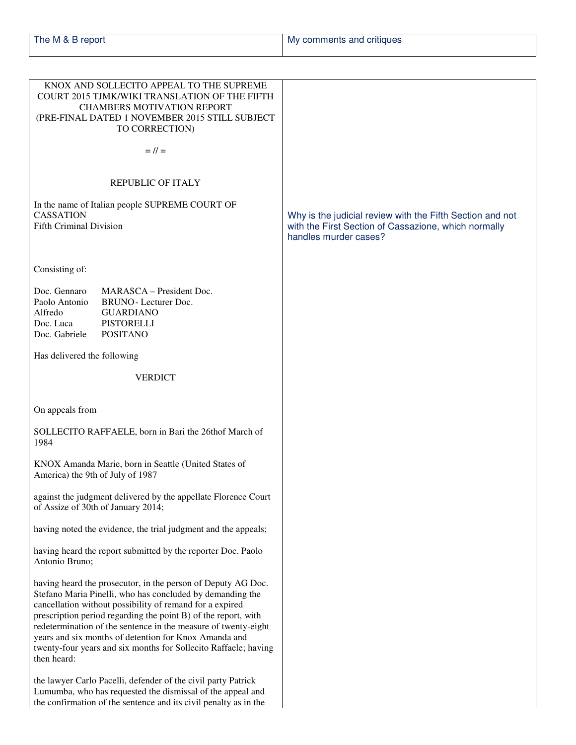| The M & B report | My comments and critiques |
|------------------|---------------------------|
|                  |                           |

|                                                                        | KNOX AND SOLLECITO APPEAL TO THE SUPREME<br>COURT 2015 TJMK/WIKI TRANSLATION OF THE FIFTH<br><b>CHAMBERS MOTIVATION REPORT</b><br>(PRE-FINAL DATED 1 NOVEMBER 2015 STILL SUBJECT<br>TO CORRECTION)                                                                                                                                                                                                                                                    |                                                                                                                                            |
|------------------------------------------------------------------------|-------------------------------------------------------------------------------------------------------------------------------------------------------------------------------------------------------------------------------------------------------------------------------------------------------------------------------------------------------------------------------------------------------------------------------------------------------|--------------------------------------------------------------------------------------------------------------------------------------------|
|                                                                        | $=$ // $=$                                                                                                                                                                                                                                                                                                                                                                                                                                            |                                                                                                                                            |
|                                                                        | <b>REPUBLIC OF ITALY</b>                                                                                                                                                                                                                                                                                                                                                                                                                              |                                                                                                                                            |
| <b>CASSATION</b><br><b>Fifth Criminal Division</b>                     | In the name of Italian people SUPREME COURT OF                                                                                                                                                                                                                                                                                                                                                                                                        | Why is the judicial review with the Fifth Section and not<br>with the First Section of Cassazione, which normally<br>handles murder cases? |
| Consisting of:                                                         |                                                                                                                                                                                                                                                                                                                                                                                                                                                       |                                                                                                                                            |
| Doc. Gennaro<br>Paolo Antonio<br>Alfredo<br>Doc. Luca<br>Doc. Gabriele | MARASCA – President Doc.<br><b>BRUNO</b> - Lecturer Doc.<br><b>GUARDIANO</b><br><b>PISTORELLI</b><br><b>POSITANO</b>                                                                                                                                                                                                                                                                                                                                  |                                                                                                                                            |
| Has delivered the following                                            |                                                                                                                                                                                                                                                                                                                                                                                                                                                       |                                                                                                                                            |
|                                                                        | <b>VERDICT</b>                                                                                                                                                                                                                                                                                                                                                                                                                                        |                                                                                                                                            |
| On appeals from                                                        |                                                                                                                                                                                                                                                                                                                                                                                                                                                       |                                                                                                                                            |
| 1984                                                                   | SOLLECITO RAFFAELE, born in Bari the 26thof March of                                                                                                                                                                                                                                                                                                                                                                                                  |                                                                                                                                            |
| America) the 9th of July of 1987                                       | KNOX Amanda Marie, born in Seattle (United States of                                                                                                                                                                                                                                                                                                                                                                                                  |                                                                                                                                            |
|                                                                        | against the judgment delivered by the appellate Florence Court<br>of Assize of 30th of January 2014;                                                                                                                                                                                                                                                                                                                                                  |                                                                                                                                            |
|                                                                        | having noted the evidence, the trial judgment and the appeals;                                                                                                                                                                                                                                                                                                                                                                                        |                                                                                                                                            |
| Antonio Bruno;                                                         | having heard the report submitted by the reporter Doc. Paolo                                                                                                                                                                                                                                                                                                                                                                                          |                                                                                                                                            |
| then heard:                                                            | having heard the prosecutor, in the person of Deputy AG Doc.<br>Stefano Maria Pinelli, who has concluded by demanding the<br>cancellation without possibility of remand for a expired<br>prescription period regarding the point B) of the report, with<br>redetermination of the sentence in the measure of twenty-eight<br>years and six months of detention for Knox Amanda and<br>twenty-four years and six months for Sollecito Raffaele; having |                                                                                                                                            |
|                                                                        | the lawyer Carlo Pacelli, defender of the civil party Patrick<br>Lumumba, who has requested the dismissal of the appeal and<br>the confirmation of the sentence and its civil penalty as in the                                                                                                                                                                                                                                                       |                                                                                                                                            |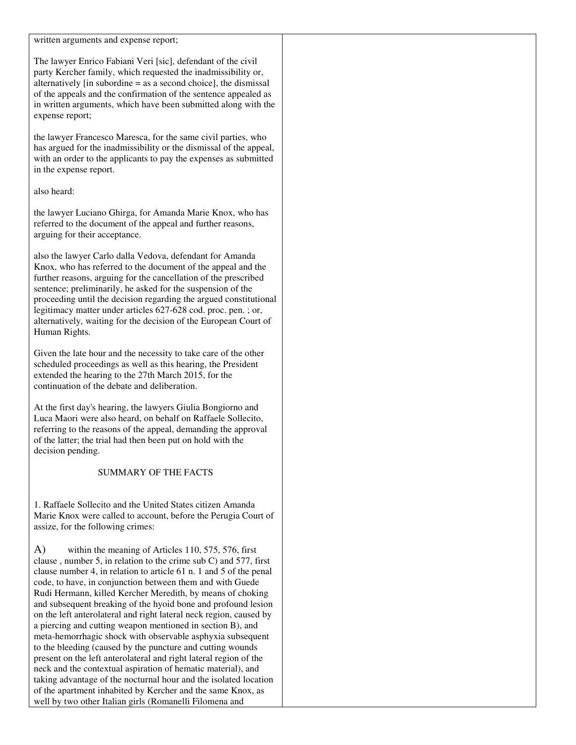written arguments and expense report;

The lawyer Enrico Fabiani Veri [sic], defendant of the civil party Kercher family, which requested the inadmissibility or, alternatively [in subordine = as a second choice], the dismissal of the appeals and the confirmation of the sentence appealed as in written arguments, which have been submitted along with the expense report;

the lawyer Francesco Maresca, for the same civil parties, who has argued for the inadmissibility or the dismissal of the appeal, with an order to the applicants to pay the expenses as submitted in the expense report.

also heard:

the lawyer Luciano Ghirga, for Amanda Marie Knox, who has referred to the document of the appeal and further reasons, arguing for their acceptance.

also the lawyer Carlo dalla Vedova, defendant for Amanda Knox, who has referred to the document of the appeal and the further reasons, arguing for the cancellation of the prescribed sentence; preliminarily, he asked for the suspension of the proceeding until the decision regarding the argued constitutional legitimacy matter under articles 627-628 cod. proc. pen. ; or, alternatively, waiting for the decision of the European Court of Human Rights.

Given the late hour and the necessity to take care of the other scheduled proceedings as well as this hearing, the President extended the hearing to the 27th March 2015, for the continuation of the debate and deliberation.

At the first day's hearing, the lawyers Giulia Bongiorno and Luca Maori were also heard, on behalf on Raffaele Sollecito, referring to the reasons of the appeal, demanding the approval of the latter; the trial had then been put on hold with the decision pending.

#### SUMMARY OF THE FACTS

1. Raffaele Sollecito and the United States citizen Amanda Marie Knox were called to account, before the Perugia Court of assize, for the following crimes:

A) within the meaning of Articles 110, 575, 576, first clause , number 5, in relation to the crime sub C) and 577, first clause number 4, in relation to article 61 n. 1 and 5 of the penal code, to have, in conjunction between them and with Guede Rudi Hermann, killed Kercher Meredith, by means of choking and subsequent breaking of the hyoid bone and profound lesion on the left anterolateral and right lateral neck region, caused by a piercing and cutting weapon mentioned in section B), and meta-hemorrhagic shock with observable asphyxia subsequent to the bleeding (caused by the puncture and cutting wounds present on the left anterolateral and right lateral region of the neck and the contextual aspiration of hematic material), and taking advantage of the nocturnal hour and the isolated location of the apartment inhabited by Kercher and the same Knox, as well by two other Italian girls (Romanelli Filomena and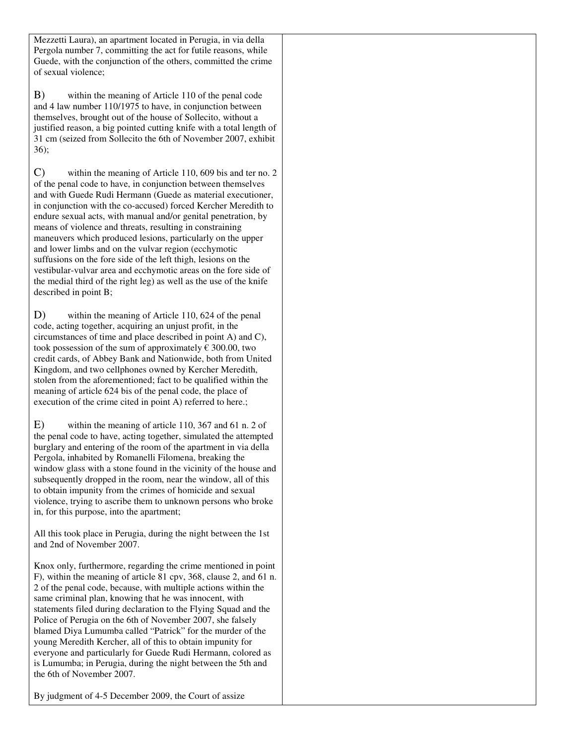Mezzetti Laura), an apartment located in Perugia, in via della Pergola number 7, committing the act for futile reasons, while Guede, with the conjunction of the others, committed the crime of sexual violence;

B) within the meaning of Article 110 of the penal code and 4 law number 110/1975 to have, in conjunction between themselves, brought out of the house of Sollecito, without a justified reason, a big pointed cutting knife with a total length of 31 cm (seized from Sollecito the 6th of November 2007, exhibit 36);

C) within the meaning of Article 110, 609 bis and ter no. 2 of the penal code to have, in conjunction between themselves and with Guede Rudi Hermann (Guede as material executioner, in conjunction with the co-accused) forced Kercher Meredith to endure sexual acts, with manual and/or genital penetration, by means of violence and threats, resulting in constraining maneuvers which produced lesions, particularly on the upper and lower limbs and on the vulvar region (ecchymotic suffusions on the fore side of the left thigh, lesions on the vestibular-vulvar area and ecchymotic areas on the fore side of the medial third of the right leg) as well as the use of the knife described in point B;

D) within the meaning of Article 110, 624 of the penal code, acting together, acquiring an unjust profit, in the circumstances of time and place described in point A) and C), took possession of the sum of approximately  $\epsilon$  300.00, two credit cards, of Abbey Bank and Nationwide, both from United Kingdom, and two cellphones owned by Kercher Meredith, stolen from the aforementioned; fact to be qualified within the meaning of article 624 bis of the penal code, the place of execution of the crime cited in point A) referred to here.;

E) within the meaning of article 110, 367 and 61 n. 2 of the penal code to have, acting together, simulated the attempted burglary and entering of the room of the apartment in via della Pergola, inhabited by Romanelli Filomena, breaking the window glass with a stone found in the vicinity of the house and subsequently dropped in the room, near the window, all of this to obtain impunity from the crimes of homicide and sexual violence, trying to ascribe them to unknown persons who broke in, for this purpose, into the apartment;

All this took place in Perugia, during the night between the 1st and 2nd of November 2007.

Knox only, furthermore, regarding the crime mentioned in point F), within the meaning of article 81 cpv, 368, clause 2, and 61 n. 2 of the penal code, because, with multiple actions within the same criminal plan, knowing that he was innocent, with statements filed during declaration to the Flying Squad and the Police of Perugia on the 6th of November 2007, she falsely blamed Diya Lumumba called "Patrick" for the murder of the young Meredith Kercher, all of this to obtain impunity for everyone and particularly for Guede Rudi Hermann, colored as is Lumumba; in Perugia, during the night between the 5th and the 6th of November 2007.

By judgment of 4-5 December 2009, the Court of assize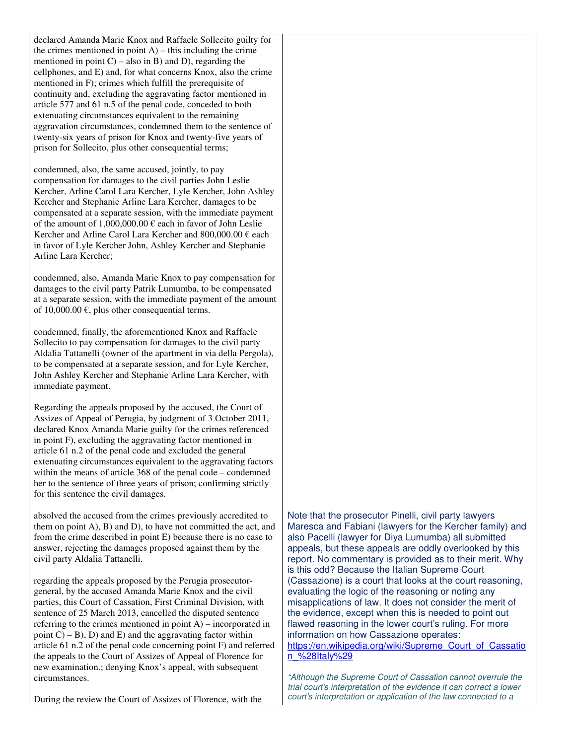declared Amanda Marie Knox and Raffaele Sollecito guilty for the crimes mentioned in point  $A$ ) – this including the crime mentioned in point  $C$ ) – also in B) and D), regarding the cellphones, and E) and, for what concerns Knox, also the crime mentioned in F); crimes which fulfill the prerequisite of continuity and, excluding the aggravating factor mentioned in article 577 and 61 n.5 of the penal code, conceded to both extenuating circumstances equivalent to the remaining aggravation circumstances, condemned them to the sentence of twenty-six years of prison for Knox and twenty-five years of prison for Sollecito, plus other consequential terms;

condemned, also, the same accused, jointly, to pay compensation for damages to the civil parties John Leslie Kercher, Arline Carol Lara Kercher, Lyle Kercher, John Ashley Kercher and Stephanie Arline Lara Kercher, damages to be compensated at a separate session, with the immediate payment of the amount of  $1,000,000.00 \in$  each in favor of John Leslie Kercher and Arline Carol Lara Kercher and 800,000.00 € each in favor of Lyle Kercher John, Ashley Kercher and Stephanie Arline Lara Kercher;

condemned, also, Amanda Marie Knox to pay compensation for damages to the civil party Patrik Lumumba, to be compensated at a separate session, with the immediate payment of the amount of  $10,000.00 \in$ , plus other consequential terms.

condemned, finally, the aforementioned Knox and Raffaele Sollecito to pay compensation for damages to the civil party Aldalia Tattanelli (owner of the apartment in via della Pergola), to be compensated at a separate session, and for Lyle Kercher, John Ashley Kercher and Stephanie Arline Lara Kercher, with immediate payment.

Regarding the appeals proposed by the accused, the Court of Assizes of Appeal of Perugia, by judgment of 3 October 2011, declared Knox Amanda Marie guilty for the crimes referenced in point F), excluding the aggravating factor mentioned in article 61 n.2 of the penal code and excluded the general extenuating circumstances equivalent to the aggravating factors within the means of article 368 of the penal code – condemned her to the sentence of three years of prison; confirming strictly for this sentence the civil damages.

absolved the accused from the crimes previously accredited to them on point A), B) and D), to have not committed the act, and from the crime described in point E) because there is no case to answer, rejecting the damages proposed against them by the civil party Aldalia Tattanelli.

regarding the appeals proposed by the Perugia prosecutorgeneral, by the accused Amanda Marie Knox and the civil parties, this Court of Cassation, First Criminal Division, with sentence of 25 March 2013, cancelled the disputed sentence referring to the crimes mentioned in point A) – incorporated in point  $(C) - B$ ), D) and E) and the aggravating factor within article 61 n.2 of the penal code concerning point F) and referred the appeals to the Court of Assizes of Appeal of Florence for new examination.; denying Knox's appeal, with subsequent circumstances.

Note that the prosecutor Pinelli, civil party lawyers Maresca and Fabiani (lawyers for the Kercher family) and also Pacelli (lawyer for Diya Lumumba) all submitted appeals, but these appeals are oddly overlooked by this report. No commentary is provided as to their merit. Why is this odd? Because the Italian Supreme Court (Cassazione) is a court that looks at the court reasoning, evaluating the logic of the reasoning or noting any misapplications of law. It does not consider the merit of the evidence, except when this is needed to point out flawed reasoning in the lower court's ruling. For more information on how Cassazione operates: https://en.wikipedia.org/wiki/Supreme\_Court\_of\_Cassatio n\_%28Italy%29

*"Although the Supreme Court of Cassation cannot overrule the trial court's interpretation of the evidence it can correct a lower court's interpretation or application of the law connected to a* 

During the review the Court of Assizes of Florence, with the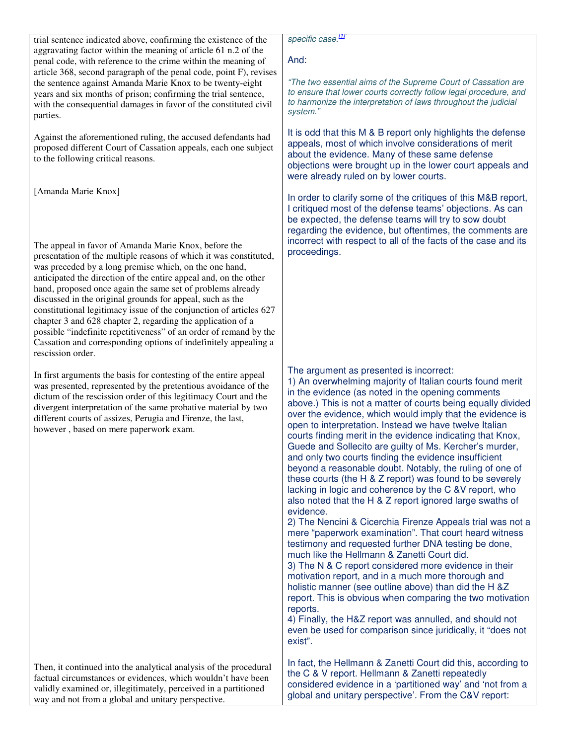trial sentence indicated above, confirming the existence of the aggravating factor within the meaning of article 61 n.2 of the penal code, with reference to the crime within the meaning of article 368, second paragraph of the penal code, point F), revises the sentence against Amanda Marie Knox to be twenty-eight years and six months of prison; confirming the trial sentence, with the consequential damages in favor of the constituted civil parties.

Against the aforementioned ruling, the accused defendants had proposed different Court of Cassation appeals, each one subject to the following critical reasons.

[Amanda Marie Knox]

The appeal in favor of Amanda Marie Knox, before the presentation of the multiple reasons of which it was constituted, was preceded by a long premise which, on the one hand, anticipated the direction of the entire appeal and, on the other hand, proposed once again the same set of problems already discussed in the original grounds for appeal, such as the constitutional legitimacy issue of the conjunction of articles 627 chapter 3 and 628 chapter 2, regarding the application of a possible "indefinite repetitiveness" of an order of remand by the Cassation and corresponding options of indefinitely appealing a rescission order.

In first arguments the basis for contesting of the entire appeal was presented, represented by the pretentious avoidance of the dictum of the rescission order of this legitimacy Court and the divergent interpretation of the same probative material by two different courts of assizes, Perugia and Firenze, the last, however , based on mere paperwork exam.

Then, it continued into the analytical analysis of the procedural factual circumstances or evidences, which wouldn't have been validly examined or, illegitimately, perceived in a partitioned way and not from a global and unitary perspective.

*specific case.[1]"* 

## And:

*"The two essential aims of the Supreme Court of Cassation are to ensure that lower courts correctly follow legal procedure, and to harmonize the interpretation of laws throughout the judicial system."* 

It is odd that this M & B report only highlights the defense appeals, most of which involve considerations of merit about the evidence. Many of these same defense objections were brought up in the lower court appeals and were already ruled on by lower courts.

In order to clarify some of the critiques of this M&B report, I critiqued most of the defense teams' objections. As can be expected, the defense teams will try to sow doubt regarding the evidence, but oftentimes, the comments are incorrect with respect to all of the facts of the case and its proceedings.

The argument as presented is incorrect:

1) An overwhelming majority of Italian courts found merit in the evidence (as noted in the opening comments above.) This is not a matter of courts being equally divided over the evidence, which would imply that the evidence is open to interpretation. Instead we have twelve Italian courts finding merit in the evidence indicating that Knox, Guede and Sollecito are guilty of Ms. Kercher's murder, and only two courts finding the evidence insufficient beyond a reasonable doubt. Notably, the ruling of one of these courts (the H & Z report) was found to be severely lacking in logic and coherence by the C &V report, who also noted that the H & Z report ignored large swaths of evidence.

2) The Nencini & Cicerchia Firenze Appeals trial was not a mere "paperwork examination". That court heard witness testimony and requested further DNA testing be done, much like the Hellmann & Zanetti Court did.

3) The N & C report considered more evidence in their motivation report, and in a much more thorough and holistic manner (see outline above) than did the H &Z report. This is obvious when comparing the two motivation reports.

4) Finally, the H&Z report was annulled, and should not even be used for comparison since juridically, it "does not exist".

In fact, the Hellmann & Zanetti Court did this, according to the C & V report. Hellmann & Zanetti repeatedly considered evidence in a 'partitioned way' and 'not from a global and unitary perspective'. From the C&V report: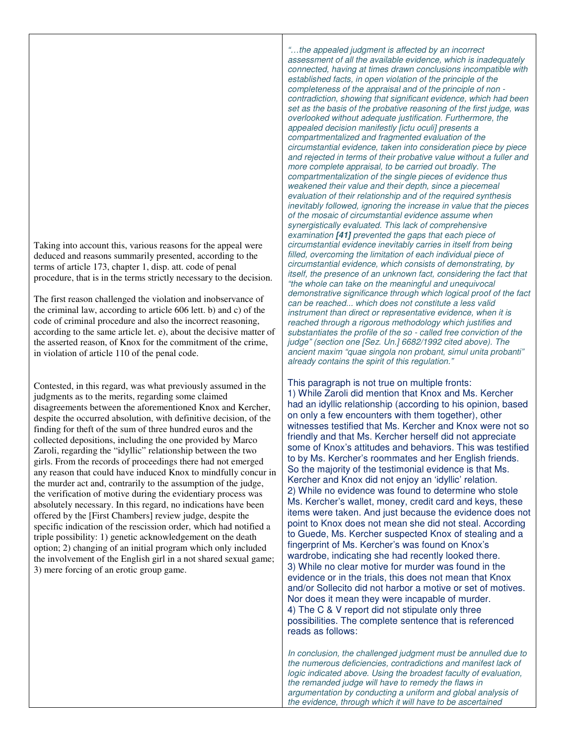Taking into account this, various reasons for the appeal were deduced and reasons summarily presented, according to the terms of article 173, chapter 1, disp. att. code of penal procedure, that is in the terms strictly necessary to the decision.

The first reason challenged the violation and inobservance of the criminal law, according to article 606 lett. b) and c) of the code of criminal procedure and also the incorrect reasoning, according to the same article let. e), about the decisive matter of the asserted reason, of Knox for the commitment of the crime, in violation of article 110 of the penal code.

Contested, in this regard, was what previously assumed in the judgments as to the merits, regarding some claimed disagreements between the aforementioned Knox and Kercher, despite the occurred absolution, with definitive decision, of the finding for theft of the sum of three hundred euros and the collected depositions, including the one provided by Marco Zaroli, regarding the "idyllic" relationship between the two girls. From the records of proceedings there had not emerged any reason that could have induced Knox to mindfully concur in the murder act and, contrarily to the assumption of the judge, the verification of motive during the evidentiary process was absolutely necessary. In this regard, no indications have been offered by the [First Chambers] review judge, despite the specific indication of the rescission order, which had notified a triple possibility: 1) genetic acknowledgement on the death option; 2) changing of an initial program which only included the involvement of the English girl in a not shared sexual game; 3) mere forcing of an erotic group game.

*"…the appealed judgment is affected by an incorrect assessment of all the available evidence, which is inadequately connected, having at times drawn conclusions incompatible with established facts, in open violation of the principle of the completeness of the appraisal and of the principle of non contradiction, showing that significant evidence, which had been set as the basis of the probative reasoning of the first judge, was overlooked without adequate justification. Furthermore, the appealed decision manifestly [ictu oculi] presents a compartmentalized and fragmented evaluation of the circumstantial evidence, taken into consideration piece by piece and rejected in terms of their probative value without a fuller and more complete appraisal, to be carried out broadly. The compartmentalization of the single pieces of evidence thus weakened their value and their depth, since a piecemeal evaluation of their relationship and of the required synthesis inevitably followed, ignoring the increase in value that the pieces of the mosaic of circumstantial evidence assume when synergistically evaluated. This lack of comprehensive examination* **[41]** *prevented the gaps that each piece of circumstantial evidence inevitably carries in itself from being filled, overcoming the limitation of each individual piece of circumstantial evidence, which consists of demonstrating, by itself, the presence of an unknown fact, considering the fact that "the whole can take on the meaningful and unequivocal demonstrative significance through which logical proof of the fact can be reached... which does not constitute a less valid instrument than direct or representative evidence, when it is reached through a rigorous methodology which justifies and substantiates the profile of the so - called free conviction of the judge" (section one [Sez. Un.] 6682/1992 cited above). The ancient maxim "quae singola non probant, simul unita probanti" already contains the spirit of this regulation."* 

This paragraph is not true on multiple fronts: 1) While Zaroli did mention that Knox and Ms. Kercher had an idyllic relationship (according to his opinion, based on only a few encounters with them together), other witnesses testified that Ms. Kercher and Knox were not so friendly and that Ms. Kercher herself did not appreciate some of Knox's attitudes and behaviors. This was testified to by Ms. Kercher's roommates and her English friends. So the majority of the testimonial evidence is that Ms. Kercher and Knox did not enjoy an 'idyllic' relation. 2) While no evidence was found to determine who stole Ms. Kercher's wallet, money, credit card and keys, these items were taken. And just because the evidence does not point to Knox does not mean she did not steal. According to Guede, Ms. Kercher suspected Knox of stealing and a fingerprint of Ms. Kercher's was found on Knox's wardrobe, indicating she had recently looked there. 3) While no clear motive for murder was found in the evidence or in the trials, this does not mean that Knox and/or Sollecito did not harbor a motive or set of motives. Nor does it mean they were incapable of murder. 4) The C & V report did not stipulate only three possibilities. The complete sentence that is referenced reads as follows:

*In conclusion, the challenged judgment must be annulled due to the numerous deficiencies, contradictions and manifest lack of logic indicated above. Using the broadest faculty of evaluation, the remanded judge will have to remedy the flaws in argumentation by conducting a uniform and global analysis of the evidence, through which it will have to be ascertained*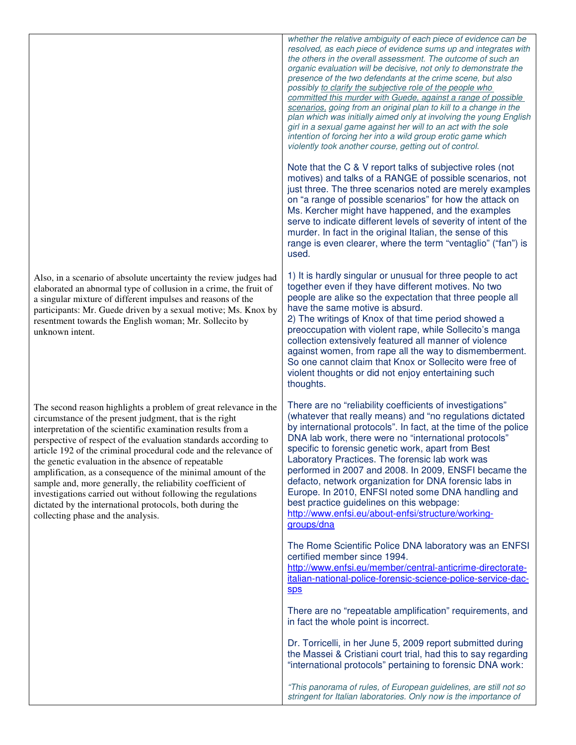Also, in a scenario of absolute uncertainty the review judges had elaborated an abnormal type of collusion in a crime, the fruit of a singular mixture of different impulses and reasons of the participants: Mr. Guede driven by a sexual motive; Ms. Knox by resentment towards the English woman; Mr. Sollecito by unknown intent. The second reason highlights a problem of great relevance in the circumstance of the present judgment, that is the right interpretation of the scientific examination results from a perspective of respect of the evaluation standards according to article 192 of the criminal procedural code and the relevance of the genetic evaluation in the absence of repeatable amplification, as a consequence of the minimal amount of the sample and, more generally, the reliability coefficient of investigations carried out without following the regulations dictated by the international protocols, both during the collecting phase and the analysis. *resolved, as each piece of evidence sums up and integrates with the others in the overall assessment. The outcome of such an organic evaluation will be decisive, not only to demonstrate the presence of the two defendants at the crime scene, but also possibly to clarify the subjective role of the people who committed this murder with Guede, against a range of possible scenarios, going from an original plan to kill to a change in the plan which was initially aimed only at involving the young English girl in a sexual game against her will to an act with the sole intention of forcing her into a wild group erotic game which violently took another course, getting out of control.*  Note that the C & V report talks of subjective roles (not motives) and talks of a RANGE of possible scenarios, not just three. The three scenarios noted are merely examples on "a range of possible scenarios" for how the attack on Ms. Kercher might have happened, and the examples serve to indicate different levels of severity of intent of the murder. In fact in the original Italian, the sense of this range is even clearer, where the term "ventaglio" ("fan") is used. 1) It is hardly singular or unusual for three people to act together even if they have different motives. No two people are alike so the expectation that three people all have the same motive is absurd. 2) The writings of Knox of that time period showed a preoccupation with violent rape, while Sollecito's manga collection extensively featured all manner of violence against women, from rape all the way to dismemberment. So one cannot claim that Knox or Sollecito were free of violent thoughts or did not enjoy entertaining such thoughts. There are no "reliability coefficients of investigations" (whatever that really means) and "no regulations dictated by international protocols". In fact, at the time of the police DNA lab work, there were no "international protocols" specific to forensic genetic work, apart from Best Laboratory Practices. The forensic lab work was performed in 2007 and 2008. In 2009, ENSFI became the defacto, network organization for DNA forensic labs in Europe. In 2010, ENFSI noted some DNA handling and best practice guidelines on this webpage: http://www.enfsi.eu/about-enfsi/structure/workinggroups/dna The Rome Scientific Police DNA laboratory was an ENFSI certified member since 1994. http://www.enfsi.eu/member/central-anticrime-directorateitalian-national-police-forensic-science-police-service-dacsps There are no "repeatable amplification" requirements, and in fact the whole point is incorrect. Dr. Torricelli, in her June 5, 2009 report submitted during the Massei & Cristiani court trial, had this to say regarding "international protocols" pertaining to forensic DNA work: *"This panorama of rules, of European guidelines, are still not so stringent for Italian laboratories. Only now is the importance of* 

*whether the relative ambiguity of each piece of evidence can be*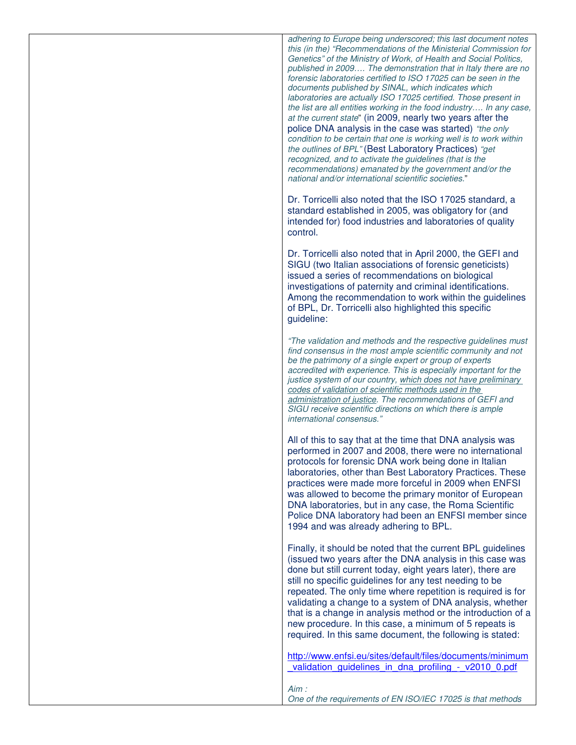*adhering to Europe being underscored; this last document notes this (in the) "Recommendations of the Ministerial Commission for Genetics" of the Ministry of Work, of Health and Social Politics, published in 2009…. The demonstration that in Italy there are no forensic laboratories certified to ISO 17025 can be seen in the documents published by SINAL, which indicates which laboratories are actually ISO 17025 certified. Those present in the list are all entities working in the food industry…. In any case, at the current state*" (in 2009, nearly two years after the police DNA analysis in the case was started) *"the only condition to be certain that one is working well is to work within the outlines of BPL"* (Best Laboratory Practices) *"get recognized, and to activate the guidelines (that is the recommendations) emanated by the government and/or the national and/or international scientific societies.*"

Dr. Torricelli also noted that the ISO 17025 standard, a standard established in 2005, was obligatory for (and intended for) food industries and laboratories of quality control.

Dr. Torricelli also noted that in April 2000, the GEFI and SIGU (two Italian associations of forensic geneticists) issued a series of recommendations on biological investigations of paternity and criminal identifications. Among the recommendation to work within the guidelines of BPL, Dr. Torricelli also highlighted this specific guideline:

*"The validation and methods and the respective guidelines must find consensus in the most ample scientific community and not be the patrimony of a single expert or group of experts accredited with experience. This is especially important for the justice system of our country, which does not have preliminary codes of validation of scientific methods used in the administration of justice. The recommendations of GEFI and SIGU receive scientific directions on which there is ample international consensus."* 

All of this to say that at the time that DNA analysis was performed in 2007 and 2008, there were no international protocols for forensic DNA work being done in Italian laboratories, other than Best Laboratory Practices. These practices were made more forceful in 2009 when ENFSI was allowed to become the primary monitor of European DNA laboratories, but in any case, the Roma Scientific Police DNA laboratory had been an ENFSI member since 1994 and was already adhering to BPL.

Finally, it should be noted that the current BPL guidelines (issued two years after the DNA analysis in this case was done but still current today, eight years later), there are still no specific guidelines for any test needing to be repeated. The only time where repetition is required is for validating a change to a system of DNA analysis, whether that is a change in analysis method or the introduction of a new procedure. In this case, a minimum of 5 repeats is required. In this same document, the following is stated:

http://www.enfsi.eu/sites/default/files/documents/minimum validation\_quidelines\_in\_dna\_profiling -\_ v2010\_0.pdf

*Aim :* 

*One of the requirements of EN ISO/IEC 17025 is that methods*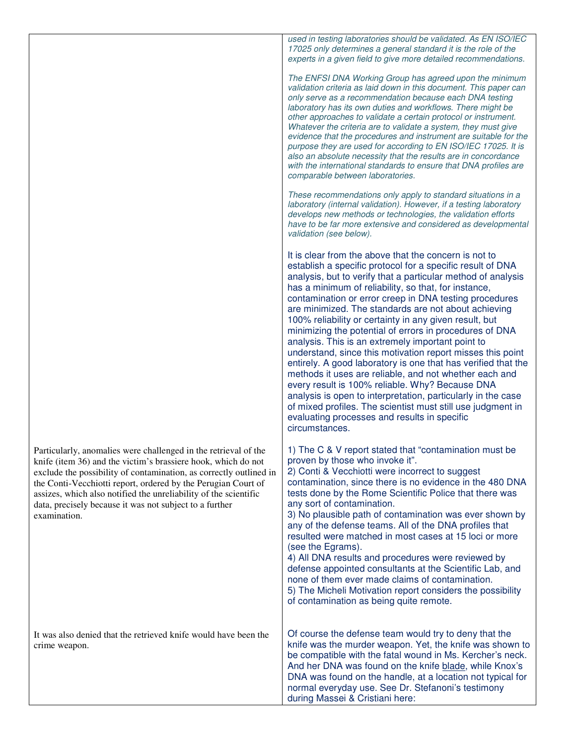|                                                                                                                                                                                                                                                                                                                                                                                                                        | used in testing laboratories should be validated. As EN ISO/IEC<br>17025 only determines a general standard it is the role of the<br>experts in a given field to give more detailed recommendations.<br>The ENFSI DNA Working Group has agreed upon the minimum<br>validation criteria as laid down in this document. This paper can<br>only serve as a recommendation because each DNA testing<br>laboratory has its own duties and workflows. There might be<br>other approaches to validate a certain protocol or instrument.<br>Whatever the criteria are to validate a system, they must give<br>evidence that the procedures and instrument are suitable for the<br>purpose they are used for according to EN ISO/IEC 17025. It is<br>also an absolute necessity that the results are in concordance<br>with the international standards to ensure that DNA profiles are<br>comparable between laboratories.<br>These recommendations only apply to standard situations in a   |
|------------------------------------------------------------------------------------------------------------------------------------------------------------------------------------------------------------------------------------------------------------------------------------------------------------------------------------------------------------------------------------------------------------------------|--------------------------------------------------------------------------------------------------------------------------------------------------------------------------------------------------------------------------------------------------------------------------------------------------------------------------------------------------------------------------------------------------------------------------------------------------------------------------------------------------------------------------------------------------------------------------------------------------------------------------------------------------------------------------------------------------------------------------------------------------------------------------------------------------------------------------------------------------------------------------------------------------------------------------------------------------------------------------------------|
|                                                                                                                                                                                                                                                                                                                                                                                                                        | laboratory (internal validation). However, if a testing laboratory<br>develops new methods or technologies, the validation efforts<br>have to be far more extensive and considered as developmental<br>validation (see below).                                                                                                                                                                                                                                                                                                                                                                                                                                                                                                                                                                                                                                                                                                                                                       |
|                                                                                                                                                                                                                                                                                                                                                                                                                        | It is clear from the above that the concern is not to<br>establish a specific protocol for a specific result of DNA<br>analysis, but to verify that a particular method of analysis<br>has a minimum of reliability, so that, for instance,<br>contamination or error creep in DNA testing procedures<br>are minimized. The standards are not about achieving<br>100% reliability or certainty in any given result, but<br>minimizing the potential of errors in procedures of DNA<br>analysis. This is an extremely important point to<br>understand, since this motivation report misses this point<br>entirely. A good laboratory is one that has verified that the<br>methods it uses are reliable, and not whether each and<br>every result is 100% reliable. Why? Because DNA<br>analysis is open to interpretation, particularly in the case<br>of mixed profiles. The scientist must still use judgment in<br>evaluating processes and results in specific<br>circumstances. |
| Particularly, anomalies were challenged in the retrieval of the<br>knife (item 36) and the victim's brassiere hook, which do not<br>exclude the possibility of contamination, as correctly outlined in<br>the Conti-Vecchiotti report, ordered by the Perugian Court of<br>assizes, which also notified the unreliability of the scientific<br>data, precisely because it was not subject to a further<br>examination. | 1) The C & V report stated that "contamination must be<br>proven by those who invoke it".<br>2) Conti & Vecchiotti were incorrect to suggest<br>contamination, since there is no evidence in the 480 DNA<br>tests done by the Rome Scientific Police that there was<br>any sort of contamination.<br>3) No plausible path of contamination was ever shown by<br>any of the defense teams. All of the DNA profiles that<br>resulted were matched in most cases at 15 loci or more<br>(see the Egrams).<br>4) All DNA results and procedures were reviewed by<br>defense appointed consultants at the Scientific Lab, and<br>none of them ever made claims of contamination.<br>5) The Micheli Motivation report considers the possibility<br>of contamination as being quite remote.                                                                                                                                                                                                  |
| It was also denied that the retrieved knife would have been the<br>crime weapon.                                                                                                                                                                                                                                                                                                                                       | Of course the defense team would try to deny that the<br>knife was the murder weapon. Yet, the knife was shown to<br>be compatible with the fatal wound in Ms. Kercher's neck.<br>And her DNA was found on the knife blade, while Knox's<br>DNA was found on the handle, at a location not typical for<br>normal everyday use. See Dr. Stefanoni's testimony<br>during Massei & Cristiani here:                                                                                                                                                                                                                                                                                                                                                                                                                                                                                                                                                                                      |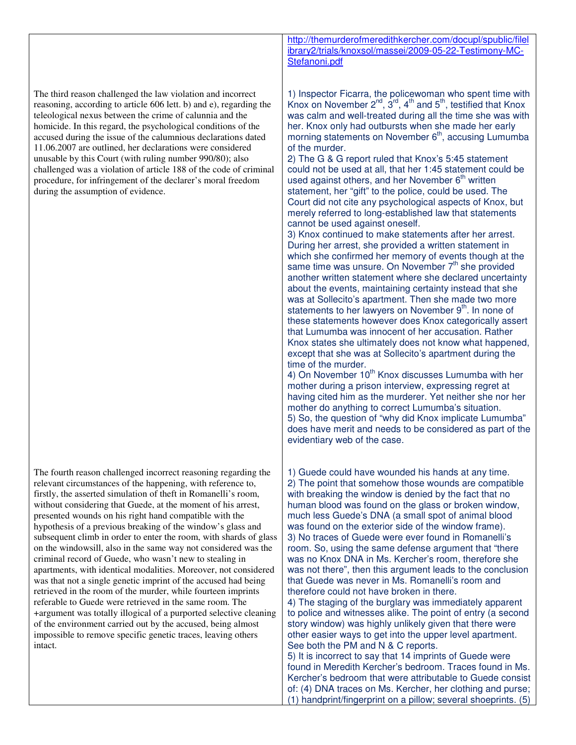The third reason challenged the law violation and incorrect reasoning, according to article 606 lett. b) and e), regarding the teleological nexus between the crime of calunnia and the homicide. In this regard, the psychological conditions of the accused during the issue of the calumnious declarations dated 11.06.2007 are outlined, her declarations were considered unusable by this Court (with ruling number 990/80); also challenged was a violation of article 188 of the code of criminal procedure, for infringement of the declarer's moral freedom during the assumption of evidence.

The fourth reason challenged incorrect reasoning regarding the relevant circumstances of the happening, with reference to, firstly, the asserted simulation of theft in Romanelli's room, without considering that Guede, at the moment of his arrest, presented wounds on his right hand compatible with the hypothesis of a previous breaking of the window's glass and subsequent climb in order to enter the room, with shards of glass on the windowsill, also in the same way not considered was the criminal record of Guede, who wasn't new to stealing in apartments, with identical modalities. Moreover, not considered was that not a single genetic imprint of the accused had being retrieved in the room of the murder, while fourteen imprints referable to Guede were retrieved in the same room. The +argument was totally illogical of a purported selective cleaning of the environment carried out by the accused, being almost impossible to remove specific genetic traces, leaving others intact.

http://themurderofmeredithkercher.com/docupl/spublic/filel ibrary2/trials/knoxsol/massei/2009-05-22-Testimony-MC-Stefanoni.pdf

1) Inspector Ficarra, the policewoman who spent time with Knox on November  $2^{nd}$ ,  $3^{rd}$ ,  $4^{th}$  and  $5^{th}$ , testified that Knox was calm and well-treated during all the time she was with her. Knox only had outbursts when she made her early morning statements on November  $6<sup>th</sup>$ , accusing Lumumba of the murder.

2) The G & G report ruled that Knox's 5:45 statement could not be used at all, that her 1:45 statement could be used against others, and her November  $6<sup>th</sup>$  written statement, her "gift" to the police, could be used. The Court did not cite any psychological aspects of Knox, but merely referred to long-established law that statements cannot be used against oneself.

3) Knox continued to make statements after her arrest. During her arrest, she provided a written statement in which she confirmed her memory of events though at the same time was unsure. On November  $7<sup>th</sup>$  she provided another written statement where she declared uncertainty about the events, maintaining certainty instead that she was at Sollecito's apartment. Then she made two more statements to her lawyers on November 9<sup>th</sup>. In none of these statements however does Knox categorically assert that Lumumba was innocent of her accusation. Rather Knox states she ultimately does not know what happened, except that she was at Sollecito's apartment during the time of the murder.

4) On November  $10^{th}$  Knox discusses Lumumba with her mother during a prison interview, expressing regret at having cited him as the murderer. Yet neither she nor her mother do anything to correct Lumumba's situation. 5) So, the question of "why did Knox implicate Lumumba" does have merit and needs to be considered as part of the evidentiary web of the case.

1) Guede could have wounded his hands at any time. 2) The point that somehow those wounds are compatible with breaking the window is denied by the fact that no human blood was found on the glass or broken window, much less Guede's DNA (a small spot of animal blood was found on the exterior side of the window frame). 3) No traces of Guede were ever found in Romanelli's room. So, using the same defense argument that "there was no Knox DNA in Ms. Kercher's room, therefore she was not there", then this argument leads to the conclusion that Guede was never in Ms. Romanelli's room and therefore could not have broken in there. 4) The staging of the burglary was immediately apparent

to police and witnesses alike. The point of entry (a second story window) was highly unlikely given that there were other easier ways to get into the upper level apartment. See both the PM and N & C reports.

5) It is incorrect to say that 14 imprints of Guede were found in Meredith Kercher's bedroom. Traces found in Ms. Kercher's bedroom that were attributable to Guede consist of: (4) DNA traces on Ms. Kercher, her clothing and purse; (1) handprint/fingerprint on a pillow; several shoeprints. (5)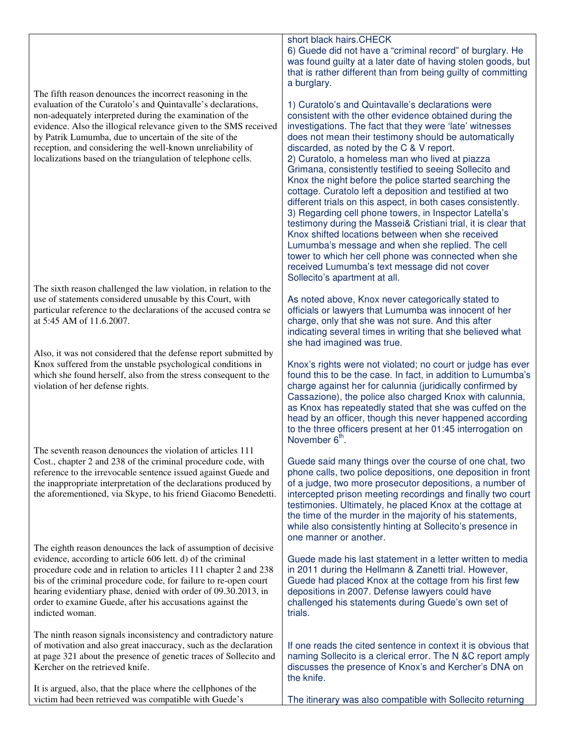The fifth reason denounces the incorrect reasoning in the evaluation of the Curatolo's and Quintavalle's declarations, non-adequately interpreted during the examination of the evidence. Also the illogical relevance given to the SMS received by Patrik Lumumba, due to uncertain of the site of the reception, and considering the well-known unreliability of localizations based on the triangulation of telephone cells.

The sixth reason challenged the law violation, in relation to the use of statements considered unusable by this Court, with particular reference to the declarations of the accused contra se at 5:45 AM of 11.6.2007.

Also, it was not considered that the defense report submitted by Knox suffered from the unstable psychological conditions in which she found herself, also from the stress consequent to the violation of her defense rights.

The seventh reason denounces the violation of articles 111 Cost., chapter 2 and 238 of the criminal procedure code, with reference to the irrevocable sentence issued against Guede and the inappropriate interpretation of the declarations produced by the aforementioned, via Skype, to his friend Giacomo Benedetti.

The eighth reason denounces the lack of assumption of decisive evidence, according to article 606 lett. d) of the criminal procedure code and in relation to articles 111 chapter 2 and 238 bis of the criminal procedure code, for failure to re-open court hearing evidentiary phase, denied with order of 09.30.2013, in order to examine Guede, after his accusations against the indicted woman.

The ninth reason signals inconsistency and contradictory nature of motivation and also great inaccuracy, such as the declaration at page 321 about the presence of genetic traces of Sollecito and Kercher on the retrieved knife.

It is argued, also, that the place where the cellphones of the victim had been retrieved was compatible with Guede's

short black hairs.CHECK

6) Guede did not have a "criminal record" of burglary. He was found guilty at a later date of having stolen goods, but that is rather different than from being guilty of committing a burglary.

1) Curatolo's and Quintavalle's declarations were consistent with the other evidence obtained during the investigations. The fact that they were 'late' witnesses does not mean their testimony should be automatically discarded, as noted by the C & V report. 2) Curatolo, a homeless man who lived at piazza Grimana, consistently testified to seeing Sollecito and Knox the night before the police started searching the cottage. Curatolo left a deposition and testified at two different trials on this aspect, in both cases consistently. 3) Regarding cell phone towers, in Inspector Latella's testimony during the Massei& Cristiani trial, it is clear that Knox shifted locations between when she received Lumumba's message and when she replied. The cell tower to which her cell phone was connected when she received Lumumba's text message did not cover Sollecito's apartment at all.

As noted above, Knox never categorically stated to officials or lawyers that Lumumba was innocent of her charge, only that she was not sure. And this after indicating several times in writing that she believed what she had imagined was true.

Knox's rights were not violated; no court or judge has ever found this to be the case. In fact, in addition to Lumumba's charge against her for calunnia (juridically confirmed by Cassazione), the police also charged Knox with calunnia, as Knox has repeatedly stated that she was cuffed on the head by an officer, though this never happened according to the three officers present at her 01:45 interrogation on November  $6^{th}$ .

Guede said many things over the course of one chat, two phone calls, two police depositions, one deposition in front of a judge, two more prosecutor depositions, a number of intercepted prison meeting recordings and finally two court testimonies. Ultimately, he placed Knox at the cottage at the time of the murder in the majority of his statements, while also consistently hinting at Sollecito's presence in one manner or another.

Guede made his last statement in a letter written to media in 2011 during the Hellmann & Zanetti trial. However, Guede had placed Knox at the cottage from his first few depositions in 2007. Defense lawyers could have challenged his statements during Guede's own set of trials.

If one reads the cited sentence in context it is obvious that naming Sollecito is a clerical error. The N &C report amply discusses the presence of Knox's and Kercher's DNA on the knife.

The itinerary was also compatible with Sollecito returning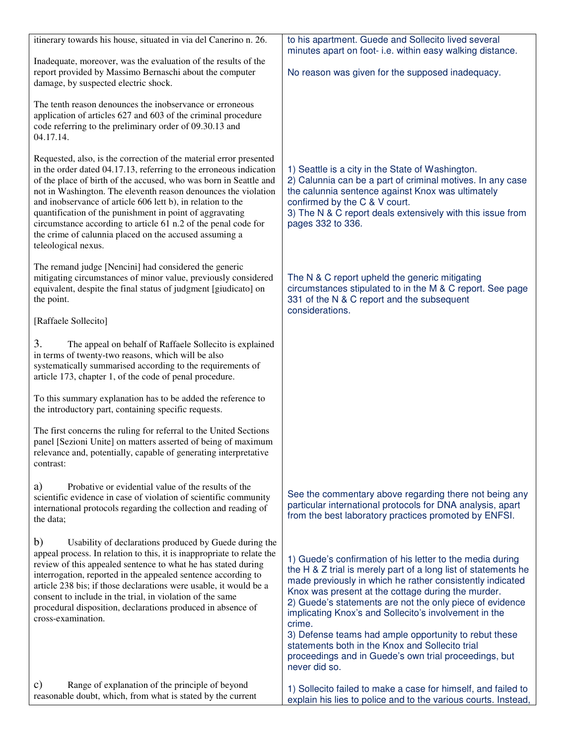| itinerary towards his house, situated in via del Canerino n. 26.                                                                                                                                                                                                                                                                                                                                                                                                                                                                                              | to his apartment. Guede and Sollecito lived several<br>minutes apart on foot- i.e. within easy walking distance.                                                                                                                                                                                                                                                                                                                                                                                                                                                    |
|---------------------------------------------------------------------------------------------------------------------------------------------------------------------------------------------------------------------------------------------------------------------------------------------------------------------------------------------------------------------------------------------------------------------------------------------------------------------------------------------------------------------------------------------------------------|---------------------------------------------------------------------------------------------------------------------------------------------------------------------------------------------------------------------------------------------------------------------------------------------------------------------------------------------------------------------------------------------------------------------------------------------------------------------------------------------------------------------------------------------------------------------|
| Inadequate, moreover, was the evaluation of the results of the<br>report provided by Massimo Bernaschi about the computer<br>damage, by suspected electric shock.                                                                                                                                                                                                                                                                                                                                                                                             | No reason was given for the supposed inadequacy.                                                                                                                                                                                                                                                                                                                                                                                                                                                                                                                    |
| The tenth reason denounces the inobservance or erroneous<br>application of articles 627 and 603 of the criminal procedure<br>code referring to the preliminary order of 09.30.13 and<br>04.17.14.                                                                                                                                                                                                                                                                                                                                                             |                                                                                                                                                                                                                                                                                                                                                                                                                                                                                                                                                                     |
| Requested, also, is the correction of the material error presented<br>in the order dated 04.17.13, referring to the erroneous indication<br>of the place of birth of the accused, who was born in Seattle and<br>not in Washington. The eleventh reason denounces the violation<br>and inobservance of article 606 lett b), in relation to the<br>quantification of the punishment in point of aggravating<br>circumstance according to article 61 n.2 of the penal code for<br>the crime of calunnia placed on the accused assuming a<br>teleological nexus. | 1) Seattle is a city in the State of Washington.<br>2) Calunnia can be a part of criminal motives. In any case<br>the calunnia sentence against Knox was ultimately<br>confirmed by the C & V court.<br>3) The N & C report deals extensively with this issue from<br>pages 332 to 336.                                                                                                                                                                                                                                                                             |
| The remand judge [Nencini] had considered the generic<br>mitigating circumstances of minor value, previously considered<br>equivalent, despite the final status of judgment [giudicato] on<br>the point.                                                                                                                                                                                                                                                                                                                                                      | The N & C report upheld the generic mitigating<br>circumstances stipulated to in the M & C report. See page<br>331 of the N & C report and the subsequent<br>considerations.                                                                                                                                                                                                                                                                                                                                                                                        |
| [Raffaele Sollecito]                                                                                                                                                                                                                                                                                                                                                                                                                                                                                                                                          |                                                                                                                                                                                                                                                                                                                                                                                                                                                                                                                                                                     |
| 3.<br>The appeal on behalf of Raffaele Sollecito is explained<br>in terms of twenty-two reasons, which will be also<br>systematically summarised according to the requirements of<br>article 173, chapter 1, of the code of penal procedure.                                                                                                                                                                                                                                                                                                                  |                                                                                                                                                                                                                                                                                                                                                                                                                                                                                                                                                                     |
| To this summary explanation has to be added the reference to<br>the introductory part, containing specific requests.                                                                                                                                                                                                                                                                                                                                                                                                                                          |                                                                                                                                                                                                                                                                                                                                                                                                                                                                                                                                                                     |
| The first concerns the ruling for referral to the United Sections<br>panel [Sezioni Unite] on matters asserted of being of maximum<br>relevance and, potentially, capable of generating interpretative<br>contrast:                                                                                                                                                                                                                                                                                                                                           |                                                                                                                                                                                                                                                                                                                                                                                                                                                                                                                                                                     |
| a)<br>Probative or evidential value of the results of the<br>scientific evidence in case of violation of scientific community<br>international protocols regarding the collection and reading of<br>the data;                                                                                                                                                                                                                                                                                                                                                 | See the commentary above regarding there not being any<br>particular international protocols for DNA analysis, apart<br>from the best laboratory practices promoted by ENFSI.                                                                                                                                                                                                                                                                                                                                                                                       |
| b)<br>Usability of declarations produced by Guede during the<br>appeal process. In relation to this, it is inappropriate to relate the<br>review of this appealed sentence to what he has stated during<br>interrogation, reported in the appealed sentence according to<br>article 238 bis; if those declarations were usable, it would be a<br>consent to include in the trial, in violation of the same<br>procedural disposition, declarations produced in absence of<br>cross-examination.                                                               | 1) Guede's confirmation of his letter to the media during<br>the H & Z trial is merely part of a long list of statements he<br>made previously in which he rather consistently indicated<br>Knox was present at the cottage during the murder.<br>2) Guede's statements are not the only piece of evidence<br>implicating Knox's and Sollecito's involvement in the<br>crime.<br>3) Defense teams had ample opportunity to rebut these<br>statements both in the Knox and Sollecito trial<br>proceedings and in Guede's own trial proceedings, but<br>never did so. |
| Range of explanation of the principle of beyond<br>C)<br>reasonable doubt, which, from what is stated by the current                                                                                                                                                                                                                                                                                                                                                                                                                                          | 1) Sollecito failed to make a case for himself, and failed to<br>explain his lies to police and to the various courts. Instead,                                                                                                                                                                                                                                                                                                                                                                                                                                     |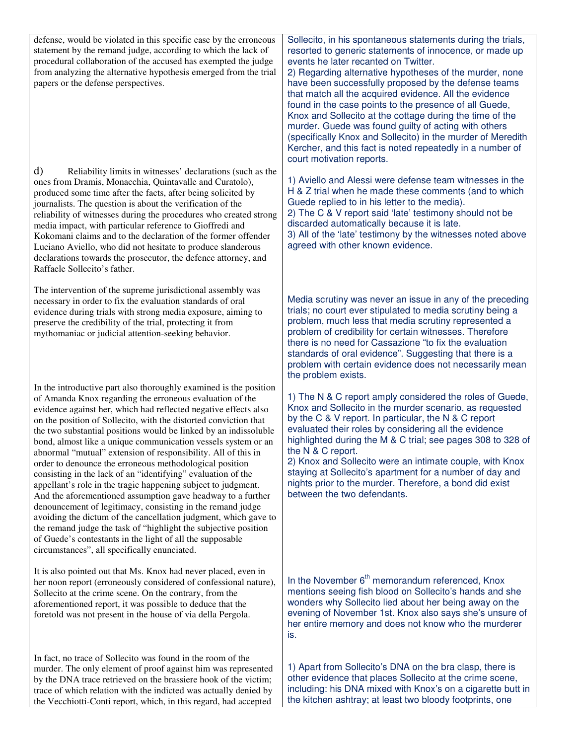defense, would be violated in this specific case by the erroneous statement by the remand judge, according to which the lack of procedural collaboration of the accused has exempted the judge from analyzing the alternative hypothesis emerged from the trial papers or the defense perspectives. d) Reliability limits in witnesses' declarations (such as the ones from Dramis, Monacchia, Quintavalle and Curatolo), produced some time after the facts, after being solicited by journalists. The question is about the verification of the reliability of witnesses during the procedures who created strong media impact, with particular reference to Gioffredi and Kokomani claims and to the declaration of the former offender Luciano Aviello, who did not hesitate to produce slanderous declarations towards the prosecutor, the defence attorney, and Raffaele Sollecito's father. The intervention of the supreme jurisdictional assembly was necessary in order to fix the evaluation standards of oral evidence during trials with strong media exposure, aiming to preserve the credibility of the trial, protecting it from mythomaniac or judicial attention-seeking behavior. In the introductive part also thoroughly examined is the position of Amanda Knox regarding the erroneous evaluation of the evidence against her, which had reflected negative effects also on the position of Sollecito, with the distorted conviction that the two substantial positions would be linked by an indissoluble bond, almost like a unique communication vessels system or an abnormal "mutual" extension of responsibility. All of this in order to denounce the erroneous methodological position consisting in the lack of an "identifying" evaluation of the appellant's role in the tragic happening subject to judgment. And the aforementioned assumption gave headway to a further denouncement of legitimacy, consisting in the remand judge avoiding the dictum of the cancellation judgment, which gave to the remand judge the task of "highlight the subjective position of Guede's contestants in the light of all the supposable circumstances", all specifically enunciated. It is also pointed out that Ms. Knox had never placed, even in her noon report (erroneously considered of confessional nature), Sollecito at the crime scene. On the contrary, from the aforementioned report, it was possible to deduce that the foretold was not present in the house of via della Pergola. In fact, no trace of Sollecito was found in the room of the murder. The only element of proof against him was represented by the DNA trace retrieved on the brassiere hook of the victim; trace of which relation with the indicted was actually denied by Sollecito, in his spontaneous statements during the trials, resorted to generic statements of innocence, or made up events he later recanted on Twitter. 2) Regarding alternative hypotheses of the murder, none have been successfully proposed by the defense teams that match all the acquired evidence. All the evidence found in the case points to the presence of all Guede, Knox and Sollecito at the cottage during the time of the murder. Guede was found guilty of acting with others (specifically Knox and Sollecito) in the murder of Meredith Kercher, and this fact is noted repeatedly in a number of court motivation reports. 1) Aviello and Alessi were defense team witnesses in the H & Z trial when he made these comments (and to which Guede replied to in his letter to the media). 2) The C & V report said 'late' testimony should not be discarded automatically because it is late. 3) All of the 'late' testimony by the witnesses noted above agreed with other known evidence. Media scrutiny was never an issue in any of the preceding trials; no court ever stipulated to media scrutiny being a problem, much less that media scrutiny represented a problem of credibility for certain witnesses. Therefore there is no need for Cassazione "to fix the evaluation standards of oral evidence". Suggesting that there is a problem with certain evidence does not necessarily mean the problem exists. 1) The N & C report amply considered the roles of Guede, Knox and Sollecito in the murder scenario, as requested by the C & V report. In particular, the N & C report evaluated their roles by considering all the evidence highlighted during the M & C trial; see pages 308 to 328 of the N & C report. 2) Knox and Sollecito were an intimate couple, with Knox staying at Sollecito's apartment for a number of day and nights prior to the murder. Therefore, a bond did exist between the two defendants. In the November  $6<sup>th</sup>$  memorandum referenced, Knox mentions seeing fish blood on Sollecito's hands and she wonders why Sollecito lied about her being away on the evening of November 1st. Knox also says she's unsure of her entire memory and does not know who the murderer is. 1) Apart from Sollecito's DNA on the bra clasp, there is other evidence that places Sollecito at the crime scene, including: his DNA mixed with Knox's on a cigarette butt in

the kitchen ashtray; at least two bloody footprints, one

the Vecchiotti-Conti report, which, in this regard, had accepted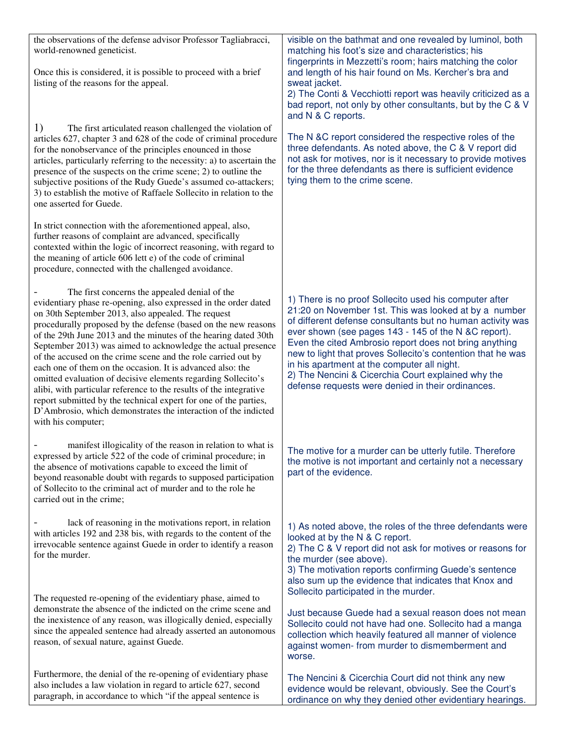| the observations of the defense advisor Professor Tagliabracci,<br>world-renowned geneticist.<br>Once this is considered, it is possible to proceed with a brief<br>listing of the reasons for the appeal.                                                                                                                                                                                                                                                                                                                                                                                                                                                                                                                                                                                                    | visible on the bathmat and one revealed by luminol, both<br>matching his foot's size and characteristics; his<br>fingerprints in Mezzetti's room; hairs matching the color<br>and length of his hair found on Ms. Kercher's bra and<br>sweat jacket.                                                                                                                                                                                                                                                                     |
|---------------------------------------------------------------------------------------------------------------------------------------------------------------------------------------------------------------------------------------------------------------------------------------------------------------------------------------------------------------------------------------------------------------------------------------------------------------------------------------------------------------------------------------------------------------------------------------------------------------------------------------------------------------------------------------------------------------------------------------------------------------------------------------------------------------|--------------------------------------------------------------------------------------------------------------------------------------------------------------------------------------------------------------------------------------------------------------------------------------------------------------------------------------------------------------------------------------------------------------------------------------------------------------------------------------------------------------------------|
|                                                                                                                                                                                                                                                                                                                                                                                                                                                                                                                                                                                                                                                                                                                                                                                                               | 2) The Conti & Vecchiotti report was heavily criticized as a<br>bad report, not only by other consultants, but by the C & V<br>and N & C reports.                                                                                                                                                                                                                                                                                                                                                                        |
| 1)<br>The first articulated reason challenged the violation of<br>articles 627, chapter 3 and 628 of the code of criminal procedure<br>for the nonobservance of the principles enounced in those<br>articles, particularly referring to the necessity: a) to ascertain the<br>presence of the suspects on the crime scene; 2) to outline the<br>subjective positions of the Rudy Guede's assumed co-attackers;<br>3) to establish the motive of Raffaele Sollecito in relation to the<br>one asserted for Guede.                                                                                                                                                                                                                                                                                              | The N &C report considered the respective roles of the<br>three defendants. As noted above, the C & V report did<br>not ask for motives, nor is it necessary to provide motives<br>for the three defendants as there is sufficient evidence<br>tying them to the crime scene.                                                                                                                                                                                                                                            |
| In strict connection with the aforementioned appeal, also,<br>further reasons of complaint are advanced, specifically<br>contexted within the logic of incorrect reasoning, with regard to<br>the meaning of article 606 lett e) of the code of criminal<br>procedure, connected with the challenged avoidance.                                                                                                                                                                                                                                                                                                                                                                                                                                                                                               |                                                                                                                                                                                                                                                                                                                                                                                                                                                                                                                          |
| The first concerns the appealed denial of the<br>evidentiary phase re-opening, also expressed in the order dated<br>on 30th September 2013, also appealed. The request<br>procedurally proposed by the defense (based on the new reasons<br>of the 29th June 2013 and the minutes of the hearing dated 30th<br>September 2013) was aimed to acknowledge the actual presence<br>of the accused on the crime scene and the role carried out by<br>each one of them on the occasion. It is advanced also: the<br>omitted evaluation of decisive elements regarding Sollecito's<br>alibi, with particular reference to the results of the integrative<br>report submitted by the technical expert for one of the parties,<br>D'Ambrosio, which demonstrates the interaction of the indicted<br>with his computer; | 1) There is no proof Sollecito used his computer after<br>21:20 on November 1st. This was looked at by a number<br>of different defense consultants but no human activity was<br>ever shown (see pages 143 - 145 of the N &C report).<br>Even the cited Ambrosio report does not bring anything<br>new to light that proves Sollecito's contention that he was<br>in his apartment at the computer all night.<br>2) The Nencini & Cicerchia Court explained why the<br>defense requests were denied in their ordinances. |
| manifest illogicality of the reason in relation to what is<br>expressed by article 522 of the code of criminal procedure; in<br>the absence of motivations capable to exceed the limit of<br>beyond reasonable doubt with regards to supposed participation<br>of Sollecito to the criminal act of murder and to the role he<br>carried out in the crime;                                                                                                                                                                                                                                                                                                                                                                                                                                                     | The motive for a murder can be utterly futile. Therefore<br>the motive is not important and certainly not a necessary<br>part of the evidence.                                                                                                                                                                                                                                                                                                                                                                           |
| lack of reasoning in the motivations report, in relation<br>with articles 192 and 238 bis, with regards to the content of the<br>irrevocable sentence against Guede in order to identify a reason<br>for the murder.                                                                                                                                                                                                                                                                                                                                                                                                                                                                                                                                                                                          | 1) As noted above, the roles of the three defendants were<br>looked at by the N & C report.<br>2) The C & V report did not ask for motives or reasons for<br>the murder (see above).<br>3) The motivation reports confirming Guede's sentence<br>also sum up the evidence that indicates that Knox and<br>Sollecito participated in the murder.                                                                                                                                                                          |
| The requested re-opening of the evidentiary phase, aimed to<br>demonstrate the absence of the indicted on the crime scene and<br>the inexistence of any reason, was illogically denied, especially<br>since the appealed sentence had already asserted an autonomous<br>reason, of sexual nature, against Guede.                                                                                                                                                                                                                                                                                                                                                                                                                                                                                              | Just because Guede had a sexual reason does not mean<br>Sollecito could not have had one. Sollecito had a manga<br>collection which heavily featured all manner of violence<br>against women- from murder to dismemberment and<br>worse.                                                                                                                                                                                                                                                                                 |
| Furthermore, the denial of the re-opening of evidentiary phase<br>also includes a law violation in regard to article 627, second<br>paragraph, in accordance to which "if the appeal sentence is                                                                                                                                                                                                                                                                                                                                                                                                                                                                                                                                                                                                              | The Nencini & Cicerchia Court did not think any new<br>evidence would be relevant, obviously. See the Court's<br>ordinance on why they denied other evidentiary hearings.                                                                                                                                                                                                                                                                                                                                                |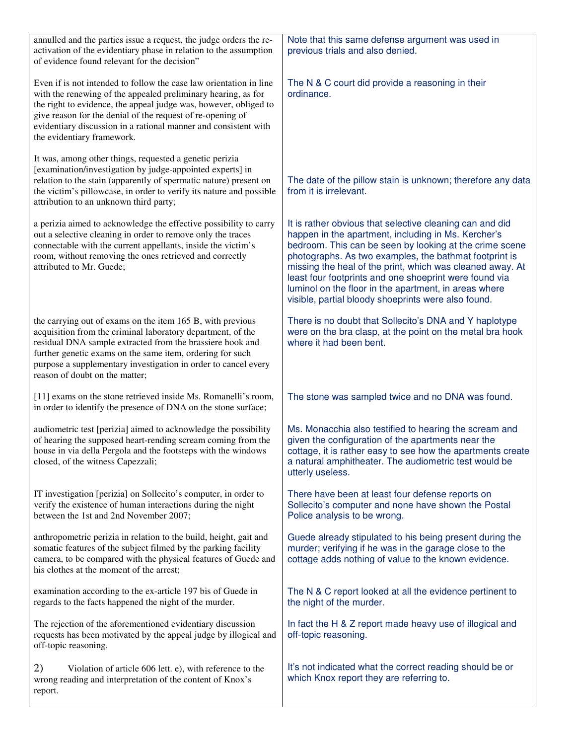| annulled and the parties issue a request, the judge orders the re-<br>activation of the evidentiary phase in relation to the assumption<br>of evidence found relevant for the decision"                                                                                                                                                                                | Note that this same defense argument was used in<br>previous trials and also denied.                                                                                                                                                                                                                                                                                                                                                                                        |
|------------------------------------------------------------------------------------------------------------------------------------------------------------------------------------------------------------------------------------------------------------------------------------------------------------------------------------------------------------------------|-----------------------------------------------------------------------------------------------------------------------------------------------------------------------------------------------------------------------------------------------------------------------------------------------------------------------------------------------------------------------------------------------------------------------------------------------------------------------------|
| Even if is not intended to follow the case law orientation in line<br>with the renewing of the appealed preliminary hearing, as for<br>the right to evidence, the appeal judge was, however, obliged to<br>give reason for the denial of the request of re-opening of<br>evidentiary discussion in a rational manner and consistent with<br>the evidentiary framework. | The N & C court did provide a reasoning in their<br>ordinance.                                                                                                                                                                                                                                                                                                                                                                                                              |
| It was, among other things, requested a genetic perizia<br>[examination/investigation by judge-appointed experts] in<br>relation to the stain (apparently of spermatic nature) present on<br>the victim's pillowcase, in order to verify its nature and possible<br>attribution to an unknown third party;                                                             | The date of the pillow stain is unknown; therefore any data<br>from it is irrelevant.                                                                                                                                                                                                                                                                                                                                                                                       |
| a perizia aimed to acknowledge the effective possibility to carry<br>out a selective cleaning in order to remove only the traces<br>connectable with the current appellants, inside the victim's<br>room, without removing the ones retrieved and correctly<br>attributed to Mr. Guede;                                                                                | It is rather obvious that selective cleaning can and did<br>happen in the apartment, including in Ms. Kercher's<br>bedroom. This can be seen by looking at the crime scene<br>photographs. As two examples, the bathmat footprint is<br>missing the heal of the print, which was cleaned away. At<br>least four footprints and one shoeprint were found via<br>luminol on the floor in the apartment, in areas where<br>visible, partial bloody shoeprints were also found. |
| the carrying out of exams on the item 165 B, with previous<br>acquisition from the criminal laboratory department, of the<br>residual DNA sample extracted from the brassiere hook and<br>further genetic exams on the same item, ordering for such<br>purpose a supplementary investigation in order to cancel every<br>reason of doubt on the matter;                | There is no doubt that Sollecito's DNA and Y haplotype<br>were on the bra clasp, at the point on the metal bra hook<br>where it had been bent.                                                                                                                                                                                                                                                                                                                              |
| [11] exams on the stone retrieved inside Ms. Romanelli's room,<br>in order to identify the presence of DNA on the stone surface;                                                                                                                                                                                                                                       | The stone was sampled twice and no DNA was found.                                                                                                                                                                                                                                                                                                                                                                                                                           |
| audiometric test [perizia] aimed to acknowledge the possibility<br>of hearing the supposed heart-rending scream coming from the<br>house in via della Pergola and the footsteps with the windows<br>closed, of the witness Capezzali;                                                                                                                                  | Ms. Monacchia also testified to hearing the scream and<br>given the configuration of the apartments near the<br>cottage, it is rather easy to see how the apartments create<br>a natural amphitheater. The audiometric test would be<br>utterly useless.                                                                                                                                                                                                                    |
| IT investigation [perizia] on Sollecito's computer, in order to<br>verify the existence of human interactions during the night<br>between the 1st and 2nd November 2007;                                                                                                                                                                                               | There have been at least four defense reports on<br>Sollecito's computer and none have shown the Postal<br>Police analysis to be wrong.                                                                                                                                                                                                                                                                                                                                     |
| anthropometric perizia in relation to the build, height, gait and<br>somatic features of the subject filmed by the parking facility<br>camera, to be compared with the physical features of Guede and<br>his clothes at the moment of the arrest;                                                                                                                      | Guede already stipulated to his being present during the<br>murder; verifying if he was in the garage close to the<br>cottage adds nothing of value to the known evidence.                                                                                                                                                                                                                                                                                                  |
| examination according to the ex-article 197 bis of Guede in<br>regards to the facts happened the night of the murder.                                                                                                                                                                                                                                                  | The N & C report looked at all the evidence pertinent to<br>the night of the murder.                                                                                                                                                                                                                                                                                                                                                                                        |
| The rejection of the aforementioned evidentiary discussion<br>requests has been motivated by the appeal judge by illogical and<br>off-topic reasoning.                                                                                                                                                                                                                 | In fact the H & Z report made heavy use of illogical and<br>off-topic reasoning.                                                                                                                                                                                                                                                                                                                                                                                            |
| 2)<br>Violation of article 606 lett. e), with reference to the<br>wrong reading and interpretation of the content of Knox's<br>report.                                                                                                                                                                                                                                 | It's not indicated what the correct reading should be or<br>which Knox report they are referring to.                                                                                                                                                                                                                                                                                                                                                                        |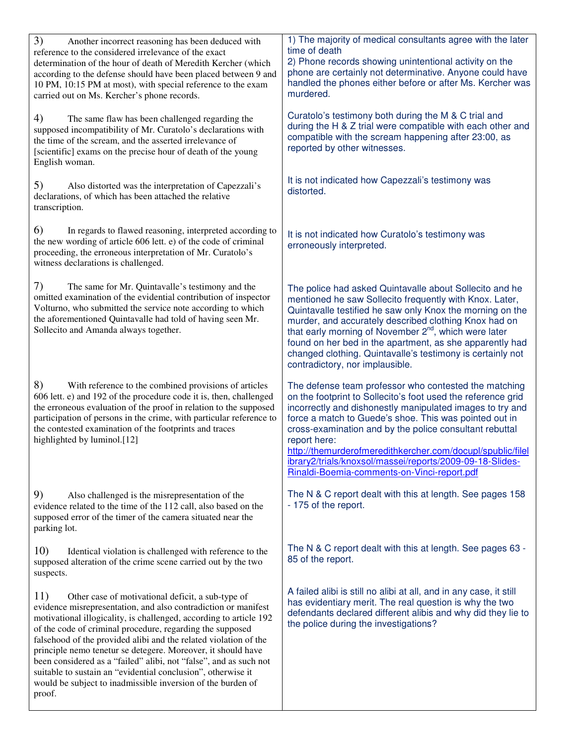| 3)<br>Another incorrect reasoning has been deduced with<br>reference to the considered irrelevance of the exact<br>determination of the hour of death of Meredith Kercher (which<br>according to the defense should have been placed between 9 and<br>10 PM, 10:15 PM at most), with special reference to the exam<br>carried out on Ms. Kercher's phone records.                                                                                                                                                                                                                                               | 1) The majority of medical consultants agree with the later<br>time of death<br>2) Phone records showing unintentional activity on the<br>phone are certainly not determinative. Anyone could have<br>handled the phones either before or after Ms. Kercher was<br>murdered.                                                                                                                                                                                                                     |
|-----------------------------------------------------------------------------------------------------------------------------------------------------------------------------------------------------------------------------------------------------------------------------------------------------------------------------------------------------------------------------------------------------------------------------------------------------------------------------------------------------------------------------------------------------------------------------------------------------------------|--------------------------------------------------------------------------------------------------------------------------------------------------------------------------------------------------------------------------------------------------------------------------------------------------------------------------------------------------------------------------------------------------------------------------------------------------------------------------------------------------|
| 4)<br>The same flaw has been challenged regarding the<br>supposed incompatibility of Mr. Curatolo's declarations with<br>the time of the scream, and the asserted irrelevance of<br>[scientific] exams on the precise hour of death of the young<br>English woman.                                                                                                                                                                                                                                                                                                                                              | Curatolo's testimony both during the M & C trial and<br>during the H & Z trial were compatible with each other and<br>compatible with the scream happening after 23:00, as<br>reported by other witnesses.                                                                                                                                                                                                                                                                                       |
| 5)<br>Also distorted was the interpretation of Capezzali's<br>declarations, of which has been attached the relative<br>transcription.                                                                                                                                                                                                                                                                                                                                                                                                                                                                           | It is not indicated how Capezzali's testimony was<br>distorted.                                                                                                                                                                                                                                                                                                                                                                                                                                  |
| 6)<br>In regards to flawed reasoning, interpreted according to<br>the new wording of article 606 lett. e) of the code of criminal<br>proceeding, the erroneous interpretation of Mr. Curatolo's<br>witness declarations is challenged.                                                                                                                                                                                                                                                                                                                                                                          | It is not indicated how Curatolo's testimony was<br>erroneously interpreted.                                                                                                                                                                                                                                                                                                                                                                                                                     |
| 7)<br>The same for Mr. Quintavalle's testimony and the<br>omitted examination of the evidential contribution of inspector<br>Volturno, who submitted the service note according to which<br>the aforementioned Quintavalle had told of having seen Mr.<br>Sollecito and Amanda always together.                                                                                                                                                                                                                                                                                                                 | The police had asked Quintavalle about Sollecito and he<br>mentioned he saw Sollecito frequently with Knox. Later,<br>Quintavalle testified he saw only Knox the morning on the<br>murder, and accurately described clothing Knox had on<br>that early morning of November 2 <sup>nd</sup> , which were later<br>found on her bed in the apartment, as she apparently had<br>changed clothing. Quintavalle's testimony is certainly not<br>contradictory, nor implausible.                       |
| 8)<br>With reference to the combined provisions of articles<br>606 lett. e) and 192 of the procedure code it is, then, challenged<br>the erroneous evaluation of the proof in relation to the supposed<br>participation of persons in the crime, with particular reference to<br>the contested examination of the footprints and traces<br>highlighted by luminol.[12]                                                                                                                                                                                                                                          | The defense team professor who contested the matching<br>on the footprint to Sollecito's foot used the reference grid<br>incorrectly and dishonestly manipulated images to try and<br>force a match to Guede's shoe. This was pointed out in<br>cross-examination and by the police consultant rebuttal<br>report here:<br>http://themurderofmeredithkercher.com/docupl/spublic/filel<br>ibrary2/trials/knoxsol/massei/reports/2009-09-18-Slides-<br>Rinaldi-Boemia-comments-on-Vinci-report.pdf |
| 9)<br>Also challenged is the misrepresentation of the<br>evidence related to the time of the 112 call, also based on the<br>supposed error of the timer of the camera situated near the<br>parking lot.                                                                                                                                                                                                                                                                                                                                                                                                         | The N & C report dealt with this at length. See pages 158<br>- 175 of the report.                                                                                                                                                                                                                                                                                                                                                                                                                |
| 10)<br>Identical violation is challenged with reference to the<br>supposed alteration of the crime scene carried out by the two<br>suspects.                                                                                                                                                                                                                                                                                                                                                                                                                                                                    | The N & C report dealt with this at length. See pages 63 -<br>85 of the report.                                                                                                                                                                                                                                                                                                                                                                                                                  |
| 11)<br>Other case of motivational deficit, a sub-type of<br>evidence misrepresentation, and also contradiction or manifest<br>motivational illogicality, is challenged, according to article 192<br>of the code of criminal procedure, regarding the supposed<br>falsehood of the provided alibi and the related violation of the<br>principle nemo tenetur se detegere. Moreover, it should have<br>been considered as a "failed" alibi, not "false", and as such not<br>suitable to sustain an "evidential conclusion", otherwise it<br>would be subject to inadmissible inversion of the burden of<br>proof. | A failed alibi is still no alibi at all, and in any case, it still<br>has evidentiary merit. The real question is why the two<br>defendants declared different alibis and why did they lie to<br>the police during the investigations?                                                                                                                                                                                                                                                           |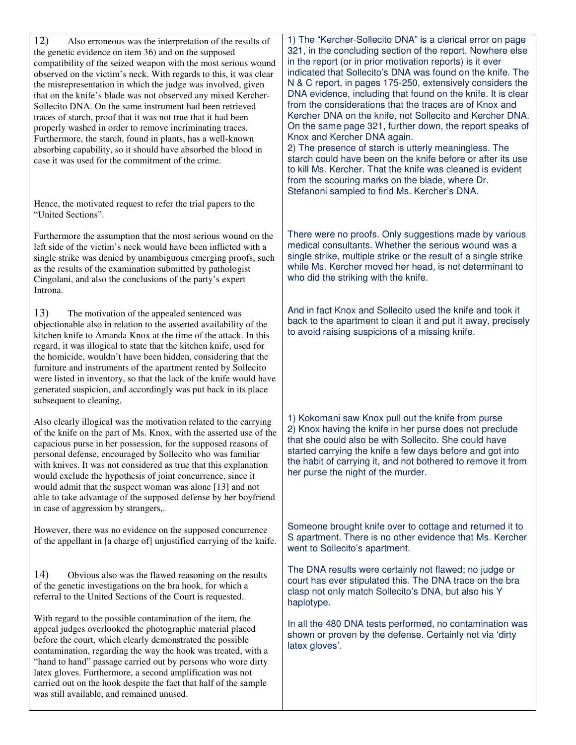12) Also erroneous was the interpretation of the results of the genetic evidence on item 36) and on the supposed compatibility of the seized weapon with the most serious wound observed on the victim's neck. With regards to this, it was clear the misrepresentation in which the judge was involved, given that on the knife's blade was not observed any mixed Kercher-Sollecito DNA. On the same instrument had been retrieved traces of starch, proof that it was not true that it had been properly washed in order to remove incriminating traces. Furthermore, the starch, found in plants, has a well-known absorbing capability, so it should have absorbed the blood in case it was used for the commitment of the crime. Hence, the motivated request to refer the trial papers to the "United Sections". Furthermore the assumption that the most serious wound on the left side of the victim's neck would have been inflicted with a single strike was denied by unambiguous emerging proofs, such as the results of the examination submitted by pathologist Cingolani, and also the conclusions of the party's expert Introna. 13) The motivation of the appealed sentenced was objectionable also in relation to the asserted availability of the kitchen knife to Amanda Knox at the time of the attack. In this regard, it was illogical to state that the kitchen knife, used for the homicide, wouldn't have been hidden, considering that the furniture and instruments of the apartment rented by Sollecito were listed in inventory, so that the lack of the knife would have generated suspicion, and accordingly was put back in its place subsequent to cleaning. Also clearly illogical was the motivation related to the carrying of the knife on the part of Ms. Knox, with the asserted use of the capacious purse in her possession, for the supposed reasons of personal defense, encouraged by Sollecito who was familiar with knives. It was not considered as true that this explanation would exclude the hypothesis of joint concurrence, since it would admit that the suspect woman was alone [13] and not able to take advantage of the supposed defense by her boyfriend in case of aggression by strangers,. However, there was no evidence on the supposed concurrence of the appellant in [a charge of] unjustified carrying of the knife. 14) Obvious also was the flawed reasoning on the results of the genetic investigations on the bra hook, for which a referral to the United Sections of the Court is requested. With regard to the possible contamination of the item, the appeal judges overlooked the photographic material placed before the court, which clearly demonstrated the possible contamination, regarding the way the hook was treated, with a "hand to hand" passage carried out by persons who wore dirty latex gloves. Furthermore, a second amplification was not carried out on the hook despite the fact that half of the sample was still available, and remained unused. 1) The "Kercher-Sollecito DNA" is a clerical error on page 321, in the concluding section of the report. Nowhere else in the report (or in prior motivation reports) is it ever indicated that Sollecito's DNA was found on the knife. The N & C report, in pages 175-250, extensively considers the DNA evidence, including that found on the knife. It is clear from the considerations that the traces are of Knox and Kercher DNA on the knife, not Sollecito and Kercher DNA. On the same page 321, further down, the report speaks of Knox and Kercher DNA again. 2) The presence of starch is utterly meaningless. The starch could have been on the knife before or after its use to kill Ms. Kercher. That the knife was cleaned is evident from the scouring marks on the blade, where Dr. Stefanoni sampled to find Ms. Kercher's DNA. There were no proofs. Only suggestions made by various medical consultants. Whether the serious wound was a single strike, multiple strike or the result of a single strike while Ms. Kercher moved her head, is not determinant to who did the striking with the knife. And in fact Knox and Sollecito used the knife and took it back to the apartment to clean it and put it away, precisely to avoid raising suspicions of a missing knife. 1) Kokomani saw Knox pull out the knife from purse 2) Knox having the knife in her purse does not preclude that she could also be with Sollecito. She could have started carrying the knife a few days before and got into the habit of carrying it, and not bothered to remove it from her purse the night of the murder. Someone brought knife over to cottage and returned it to S apartment. There is no other evidence that Ms. Kercher went to Sollecito's apartment. The DNA results were certainly not flawed; no judge or court has ever stipulated this. The DNA trace on the bra clasp not only match Sollecito's DNA, but also his Y haplotype. In all the 480 DNA tests performed, no contamination was shown or proven by the defense. Certainly not via 'dirty latex gloves'.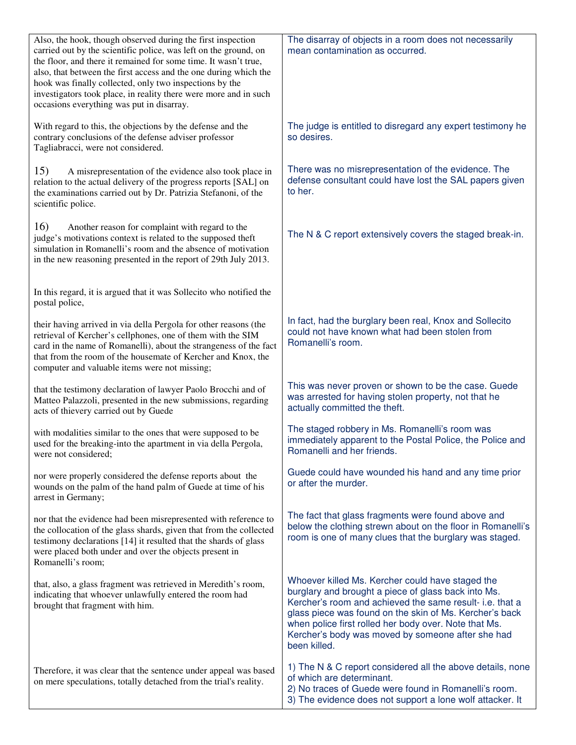| Also, the hook, though observed during the first inspection<br>carried out by the scientific police, was left on the ground, on<br>the floor, and there it remained for some time. It wasn't true,<br>also, that between the first access and the one during which the<br>hook was finally collected, only two inspections by the<br>investigators took place, in reality there were more and in such<br>occasions everything was put in disarray. | The disarray of objects in a room does not necessarily<br>mean contamination as occurred.                                                                                                                                                                                                                                                                    |
|----------------------------------------------------------------------------------------------------------------------------------------------------------------------------------------------------------------------------------------------------------------------------------------------------------------------------------------------------------------------------------------------------------------------------------------------------|--------------------------------------------------------------------------------------------------------------------------------------------------------------------------------------------------------------------------------------------------------------------------------------------------------------------------------------------------------------|
| With regard to this, the objections by the defense and the<br>contrary conclusions of the defense adviser professor<br>Tagliabracci, were not considered.                                                                                                                                                                                                                                                                                          | The judge is entitled to disregard any expert testimony he<br>so desires.                                                                                                                                                                                                                                                                                    |
| 15)<br>A misrepresentation of the evidence also took place in<br>relation to the actual delivery of the progress reports [SAL] on<br>the examinations carried out by Dr. Patrizia Stefanoni, of the<br>scientific police.                                                                                                                                                                                                                          | There was no misrepresentation of the evidence. The<br>defense consultant could have lost the SAL papers given<br>to her.                                                                                                                                                                                                                                    |
| 16)<br>Another reason for complaint with regard to the<br>judge's motivations context is related to the supposed theft<br>simulation in Romanelli's room and the absence of motivation<br>in the new reasoning presented in the report of 29th July 2013.                                                                                                                                                                                          | The N & C report extensively covers the staged break-in.                                                                                                                                                                                                                                                                                                     |
| In this regard, it is argued that it was Sollecito who notified the<br>postal police,                                                                                                                                                                                                                                                                                                                                                              |                                                                                                                                                                                                                                                                                                                                                              |
| their having arrived in via della Pergola for other reasons (the<br>retrieval of Kercher's cellphones, one of them with the SIM<br>card in the name of Romanelli), about the strangeness of the fact<br>that from the room of the housemate of Kercher and Knox, the<br>computer and valuable items were not missing;                                                                                                                              | In fact, had the burglary been real, Knox and Sollecito<br>could not have known what had been stolen from<br>Romanelli's room.                                                                                                                                                                                                                               |
| that the testimony declaration of lawyer Paolo Brocchi and of<br>Matteo Palazzoli, presented in the new submissions, regarding<br>acts of thievery carried out by Guede                                                                                                                                                                                                                                                                            | This was never proven or shown to be the case. Guede<br>was arrested for having stolen property, not that he<br>actually committed the theft.                                                                                                                                                                                                                |
| with modalities similar to the ones that were supposed to be<br>used for the breaking-into the apartment in via della Pergola,<br>were not considered;                                                                                                                                                                                                                                                                                             | The staged robbery in Ms. Romanelli's room was<br>immediately apparent to the Postal Police, the Police and<br>Romanelli and her friends.                                                                                                                                                                                                                    |
| nor were properly considered the defense reports about the<br>wounds on the palm of the hand palm of Guede at time of his<br>arrest in Germany;                                                                                                                                                                                                                                                                                                    | Guede could have wounded his hand and any time prior<br>or after the murder.                                                                                                                                                                                                                                                                                 |
| nor that the evidence had been misrepresented with reference to<br>the collocation of the glass shards, given that from the collected<br>testimony declarations [14] it resulted that the shards of glass<br>were placed both under and over the objects present in<br>Romanelli's room;                                                                                                                                                           | The fact that glass fragments were found above and<br>below the clothing strewn about on the floor in Romanelli's<br>room is one of many clues that the burglary was staged.                                                                                                                                                                                 |
| that, also, a glass fragment was retrieved in Meredith's room,<br>indicating that whoever unlawfully entered the room had<br>brought that fragment with him.                                                                                                                                                                                                                                                                                       | Whoever killed Ms. Kercher could have staged the<br>burglary and brought a piece of glass back into Ms.<br>Kercher's room and achieved the same result- i.e. that a<br>glass piece was found on the skin of Ms. Kercher's back<br>when police first rolled her body over. Note that Ms.<br>Kercher's body was moved by someone after she had<br>been killed. |
| Therefore, it was clear that the sentence under appeal was based<br>on mere speculations, totally detached from the trial's reality.                                                                                                                                                                                                                                                                                                               | 1) The N & C report considered all the above details, none<br>of which are determinant.<br>2) No traces of Guede were found in Romanelli's room.<br>3) The evidence does not support a lone wolf attacker. It                                                                                                                                                |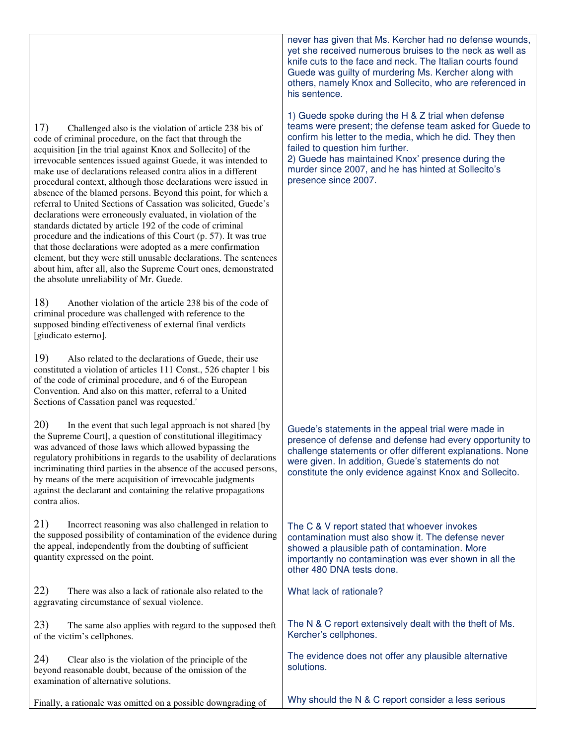17) Challenged also is the violation of article 238 bis of code of criminal procedure, on the fact that through the acquisition [in the trial against Knox and Sollecito] of the irrevocable sentences issued against Guede, it was intended to make use of declarations released contra alios in a different procedural context, although those declarations were issued in absence of the blamed persons. Beyond this point, for which a referral to United Sections of Cassation was solicited, Guede's declarations were erroneously evaluated, in violation of the standards dictated by article 192 of the code of criminal procedure and the indications of this Court (p. 57). It was true that those declarations were adopted as a mere confirmation element, but they were still unusable declarations. The sentences about him, after all, also the Supreme Court ones, demonstrated the absolute unreliability of Mr. Guede.

18) Another violation of the article 238 bis of the code of criminal procedure was challenged with reference to the supposed binding effectiveness of external final verdicts [giudicato esterno].

19) Also related to the declarations of Guede, their use constituted a violation of articles 111 Const., 526 chapter 1 bis of the code of criminal procedure, and 6 of the European Convention. And also on this matter, referral to a United Sections of Cassation panel was requested.'

20) In the event that such legal approach is not shared [by the Supreme Court], a question of constitutional illegitimacy was advanced of those laws which allowed bypassing the regulatory prohibitions in regards to the usability of declarations incriminating third parties in the absence of the accused persons, by means of the mere acquisition of irrevocable judgments against the declarant and containing the relative propagations contra alios.

21) Incorrect reasoning was also challenged in relation to the supposed possibility of contamination of the evidence during the appeal, independently from the doubting of sufficient quantity expressed on the point.

22) There was also a lack of rationale also related to the aggravating circumstance of sexual violence.

23) The same also applies with regard to the supposed theft of the victim's cellphones.

24) Clear also is the violation of the principle of the beyond reasonable doubt, because of the omission of the examination of alternative solutions.

Finally, a rationale was omitted on a possible downgrading of

never has given that Ms. Kercher had no defense wounds, yet she received numerous bruises to the neck as well as knife cuts to the face and neck. The Italian courts found Guede was guilty of murdering Ms. Kercher along with others, namely Knox and Sollecito, who are referenced in his sentence.

1) Guede spoke during the H & Z trial when defense teams were present; the defense team asked for Guede to confirm his letter to the media, which he did. They then failed to question him further.

2) Guede has maintained Knox' presence during the murder since 2007, and he has hinted at Sollecito's presence since 2007.

Guede's statements in the appeal trial were made in presence of defense and defense had every opportunity to challenge statements or offer different explanations. None were given. In addition, Guede's statements do not constitute the only evidence against Knox and Sollecito.

The C & V report stated that whoever invokes contamination must also show it. The defense never showed a plausible path of contamination. More importantly no contamination was ever shown in all the other 480 DNA tests done.

What lack of rationale?

The N & C report extensively dealt with the theft of Ms. Kercher's cellphones.

The evidence does not offer any plausible alternative solutions.

Why should the N & C report consider a less serious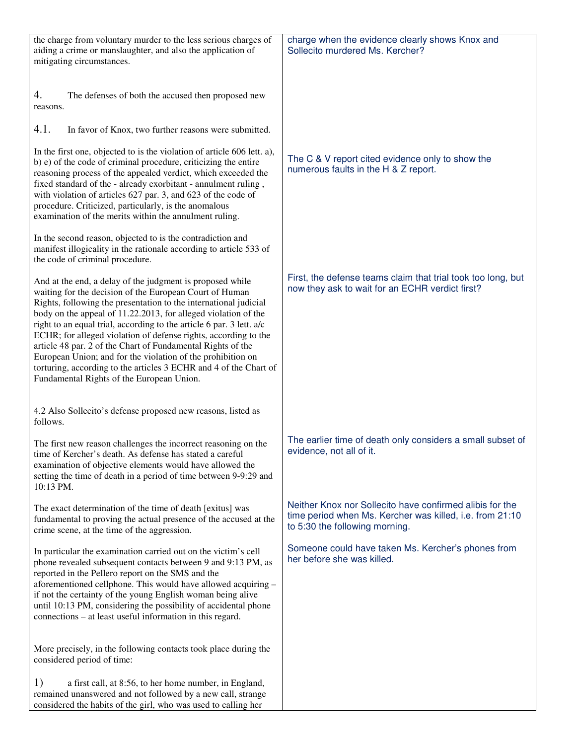| the charge from voluntary murder to the less serious charges of<br>aiding a crime or manslaughter, and also the application of<br>mitigating circumstances.                                                                                                                                                                                                                                                                                                                                                                                                                                                                                           | charge when the evidence clearly shows Knox and<br>Sollecito murdered Ms. Kercher?                                                                     |
|-------------------------------------------------------------------------------------------------------------------------------------------------------------------------------------------------------------------------------------------------------------------------------------------------------------------------------------------------------------------------------------------------------------------------------------------------------------------------------------------------------------------------------------------------------------------------------------------------------------------------------------------------------|--------------------------------------------------------------------------------------------------------------------------------------------------------|
| 4.<br>The defenses of both the accused then proposed new<br>reasons.                                                                                                                                                                                                                                                                                                                                                                                                                                                                                                                                                                                  |                                                                                                                                                        |
| 4.1.<br>In favor of Knox, two further reasons were submitted.                                                                                                                                                                                                                                                                                                                                                                                                                                                                                                                                                                                         |                                                                                                                                                        |
| In the first one, objected to is the violation of article 606 lett. a),<br>b) e) of the code of criminal procedure, criticizing the entire<br>reasoning process of the appealed verdict, which exceeded the<br>fixed standard of the - already exorbitant - annulment ruling,<br>with violation of articles 627 par. 3, and 623 of the code of<br>procedure. Criticized, particularly, is the anomalous<br>examination of the merits within the annulment ruling.                                                                                                                                                                                     | The C & V report cited evidence only to show the<br>numerous faults in the H & Z report.                                                               |
| In the second reason, objected to is the contradiction and<br>manifest illogicality in the rationale according to article 533 of<br>the code of criminal procedure.                                                                                                                                                                                                                                                                                                                                                                                                                                                                                   |                                                                                                                                                        |
| And at the end, a delay of the judgment is proposed while<br>waiting for the decision of the European Court of Human<br>Rights, following the presentation to the international judicial<br>body on the appeal of 11.22.2013, for alleged violation of the<br>right to an equal trial, according to the article 6 par. 3 lett. a/c<br>ECHR; for alleged violation of defense rights, according to the<br>article 48 par. 2 of the Chart of Fundamental Rights of the<br>European Union; and for the violation of the prohibition on<br>torturing, according to the articles 3 ECHR and 4 of the Chart of<br>Fundamental Rights of the European Union. | First, the defense teams claim that trial took too long, but<br>now they ask to wait for an ECHR verdict first?                                        |
| 4.2 Also Sollecito's defense proposed new reasons, listed as<br>follows.                                                                                                                                                                                                                                                                                                                                                                                                                                                                                                                                                                              |                                                                                                                                                        |
| The first new reason challenges the incorrect reasoning on the<br>time of Kercher's death. As defense has stated a careful<br>examination of objective elements would have allowed the<br>setting the time of death in a period of time between 9-9:29 and<br>10:13 PM.                                                                                                                                                                                                                                                                                                                                                                               | The earlier time of death only considers a small subset of<br>evidence, not all of it.                                                                 |
| The exact determination of the time of death [exitus] was<br>fundamental to proving the actual presence of the accused at the<br>crime scene, at the time of the aggression.                                                                                                                                                                                                                                                                                                                                                                                                                                                                          | Neither Knox nor Sollecito have confirmed alibis for the<br>time period when Ms. Kercher was killed, i.e. from 21:10<br>to 5:30 the following morning. |
| In particular the examination carried out on the victim's cell<br>phone revealed subsequent contacts between 9 and 9:13 PM, as<br>reported in the Pellero report on the SMS and the<br>aforementioned cellphone. This would have allowed acquiring -<br>if not the certainty of the young English woman being alive<br>until 10:13 PM, considering the possibility of accidental phone<br>connections – at least useful information in this regard.                                                                                                                                                                                                   | Someone could have taken Ms. Kercher's phones from<br>her before she was killed.                                                                       |
| More precisely, in the following contacts took place during the<br>considered period of time:                                                                                                                                                                                                                                                                                                                                                                                                                                                                                                                                                         |                                                                                                                                                        |
| 1)<br>a first call, at 8:56, to her home number, in England,<br>remained unanswered and not followed by a new call, strange<br>considered the habits of the girl, who was used to calling her                                                                                                                                                                                                                                                                                                                                                                                                                                                         |                                                                                                                                                        |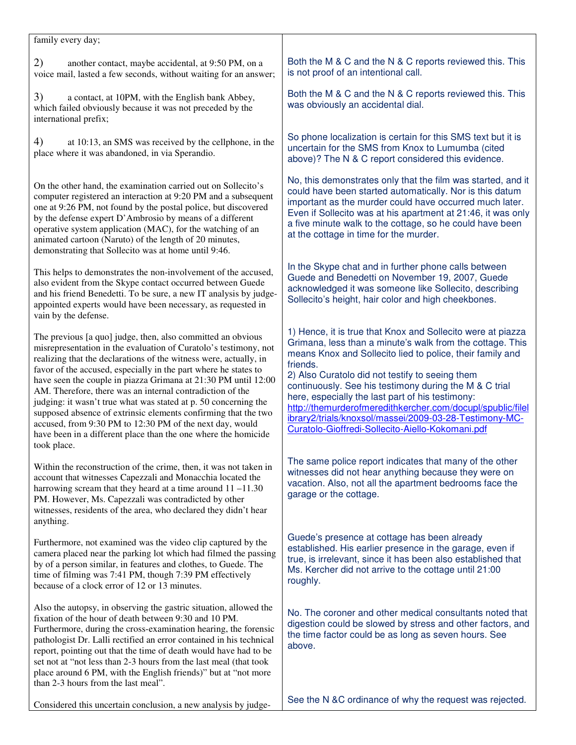| family every day;                                                                                                                                                                                                                                                                                                                                                                                                                                                                                                                                                                                                                                                                        |                                                                                                                                                                                                                                                                                                                                                                                                                                                                                                                                                |
|------------------------------------------------------------------------------------------------------------------------------------------------------------------------------------------------------------------------------------------------------------------------------------------------------------------------------------------------------------------------------------------------------------------------------------------------------------------------------------------------------------------------------------------------------------------------------------------------------------------------------------------------------------------------------------------|------------------------------------------------------------------------------------------------------------------------------------------------------------------------------------------------------------------------------------------------------------------------------------------------------------------------------------------------------------------------------------------------------------------------------------------------------------------------------------------------------------------------------------------------|
| 2)<br>another contact, maybe accidental, at 9:50 PM, on a<br>voice mail, lasted a few seconds, without waiting for an answer;                                                                                                                                                                                                                                                                                                                                                                                                                                                                                                                                                            | Both the M & C and the N & C reports reviewed this. This<br>is not proof of an intentional call.                                                                                                                                                                                                                                                                                                                                                                                                                                               |
| 3)<br>a contact, at 10PM, with the English bank Abbey,<br>which failed obviously because it was not preceded by the<br>international prefix;                                                                                                                                                                                                                                                                                                                                                                                                                                                                                                                                             | Both the M & C and the N & C reports reviewed this. This<br>was obviously an accidental dial.                                                                                                                                                                                                                                                                                                                                                                                                                                                  |
| 4)<br>at 10:13, an SMS was received by the cellphone, in the<br>place where it was abandoned, in via Sperandio.                                                                                                                                                                                                                                                                                                                                                                                                                                                                                                                                                                          | So phone localization is certain for this SMS text but it is<br>uncertain for the SMS from Knox to Lumumba (cited<br>above)? The N & C report considered this evidence.                                                                                                                                                                                                                                                                                                                                                                        |
| On the other hand, the examination carried out on Sollecito's<br>computer registered an interaction at 9:20 PM and a subsequent<br>one at 9:26 PM, not found by the postal police, but discovered<br>by the defense expert D'Ambrosio by means of a different<br>operative system application (MAC), for the watching of an<br>animated cartoon (Naruto) of the length of 20 minutes,<br>demonstrating that Sollecito was at home until 9:46.                                                                                                                                                                                                                                            | No, this demonstrates only that the film was started, and it<br>could have been started automatically. Nor is this datum<br>important as the murder could have occurred much later.<br>Even if Sollecito was at his apartment at 21:46, it was only<br>a five minute walk to the cottage, so he could have been<br>at the cottage in time for the murder.                                                                                                                                                                                      |
| This helps to demonstrates the non-involvement of the accused,<br>also evident from the Skype contact occurred between Guede<br>and his friend Benedetti. To be sure, a new IT analysis by judge-<br>appointed experts would have been necessary, as requested in<br>vain by the defense.                                                                                                                                                                                                                                                                                                                                                                                                | In the Skype chat and in further phone calls between<br>Guede and Benedetti on November 19, 2007, Guede<br>acknowledged it was someone like Sollecito, describing<br>Sollecito's height, hair color and high cheekbones.                                                                                                                                                                                                                                                                                                                       |
| The previous [a quo] judge, then, also committed an obvious<br>misrepresentation in the evaluation of Curatolo's testimony, not<br>realizing that the declarations of the witness were, actually, in<br>favor of the accused, especially in the part where he states to<br>have seen the couple in piazza Grimana at 21:30 PM until 12:00<br>AM. Therefore, there was an internal contradiction of the<br>judging: it wasn't true what was stated at p. 50 concerning the<br>supposed absence of extrinsic elements confirming that the two<br>accused, from 9:30 PM to 12:30 PM of the next day, would<br>have been in a different place than the one where the homicide<br>took place. | 1) Hence, it is true that Knox and Sollecito were at piazza<br>Grimana, less than a minute's walk from the cottage. This<br>means Knox and Sollecito lied to police, their family and<br>friends.<br>2) Also Curatolo did not testify to seeing them<br>continuously. See his testimony during the M & C trial<br>here, especially the last part of his testimony:<br>http://themurderofmeredithkercher.com/docupl/spublic/filel<br>ibrary2/trials/knoxsol/massei/2009-03-28-Testimony-MC-<br>Curatolo-Gioffredi-Sollecito-Aiello-Kokomani.pdf |
| Within the reconstruction of the crime, then, it was not taken in<br>account that witnesses Capezzali and Monacchia located the<br>harrowing scream that they heard at a time around $11 - 11.30$<br>PM. However, Ms. Capezzali was contradicted by other<br>witnesses, residents of the area, who declared they didn't hear<br>anything.                                                                                                                                                                                                                                                                                                                                                | The same police report indicates that many of the other<br>witnesses did not hear anything because they were on<br>vacation. Also, not all the apartment bedrooms face the<br>garage or the cottage.                                                                                                                                                                                                                                                                                                                                           |
| Furthermore, not examined was the video clip captured by the<br>camera placed near the parking lot which had filmed the passing<br>by of a person similar, in features and clothes, to Guede. The<br>time of filming was 7:41 PM, though 7:39 PM effectively<br>because of a clock error of 12 or 13 minutes.                                                                                                                                                                                                                                                                                                                                                                            | Guede's presence at cottage has been already<br>established. His earlier presence in the garage, even if<br>true, is irrelevant, since it has been also established that<br>Ms. Kercher did not arrive to the cottage until 21:00<br>roughly.                                                                                                                                                                                                                                                                                                  |
| Also the autopsy, in observing the gastric situation, allowed the<br>fixation of the hour of death between 9:30 and 10 PM.<br>Furthermore, during the cross-examination hearing, the forensic<br>pathologist Dr. Lalli rectified an error contained in his technical<br>report, pointing out that the time of death would have had to be<br>set not at "not less than 2-3 hours from the last meal (that took<br>place around 6 PM, with the English friends)" but at "not more<br>than 2-3 hours from the last meal".                                                                                                                                                                   | No. The coroner and other medical consultants noted that<br>digestion could be slowed by stress and other factors, and<br>the time factor could be as long as seven hours. See<br>above.                                                                                                                                                                                                                                                                                                                                                       |
| Considered this uncertain conclusion, a new analysis by judge-                                                                                                                                                                                                                                                                                                                                                                                                                                                                                                                                                                                                                           | See the N &C ordinance of why the request was rejected.                                                                                                                                                                                                                                                                                                                                                                                                                                                                                        |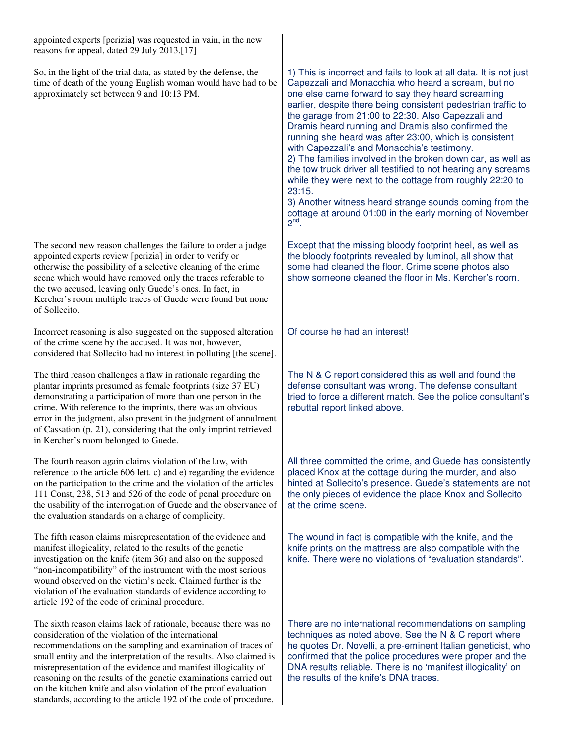| appointed experts [perizia] was requested in vain, in the new<br>reasons for appeal, dated 29 July 2013.[17]                                                                                                                                                                                                                                                                                                                                                                                                                                |                                                                                                                                                                                                                                                                                                                                                                                                                                                                                                                                                                                                                                                                                                                                                                                                                 |
|---------------------------------------------------------------------------------------------------------------------------------------------------------------------------------------------------------------------------------------------------------------------------------------------------------------------------------------------------------------------------------------------------------------------------------------------------------------------------------------------------------------------------------------------|-----------------------------------------------------------------------------------------------------------------------------------------------------------------------------------------------------------------------------------------------------------------------------------------------------------------------------------------------------------------------------------------------------------------------------------------------------------------------------------------------------------------------------------------------------------------------------------------------------------------------------------------------------------------------------------------------------------------------------------------------------------------------------------------------------------------|
| So, in the light of the trial data, as stated by the defense, the<br>time of death of the young English woman would have had to be<br>approximately set between 9 and 10:13 PM.                                                                                                                                                                                                                                                                                                                                                             | 1) This is incorrect and fails to look at all data. It is not just<br>Capezzali and Monacchia who heard a scream, but no<br>one else came forward to say they heard screaming<br>earlier, despite there being consistent pedestrian traffic to<br>the garage from 21:00 to 22:30. Also Capezzali and<br>Dramis heard running and Dramis also confirmed the<br>running she heard was after 23:00, which is consistent<br>with Capezzali's and Monacchia's testimony.<br>2) The families involved in the broken down car, as well as<br>the tow truck driver all testified to not hearing any screams<br>while they were next to the cottage from roughly 22:20 to<br>23:15.<br>3) Another witness heard strange sounds coming from the<br>cottage at around 01:00 in the early morning of November<br>$2^{nd}$ . |
| The second new reason challenges the failure to order a judge<br>appointed experts review [perizia] in order to verify or<br>otherwise the possibility of a selective cleaning of the crime<br>scene which would have removed only the traces referable to<br>the two accused, leaving only Guede's ones. In fact, in<br>Kercher's room multiple traces of Guede were found but none<br>of Sollecito.                                                                                                                                       | Except that the missing bloody footprint heel, as well as<br>the bloody footprints revealed by luminol, all show that<br>some had cleaned the floor. Crime scene photos also<br>show someone cleaned the floor in Ms. Kercher's room.                                                                                                                                                                                                                                                                                                                                                                                                                                                                                                                                                                           |
| Incorrect reasoning is also suggested on the supposed alteration<br>of the crime scene by the accused. It was not, however,<br>considered that Sollecito had no interest in polluting [the scene].                                                                                                                                                                                                                                                                                                                                          | Of course he had an interest!                                                                                                                                                                                                                                                                                                                                                                                                                                                                                                                                                                                                                                                                                                                                                                                   |
| The third reason challenges a flaw in rationale regarding the<br>plantar imprints presumed as female footprints (size 37 EU)<br>demonstrating a participation of more than one person in the<br>crime. With reference to the imprints, there was an obvious<br>error in the judgment, also present in the judgment of annulment<br>of Cassation (p. 21), considering that the only imprint retrieved<br>in Kercher's room belonged to Guede.                                                                                                | The N & C report considered this as well and found the<br>defense consultant was wrong. The defense consultant<br>tried to force a different match. See the police consultant's<br>rebuttal report linked above.                                                                                                                                                                                                                                                                                                                                                                                                                                                                                                                                                                                                |
| The fourth reason again claims violation of the law, with<br>reference to the article 606 lett. c) and e) regarding the evidence<br>on the participation to the crime and the violation of the articles<br>111 Const, 238, 513 and 526 of the code of penal procedure on<br>the usability of the interrogation of Guede and the observance of<br>the evaluation standards on a charge of complicity.                                                                                                                                        | All three committed the crime, and Guede has consistently<br>placed Knox at the cottage during the murder, and also<br>hinted at Sollecito's presence. Guede's statements are not<br>the only pieces of evidence the place Knox and Sollecito<br>at the crime scene.                                                                                                                                                                                                                                                                                                                                                                                                                                                                                                                                            |
| The fifth reason claims misrepresentation of the evidence and<br>manifest illogicality, related to the results of the genetic<br>investigation on the knife (item 36) and also on the supposed<br>"non-incompatibility" of the instrument with the most serious<br>wound observed on the victim's neck. Claimed further is the<br>violation of the evaluation standards of evidence according to<br>article 192 of the code of criminal procedure.                                                                                          | The wound in fact is compatible with the knife, and the<br>knife prints on the mattress are also compatible with the<br>knife. There were no violations of "evaluation standards".                                                                                                                                                                                                                                                                                                                                                                                                                                                                                                                                                                                                                              |
| The sixth reason claims lack of rationale, because there was no<br>consideration of the violation of the international<br>recommendations on the sampling and examination of traces of<br>small entity and the interpretation of the results. Also claimed is<br>misrepresentation of the evidence and manifest illogicality of<br>reasoning on the results of the genetic examinations carried out<br>on the kitchen knife and also violation of the proof evaluation<br>standards, according to the article 192 of the code of procedure. | There are no international recommendations on sampling<br>techniques as noted above. See the N & C report where<br>he quotes Dr. Novelli, a pre-eminent Italian geneticist, who<br>confirmed that the police procedures were proper and the<br>DNA results reliable. There is no 'manifest illogicality' on<br>the results of the knife's DNA traces.                                                                                                                                                                                                                                                                                                                                                                                                                                                           |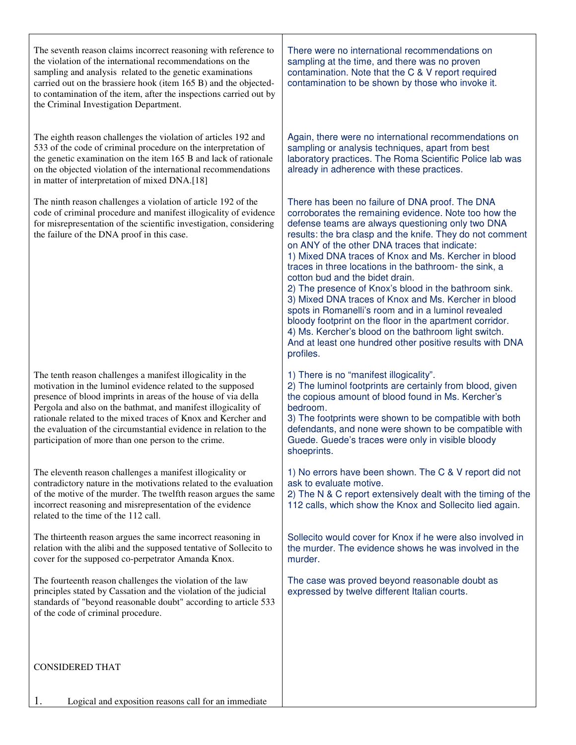| The seventh reason claims incorrect reasoning with reference to<br>the violation of the international recommendations on the<br>sampling and analysis related to the genetic examinations<br>carried out on the brassiere hook (item 165 B) and the objected-<br>to contamination of the item, after the inspections carried out by<br>the Criminal Investigation Department.                                                                          | There were no international recommendations on<br>sampling at the time, and there was no proven<br>contamination. Note that the C & V report required<br>contamination to be shown by those who invoke it.                                                                                                                                                                                                                                                                                                                                                                                                                                                                                                                                                                                            |
|--------------------------------------------------------------------------------------------------------------------------------------------------------------------------------------------------------------------------------------------------------------------------------------------------------------------------------------------------------------------------------------------------------------------------------------------------------|-------------------------------------------------------------------------------------------------------------------------------------------------------------------------------------------------------------------------------------------------------------------------------------------------------------------------------------------------------------------------------------------------------------------------------------------------------------------------------------------------------------------------------------------------------------------------------------------------------------------------------------------------------------------------------------------------------------------------------------------------------------------------------------------------------|
| The eighth reason challenges the violation of articles 192 and<br>533 of the code of criminal procedure on the interpretation of<br>the genetic examination on the item 165 B and lack of rationale<br>on the objected violation of the international recommendations<br>in matter of interpretation of mixed DNA.[18]                                                                                                                                 | Again, there were no international recommendations on<br>sampling or analysis techniques, apart from best<br>laboratory practices. The Roma Scientific Police lab was<br>already in adherence with these practices.                                                                                                                                                                                                                                                                                                                                                                                                                                                                                                                                                                                   |
| The ninth reason challenges a violation of article 192 of the<br>code of criminal procedure and manifest illogicality of evidence<br>for misrepresentation of the scientific investigation, considering<br>the failure of the DNA proof in this case.                                                                                                                                                                                                  | There has been no failure of DNA proof. The DNA<br>corroborates the remaining evidence. Note too how the<br>defense teams are always questioning only two DNA<br>results: the bra clasp and the knife. They do not comment<br>on ANY of the other DNA traces that indicate:<br>1) Mixed DNA traces of Knox and Ms. Kercher in blood<br>traces in three locations in the bathroom- the sink, a<br>cotton bud and the bidet drain.<br>2) The presence of Knox's blood in the bathroom sink.<br>3) Mixed DNA traces of Knox and Ms. Kercher in blood<br>spots in Romanelli's room and in a luminol revealed<br>bloody footprint on the floor in the apartment corridor.<br>4) Ms. Kercher's blood on the bathroom light switch.<br>And at least one hundred other positive results with DNA<br>profiles. |
| The tenth reason challenges a manifest illogicality in the<br>motivation in the luminol evidence related to the supposed<br>presence of blood imprints in areas of the house of via della<br>Pergola and also on the bathmat, and manifest illogicality of<br>rationale related to the mixed traces of Knox and Kercher and<br>the evaluation of the circumstantial evidence in relation to the<br>participation of more than one person to the crime. | 1) There is no "manifest illogicality".<br>2) The luminol footprints are certainly from blood, given<br>the copious amount of blood found in Ms. Kercher's<br>bedroom.<br>3) The footprints were shown to be compatible with both<br>defendants, and none were shown to be compatible with<br>Guede. Guede's traces were only in visible bloody<br>shoeprints.                                                                                                                                                                                                                                                                                                                                                                                                                                        |
| The eleventh reason challenges a manifest illogicality or<br>contradictory nature in the motivations related to the evaluation<br>of the motive of the murder. The twelfth reason argues the same<br>incorrect reasoning and misrepresentation of the evidence<br>related to the time of the 112 call.                                                                                                                                                 | 1) No errors have been shown. The C & V report did not<br>ask to evaluate motive.<br>2) The N & C report extensively dealt with the timing of the<br>112 calls, which show the Knox and Sollecito lied again.                                                                                                                                                                                                                                                                                                                                                                                                                                                                                                                                                                                         |
| The thirteenth reason argues the same incorrect reasoning in<br>relation with the alibi and the supposed tentative of Sollecito to<br>cover for the supposed co-perpetrator Amanda Knox.                                                                                                                                                                                                                                                               | Sollecito would cover for Knox if he were also involved in<br>the murder. The evidence shows he was involved in the<br>murder.                                                                                                                                                                                                                                                                                                                                                                                                                                                                                                                                                                                                                                                                        |
| The fourteenth reason challenges the violation of the law<br>principles stated by Cassation and the violation of the judicial<br>standards of "beyond reasonable doubt" according to article 533<br>of the code of criminal procedure.                                                                                                                                                                                                                 | The case was proved beyond reasonable doubt as<br>expressed by twelve different Italian courts.                                                                                                                                                                                                                                                                                                                                                                                                                                                                                                                                                                                                                                                                                                       |
| <b>CONSIDERED THAT</b>                                                                                                                                                                                                                                                                                                                                                                                                                                 |                                                                                                                                                                                                                                                                                                                                                                                                                                                                                                                                                                                                                                                                                                                                                                                                       |
| 1.<br>Logical and exposition reasons call for an immediate                                                                                                                                                                                                                                                                                                                                                                                             |                                                                                                                                                                                                                                                                                                                                                                                                                                                                                                                                                                                                                                                                                                                                                                                                       |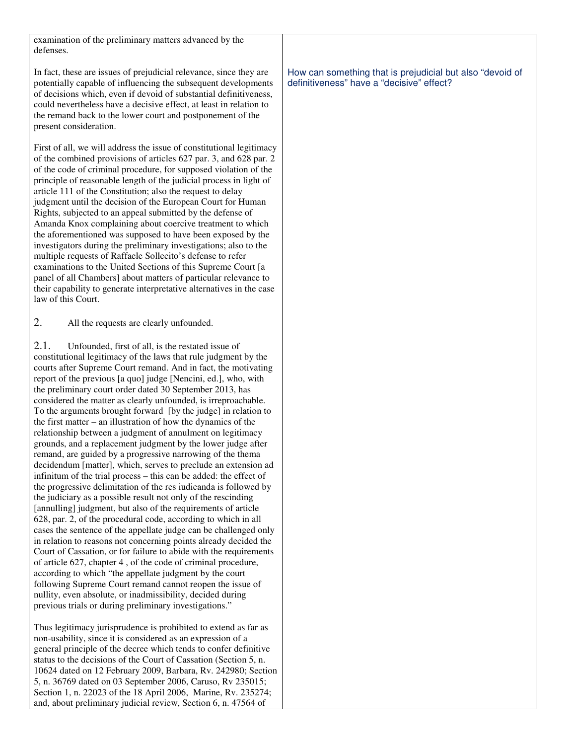examination of the preliminary matters advanced by the defenses.

In fact, these are issues of prejudicial relevance, since they are potentially capable of influencing the subsequent developments of decisions which, even if devoid of substantial definitiveness, could nevertheless have a decisive effect, at least in relation to the remand back to the lower court and postponement of the present consideration.

First of all, we will address the issue of constitutional legitimacy of the combined provisions of articles 627 par. 3, and 628 par. 2 of the code of criminal procedure, for supposed violation of the principle of reasonable length of the judicial process in light of article 111 of the Constitution; also the request to delay judgment until the decision of the European Court for Human Rights, subjected to an appeal submitted by the defense of Amanda Knox complaining about coercive treatment to which the aforementioned was supposed to have been exposed by the investigators during the preliminary investigations; also to the multiple requests of Raffaele Sollecito's defense to refer examinations to the United Sections of this Supreme Court [a panel of all Chambers] about matters of particular relevance to their capability to generate interpretative alternatives in the case law of this Court.

2. All the requests are clearly unfounded.

2.1. Unfounded, first of all, is the restated issue of constitutional legitimacy of the laws that rule judgment by the courts after Supreme Court remand. And in fact, the motivating report of the previous [a quo] judge [Nencini, ed.], who, with the preliminary court order dated 30 September 2013, has considered the matter as clearly unfounded, is irreproachable. To the arguments brought forward [by the judge] in relation to the first matter – an illustration of how the dynamics of the relationship between a judgment of annulment on legitimacy grounds, and a replacement judgment by the lower judge after remand, are guided by a progressive narrowing of the thema decidendum [matter], which, serves to preclude an extension ad infinitum of the trial process – this can be added: the effect of the progressive delimitation of the res iudicanda is followed by the judiciary as a possible result not only of the rescinding [annulling] judgment, but also of the requirements of article 628, par. 2, of the procedural code, according to which in all cases the sentence of the appellate judge can be challenged only in relation to reasons not concerning points already decided the Court of Cassation, or for failure to abide with the requirements of article 627, chapter 4 , of the code of criminal procedure, according to which "the appellate judgment by the court following Supreme Court remand cannot reopen the issue of nullity, even absolute, or inadmissibility, decided during previous trials or during preliminary investigations."

Thus legitimacy jurisprudence is prohibited to extend as far as non-usability, since it is considered as an expression of a general principle of the decree which tends to confer definitive status to the decisions of the Court of Cassation (Section 5, n. 10624 dated on 12 February 2009, Barbara, Rv. 242980; Section 5, n. 36769 dated on 03 September 2006, Caruso, Rv 235015; Section 1, n. 22023 of the 18 April 2006, Marine, Rv. 235274; and, about preliminary judicial review, Section 6, n. 47564 of

How can something that is prejudicial but also "devoid of definitiveness" have a "decisive" effect?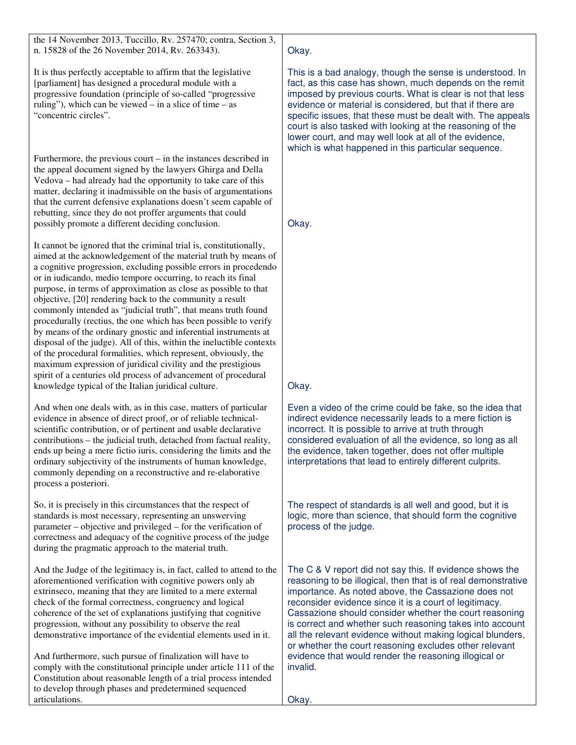the 14 November 2013, Tuccillo, Rv. 257470; contra, Section 3, n. 15828 of the 26 November 2014, Rv. 263343).

It is thus perfectly acceptable to affirm that the legislative [parliament] has designed a procedural module with a progressive foundation (principle of so-called "progressive ruling"), which can be viewed – in a slice of time – as "concentric circles".

Furthermore, the previous court – in the instances described in the appeal document signed by the lawyers Ghirga and Della Vedova – had already had the opportunity to take care of this matter, declaring it inadmissible on the basis of argumentations that the current defensive explanations doesn't seem capable of rebutting, since they do not proffer arguments that could possibly promote a different deciding conclusion.

It cannot be ignored that the criminal trial is, constitutionally, aimed at the acknowledgement of the material truth by means of a cognitive progression, excluding possible errors in procedendo or in iudicando, medio tempore occurring, to reach its final purpose, in terms of approximation as close as possible to that objective, [20] rendering back to the community a result commonly intended as "judicial truth", that means truth found procedurally (rectius, the one which has been possible to verify by means of the ordinary gnostic and inferential instruments at disposal of the judge). All of this, within the ineluctible contexts of the procedural formalities, which represent, obviously, the maximum expression of juridical civility and the prestigious spirit of a centuries old process of advancement of procedural knowledge typical of the Italian juridical culture.

And when one deals with, as in this case, matters of particular evidence in absence of direct proof, or of reliable technicalscientific contribution, or of pertinent and usable declarative contributions – the judicial truth, detached from factual reality, ends up being a mere fictio iuris, considering the limits and the ordinary subjectivity of the instruments of human knowledge, commonly depending on a reconstructive and re-elaborative process a posteriori.

So, it is precisely in this circumstances that the respect of standards is most necessary, representing an unswerving parameter – objective and privileged – for the verification of correctness and adequacy of the cognitive process of the judge during the pragmatic approach to the material truth.

And the Judge of the legitimacy is, in fact, called to attend to the aforementioned verification with cognitive powers only ab extrinseco, meaning that they are limited to a mere external check of the formal correctness, congruency and logical coherence of the set of explanations justifying that cognitive progression, without any possibility to observe the real demonstrative importance of the evidential elements used in it.

And furthermore, such pursue of finalization will have to comply with the constitutional principle under article 111 of the Constitution about reasonable length of a trial process intended to develop through phases and predetermined sequenced articulations.

# Okay.

This is a bad analogy, though the sense is understood. In fact, as this case has shown, much depends on the remit imposed by previous courts. What is clear is not that less evidence or material is considered, but that if there are specific issues, that these must be dealt with. The appeals court is also tasked with looking at the reasoning of the lower court, and may well look at all of the evidence, which is what happened in this particular sequence.

Okay.

# Okay.

Even a video of the crime could be fake, so the idea that indirect evidence necessarily leads to a mere fiction is incorrect. It is possible to arrive at truth through considered evaluation of all the evidence, so long as all the evidence, taken together, does not offer multiple interpretations that lead to entirely different culprits.

The respect of standards is all well and good, but it is logic, more than science, that should form the cognitive process of the judge.

The C & V report did not say this. If evidence shows the reasoning to be illogical, then that is of real demonstrative importance. As noted above, the Cassazione does not reconsider evidence since it is a court of legitimacy. Cassazione should consider whether the court reasoning is correct and whether such reasoning takes into account all the relevant evidence without making logical blunders, or whether the court reasoning excludes other relevant evidence that would render the reasoning illogical or invalid.

Okay.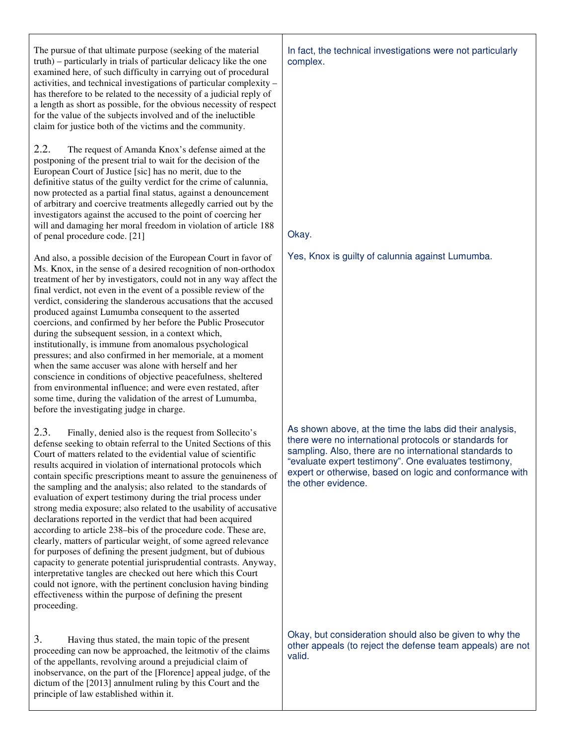The pursue of that ultimate purpose (seeking of the material truth) – particularly in trials of particular delicacy like the one examined here, of such difficulty in carrying out of procedural activities, and technical investigations of particular complexity – has therefore to be related to the necessity of a judicial reply of a length as short as possible, for the obvious necessity of respect for the value of the subjects involved and of the ineluctible claim for justice both of the victims and the community.

2.2. The request of Amanda Knox's defense aimed at the postponing of the present trial to wait for the decision of the European Court of Justice [sic] has no merit, due to the definitive status of the guilty verdict for the crime of calunnia, now protected as a partial final status, against a denouncement of arbitrary and coercive treatments allegedly carried out by the investigators against the accused to the point of coercing her will and damaging her moral freedom in violation of article 188 of penal procedure code. [21]

And also, a possible decision of the European Court in favor of Ms. Knox, in the sense of a desired recognition of non-orthodox treatment of her by investigators, could not in any way affect the final verdict, not even in the event of a possible review of the verdict, considering the slanderous accusations that the accused produced against Lumumba consequent to the asserted coercions, and confirmed by her before the Public Prosecutor during the subsequent session, in a context which, institutionally, is immune from anomalous psychological pressures; and also confirmed in her memoriale, at a moment when the same accuser was alone with herself and her conscience in conditions of objective peacefulness, sheltered from environmental influence; and were even restated, after some time, during the validation of the arrest of Lumumba, before the investigating judge in charge.

2.3. Finally, denied also is the request from Sollecito's defense seeking to obtain referral to the United Sections of this Court of matters related to the evidential value of scientific results acquired in violation of international protocols which contain specific prescriptions meant to assure the genuineness of the sampling and the analysis; also related to the standards of evaluation of expert testimony during the trial process under strong media exposure; also related to the usability of accusative declarations reported in the verdict that had been acquired according to article 238–bis of the procedure code. These are, clearly, matters of particular weight, of some agreed relevance for purposes of defining the present judgment, but of dubious capacity to generate potential jurisprudential contrasts. Anyway, interpretative tangles are checked out here which this Court could not ignore, with the pertinent conclusion having binding effectiveness within the purpose of defining the present proceeding.

3. Having thus stated, the main topic of the present proceeding can now be approached, the leitmotiv of the claims of the appellants, revolving around a prejudicial claim of inobservance, on the part of the [Florence] appeal judge, of the dictum of the [2013] annulment ruling by this Court and the principle of law established within it.

In fact, the technical investigations were not particularly complex.

# Okay.

Yes, Knox is guilty of calunnia against Lumumba.

As shown above, at the time the labs did their analysis, there were no international protocols or standards for sampling. Also, there are no international standards to "evaluate expert testimony". One evaluates testimony, expert or otherwise, based on logic and conformance with the other evidence.

Okay, but consideration should also be given to why the other appeals (to reject the defense team appeals) are not valid.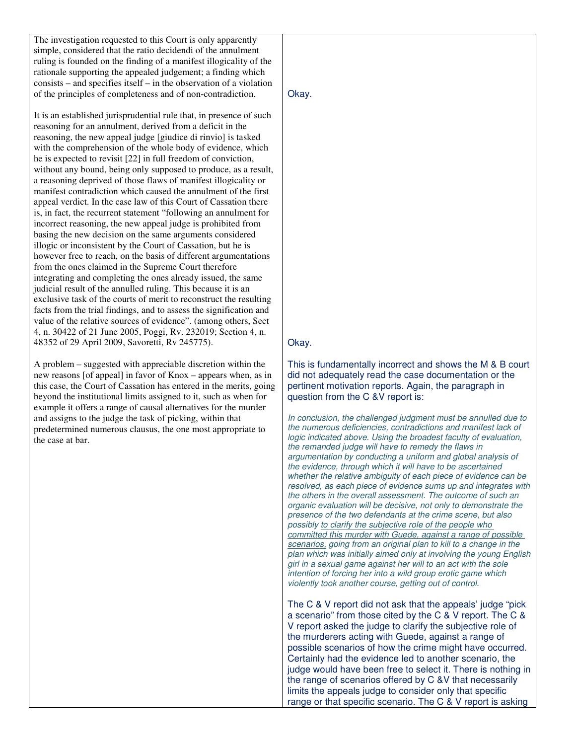The investigation requested to this Court is only apparently simple, considered that the ratio decidendi of the annulment ruling is founded on the finding of a manifest illogicality of the rationale supporting the appealed judgement; a finding which consists – and specifies itself – in the observation of a violation of the principles of completeness and of non-contradiction.

It is an established jurisprudential rule that, in presence of such reasoning for an annulment, derived from a deficit in the reasoning, the new appeal judge [giudice di rinvio] is tasked with the comprehension of the whole body of evidence, which he is expected to revisit [22] in full freedom of conviction, without any bound, being only supposed to produce, as a result, a reasoning deprived of those flaws of manifest illogicality or manifest contradiction which caused the annulment of the first appeal verdict. In the case law of this Court of Cassation there is, in fact, the recurrent statement "following an annulment for incorrect reasoning, the new appeal judge is prohibited from basing the new decision on the same arguments considered illogic or inconsistent by the Court of Cassation, but he is however free to reach, on the basis of different argumentations from the ones claimed in the Supreme Court therefore integrating and completing the ones already issued, the same judicial result of the annulled ruling. This because it is an exclusive task of the courts of merit to reconstruct the resulting facts from the trial findings, and to assess the signification and value of the relative sources of evidence". (among others, Sect 4, n. 30422 of 21 June 2005, Poggi, Rv. 232019; Section 4, n. 48352 of 29 April 2009, Savoretti, Rv 245775).

A problem – suggested with appreciable discretion within the new reasons [of appeal] in favor of Knox – appears when, as in this case, the Court of Cassation has entered in the merits, going beyond the institutional limits assigned to it, such as when for example it offers a range of causal alternatives for the murder and assigns to the judge the task of picking, within that predetermined numerous clausus, the one most appropriate to the case at bar.

Okay.

## Okay.

This is fundamentally incorrect and shows the M & B court did not adequately read the case documentation or the pertinent motivation reports. Again, the paragraph in question from the C &V report is:

*In conclusion, the challenged judgment must be annulled due to the numerous deficiencies, contradictions and manifest lack of logic indicated above. Using the broadest faculty of evaluation, the remanded judge will have to remedy the flaws in argumentation by conducting a uniform and global analysis of the evidence, through which it will have to be ascertained whether the relative ambiguity of each piece of evidence can be resolved, as each piece of evidence sums up and integrates with the others in the overall assessment. The outcome of such an organic evaluation will be decisive, not only to demonstrate the presence of the two defendants at the crime scene, but also possibly to clarify the subjective role of the people who committed this murder with Guede, against a range of possible scenarios, going from an original plan to kill to a change in the plan which was initially aimed only at involving the young English girl in a sexual game against her will to an act with the sole intention of forcing her into a wild group erotic game which violently took another course, getting out of control.* 

The C & V report did not ask that the appeals' judge "pick a scenario" from those cited by the C & V report. The C & V report asked the judge to clarify the subjective role of the murderers acting with Guede, against a range of possible scenarios of how the crime might have occurred. Certainly had the evidence led to another scenario, the judge would have been free to select it. There is nothing in the range of scenarios offered by C &V that necessarily limits the appeals judge to consider only that specific range or that specific scenario. The C & V report is asking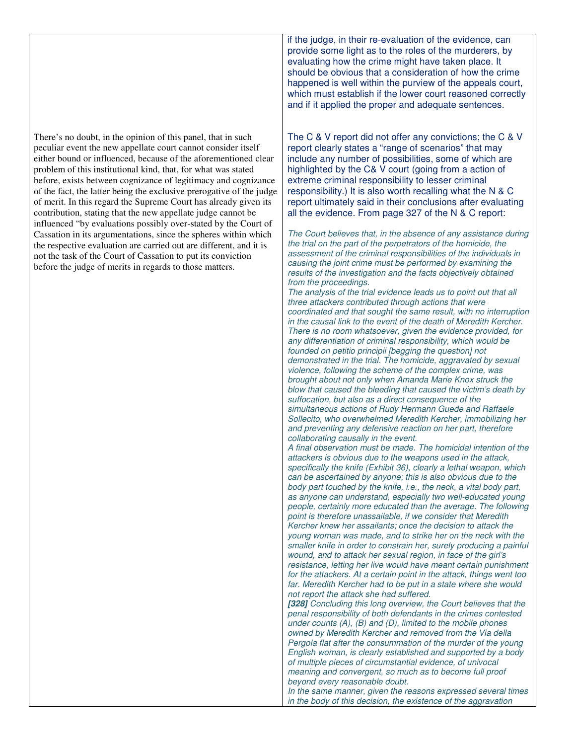There's no doubt, in the opinion of this panel, that in such peculiar event the new appellate court cannot consider itself either bound or influenced, because of the aforementioned clear problem of this institutional kind, that, for what was stated before, exists between cognizance of legitimacy and cognizance of the fact, the latter being the exclusive prerogative of the judge of merit. In this regard the Supreme Court has already given its contribution, stating that the new appellate judge cannot be influenced "by evaluations possibly over-stated by the Court of Cassation in its argumentations, since the spheres within which the respective evaluation are carried out are different, and it is not the task of the Court of Cassation to put its conviction before the judge of merits in regards to those matters.

if the judge, in their re-evaluation of the evidence, can provide some light as to the roles of the murderers, by evaluating how the crime might have taken place. It should be obvious that a consideration of how the crime happened is well within the purview of the appeals court, which must establish if the lower court reasoned correctly and if it applied the proper and adequate sentences.

The C & V report did not offer any convictions; the C & V report clearly states a "range of scenarios" that may include any number of possibilities, some of which are highlighted by the C& V court (going from a action of extreme criminal responsibility to lesser criminal responsibility.) It is also worth recalling what the N & C report ultimately said in their conclusions after evaluating all the evidence. From page 327 of the N & C report:

*The Court believes that, in the absence of any assistance during the trial on the part of the perpetrators of the homicide, the assessment of the criminal responsibilities of the individuals in causing the joint crime must be performed by examining the results of the investigation and the facts objectively obtained from the proceedings.* 

*The analysis of the trial evidence leads us to point out that all three attackers contributed through actions that were coordinated and that sought the same result, with no interruption in the causal link to the event of the death of Meredith Kercher. There is no room whatsoever, given the evidence provided, for any differentiation of criminal responsibility, which would be founded on petitio principii [begging the question] not demonstrated in the trial. The homicide, aggravated by sexual violence, following the scheme of the complex crime, was brought about not only when Amanda Marie Knox struck the blow that caused the bleeding that caused the victim's death by suffocation, but also as a direct consequence of the simultaneous actions of Rudy Hermann Guede and Raffaele Sollecito, who overwhelmed Meredith Kercher, immobilizing her and preventing any defensive reaction on her part, therefore collaborating causally in the event.* 

*A final observation must be made. The homicidal intention of the attackers is obvious due to the weapons used in the attack, specifically the knife (Exhibit 36), clearly a lethal weapon, which can be ascertained by anyone; this is also obvious due to the body part touched by the knife, i.e., the neck, a vital body part, as anyone can understand, especially two well-educated young people, certainly more educated than the average. The following point is therefore unassailable, if we consider that Meredith Kercher knew her assailants; once the decision to attack the young woman was made, and to strike her on the neck with the smaller knife in order to constrain her, surely producing a painful wound, and to attack her sexual region, in face of the girl's resistance, letting her live would have meant certain punishment for the attackers. At a certain point in the attack, things went too*  far. Meredith Kercher had to be put in a state where she would *not report the attack she had suffered.* 

**[328]** *Concluding this long overview, the Court believes that the penal responsibility of both defendants in the crimes contested under counts (A), (B) and (D), limited to the mobile phones owned by Meredith Kercher and removed from the Via della Pergola flat after the consummation of the murder of the young English woman, is clearly established and supported by a body of multiple pieces of circumstantial evidence, of univocal meaning and convergent, so much as to become full proof beyond every reasonable doubt.* 

*In the same manner, given the reasons expressed several times in the body of this decision, the existence of the aggravation*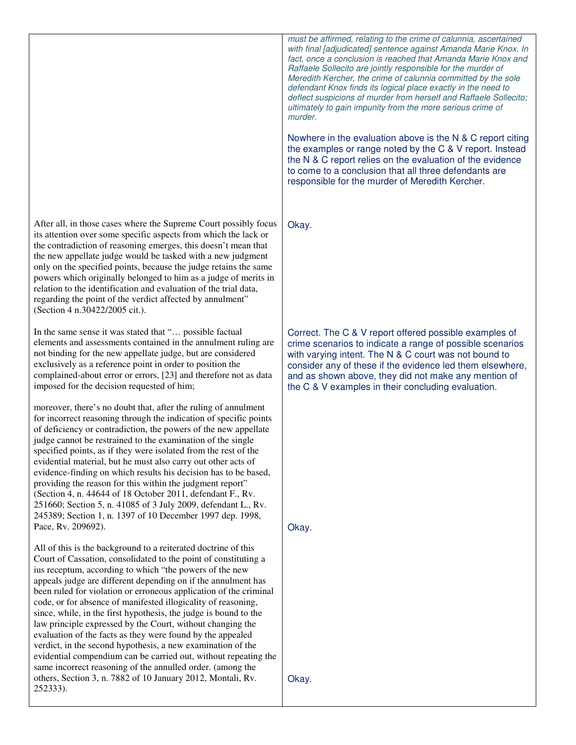After all, in those cases where the Supreme Court possibly focus its attention over some specific aspects from which the lack or the contradiction of reasoning emerges, this doesn't mean that the new appellate judge would be tasked with a new judgment only on the specified points, because the judge retains the same powers which originally belonged to him as a judge of merits in relation to the identification and evaluation of the trial data, regarding the point of the verdict affected by annulment" (Section 4 n.30422/2005 cit.).

In the same sense it was stated that "… possible factual elements and assessments contained in the annulment ruling are not binding for the new appellate judge, but are considered exclusively as a reference point in order to position the complained-about error or errors, [23] and therefore not as data imposed for the decision requested of him;

moreover, there's no doubt that, after the ruling of annulment for incorrect reasoning through the indication of specific points of deficiency or contradiction, the powers of the new appellate judge cannot be restrained to the examination of the single specified points, as if they were isolated from the rest of the evidential material, but he must also carry out other acts of evidence-finding on which results his decision has to be based, providing the reason for this within the judgment report" (Section 4, n. 44644 of 18 October 2011, defendant F., Rv. 251660; Section 5, n. 41085 of 3 July 2009, defendant L., Rv. 245389; Section 1, n. 1397 of 10 December 1997 dep. 1998, Pace, Rv. 209692).

All of this is the background to a reiterated doctrine of this Court of Cassation, consolidated to the point of constituting a ius receptum, according to which "the powers of the new appeals judge are different depending on if the annulment has been ruled for violation or erroneous application of the criminal code, or for absence of manifested illogicality of reasoning, since, while, in the first hypothesis, the judge is bound to the law principle expressed by the Court, without changing the evaluation of the facts as they were found by the appealed verdict, in the second hypothesis, a new examination of the evidential compendium can be carried out, without repeating the same incorrect reasoning of the annulled order. (among the others, Section 3, n. 7882 of 10 January 2012, Montali, Rv. 252333).

*must be affirmed, relating to the crime of calunnia, ascertained with final [adjudicated] sentence against Amanda Marie Knox. In fact, once a conclusion is reached that Amanda Marie Knox and Raffaele Sollecito are jointly responsible for the murder of Meredith Kercher, the crime of calunnia committed by the sole defendant Knox finds its logical place exactly in the need to deflect suspicions of murder from herself and Raffaele Sollecito; ultimately to gain impunity from the more serious crime of murder.* 

Nowhere in the evaluation above is the N & C report citing the examples or range noted by the C & V report. Instead the N & C report relies on the evaluation of the evidence to come to a conclusion that all three defendants are responsible for the murder of Meredith Kercher.

Okay.

Correct. The C & V report offered possible examples of crime scenarios to indicate a range of possible scenarios with varying intent. The N & C court was not bound to consider any of these if the evidence led them elsewhere, and as shown above, they did not make any mention of the C & V examples in their concluding evaluation.

Okay.

Okay.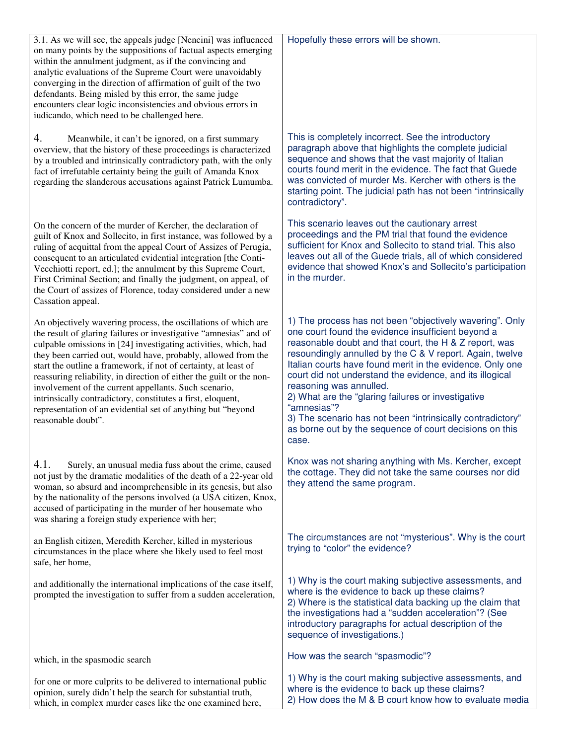| 3.1. As we will see, the appeals judge [Nencini] was influenced<br>on many points by the suppositions of factual aspects emerging<br>within the annulment judgment, as if the convincing and<br>analytic evaluations of the Supreme Court were unavoidably<br>converging in the direction of affirmation of guilt of the two<br>defendants. Being misled by this error, the same judge<br>encounters clear logic inconsistencies and obvious errors in<br>iudicando, which need to be challenged here.                                                                                                                          | Hopefully these errors will be shown.                                                                                                                                                                                                                                                                                                                                                                                                                                                                                                                                                           |
|---------------------------------------------------------------------------------------------------------------------------------------------------------------------------------------------------------------------------------------------------------------------------------------------------------------------------------------------------------------------------------------------------------------------------------------------------------------------------------------------------------------------------------------------------------------------------------------------------------------------------------|-------------------------------------------------------------------------------------------------------------------------------------------------------------------------------------------------------------------------------------------------------------------------------------------------------------------------------------------------------------------------------------------------------------------------------------------------------------------------------------------------------------------------------------------------------------------------------------------------|
| 4.<br>Meanwhile, it can't be ignored, on a first summary<br>overview, that the history of these proceedings is characterized<br>by a troubled and intrinsically contradictory path, with the only<br>fact of irrefutable certainty being the guilt of Amanda Knox<br>regarding the slanderous accusations against Patrick Lumumba.                                                                                                                                                                                                                                                                                              | This is completely incorrect. See the introductory<br>paragraph above that highlights the complete judicial<br>sequence and shows that the vast majority of Italian<br>courts found merit in the evidence. The fact that Guede<br>was convicted of murder Ms. Kercher with others is the<br>starting point. The judicial path has not been "intrinsically<br>contradictory".                                                                                                                                                                                                                    |
| On the concern of the murder of Kercher, the declaration of<br>guilt of Knox and Sollecito, in first instance, was followed by a<br>ruling of acquittal from the appeal Court of Assizes of Perugia,<br>consequent to an articulated evidential integration [the Conti-<br>Vecchiotti report, ed.]; the annulment by this Supreme Court,<br>First Criminal Section; and finally the judgment, on appeal, of<br>the Court of assizes of Florence, today considered under a new<br>Cassation appeal.                                                                                                                              | This scenario leaves out the cautionary arrest<br>proceedings and the PM trial that found the evidence<br>sufficient for Knox and Sollecito to stand trial. This also<br>leaves out all of the Guede trials, all of which considered<br>evidence that showed Knox's and Sollecito's participation<br>in the murder.                                                                                                                                                                                                                                                                             |
| An objectively wavering process, the oscillations of which are<br>the result of glaring failures or investigative "amnesias" and of<br>culpable omissions in [24] investigating activities, which, had<br>they been carried out, would have, probably, allowed from the<br>start the outline a framework, if not of certainty, at least of<br>reassuring reliability, in direction of either the guilt or the non-<br>involvement of the current appellants. Such scenario,<br>intrinsically contradictory, constitutes a first, eloquent,<br>representation of an evidential set of anything but "beyond<br>reasonable doubt". | 1) The process has not been "objectively wavering". Only<br>one court found the evidence insufficient beyond a<br>reasonable doubt and that court, the H & Z report, was<br>resoundingly annulled by the C & V report. Again, twelve<br>Italian courts have found merit in the evidence. Only one<br>court did not understand the evidence, and its illogical<br>reasoning was annulled.<br>2) What are the "glaring failures or investigative<br>"amnesias"?<br>3) The scenario has not been "intrinsically contradictory"<br>as borne out by the sequence of court decisions on this<br>case. |
| 4.1.<br>Surely, an unusual media fuss about the crime, caused<br>not just by the dramatic modalities of the death of a 22-year old<br>woman, so absurd and incomprehensible in its genesis, but also<br>by the nationality of the persons involved (a USA citizen, Knox,<br>accused of participating in the murder of her housemate who<br>was sharing a foreign study experience with her;                                                                                                                                                                                                                                     | Knox was not sharing anything with Ms. Kercher, except<br>the cottage. They did not take the same courses nor did<br>they attend the same program.                                                                                                                                                                                                                                                                                                                                                                                                                                              |
| an English citizen, Meredith Kercher, killed in mysterious<br>circumstances in the place where she likely used to feel most<br>safe, her home,                                                                                                                                                                                                                                                                                                                                                                                                                                                                                  | The circumstances are not "mysterious". Why is the court<br>trying to "color" the evidence?                                                                                                                                                                                                                                                                                                                                                                                                                                                                                                     |
| and additionally the international implications of the case itself,<br>prompted the investigation to suffer from a sudden acceleration,                                                                                                                                                                                                                                                                                                                                                                                                                                                                                         | 1) Why is the court making subjective assessments, and<br>where is the evidence to back up these claims?<br>2) Where is the statistical data backing up the claim that<br>the investigations had a "sudden acceleration"? (See<br>introductory paragraphs for actual description of the<br>sequence of investigations.)                                                                                                                                                                                                                                                                         |
| which, in the spasmodic search                                                                                                                                                                                                                                                                                                                                                                                                                                                                                                                                                                                                  | How was the search "spasmodic"?                                                                                                                                                                                                                                                                                                                                                                                                                                                                                                                                                                 |
| for one or more culprits to be delivered to international public<br>opinion, surely didn't help the search for substantial truth,<br>which, in complex murder cases like the one examined here,                                                                                                                                                                                                                                                                                                                                                                                                                                 | 1) Why is the court making subjective assessments, and<br>where is the evidence to back up these claims?<br>2) How does the M & B court know how to evaluate media                                                                                                                                                                                                                                                                                                                                                                                                                              |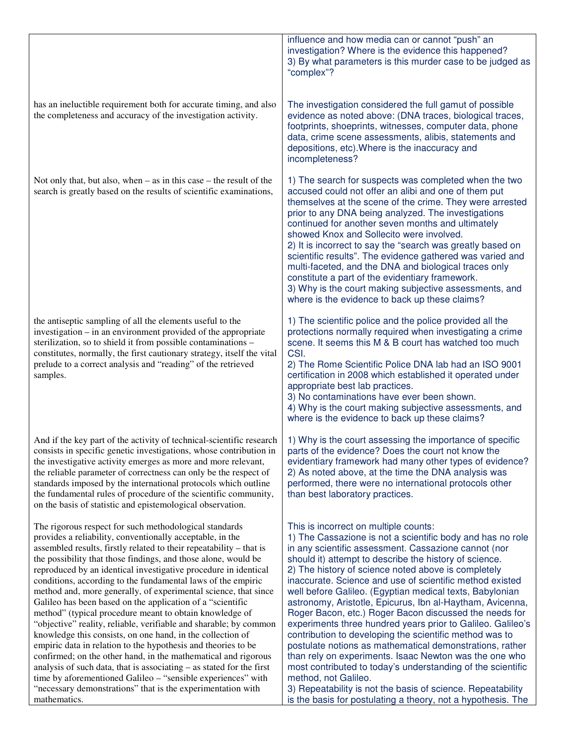|                                                                                                                                                                                                                                                                                                                                                                                                                                                                                                                                                                                                                                                                                                                                                                                                                                                                                                                                                                                                                                                                                          | influence and how media can or cannot "push" an<br>investigation? Where is the evidence this happened?<br>3) By what parameters is this murder case to be judged as<br>"complex"?                                                                                                                                                                                                                                                                                                                                                                                                                                                                                                                                                                                                                                                                                                                                                                                                                 |
|------------------------------------------------------------------------------------------------------------------------------------------------------------------------------------------------------------------------------------------------------------------------------------------------------------------------------------------------------------------------------------------------------------------------------------------------------------------------------------------------------------------------------------------------------------------------------------------------------------------------------------------------------------------------------------------------------------------------------------------------------------------------------------------------------------------------------------------------------------------------------------------------------------------------------------------------------------------------------------------------------------------------------------------------------------------------------------------|---------------------------------------------------------------------------------------------------------------------------------------------------------------------------------------------------------------------------------------------------------------------------------------------------------------------------------------------------------------------------------------------------------------------------------------------------------------------------------------------------------------------------------------------------------------------------------------------------------------------------------------------------------------------------------------------------------------------------------------------------------------------------------------------------------------------------------------------------------------------------------------------------------------------------------------------------------------------------------------------------|
| has an ineluctible requirement both for accurate timing, and also<br>the completeness and accuracy of the investigation activity.                                                                                                                                                                                                                                                                                                                                                                                                                                                                                                                                                                                                                                                                                                                                                                                                                                                                                                                                                        | The investigation considered the full gamut of possible<br>evidence as noted above: (DNA traces, biological traces,<br>footprints, shoeprints, witnesses, computer data, phone<br>data, crime scene assessments, alibis, statements and<br>depositions, etc). Where is the inaccuracy and<br>incompleteness?                                                                                                                                                                                                                                                                                                                                                                                                                                                                                                                                                                                                                                                                                      |
| Not only that, but also, when $-$ as in this case $-$ the result of the<br>search is greatly based on the results of scientific examinations,                                                                                                                                                                                                                                                                                                                                                                                                                                                                                                                                                                                                                                                                                                                                                                                                                                                                                                                                            | 1) The search for suspects was completed when the two<br>accused could not offer an alibi and one of them put<br>themselves at the scene of the crime. They were arrested<br>prior to any DNA being analyzed. The investigations<br>continued for another seven months and ultimately<br>showed Knox and Sollecito were involved.<br>2) It is incorrect to say the "search was greatly based on<br>scientific results". The evidence gathered was varied and<br>multi-faceted, and the DNA and biological traces only<br>constitute a part of the evidentiary framework.<br>3) Why is the court making subjective assessments, and<br>where is the evidence to back up these claims?                                                                                                                                                                                                                                                                                                              |
| the antiseptic sampling of all the elements useful to the<br>investigation – in an environment provided of the appropriate<br>sterilization, so to shield it from possible contaminations -<br>constitutes, normally, the first cautionary strategy, itself the vital<br>prelude to a correct analysis and "reading" of the retrieved<br>samples.                                                                                                                                                                                                                                                                                                                                                                                                                                                                                                                                                                                                                                                                                                                                        | 1) The scientific police and the police provided all the<br>protections normally required when investigating a crime<br>scene. It seems this M & B court has watched too much<br>CSI.<br>2) The Rome Scientific Police DNA lab had an ISO 9001<br>certification in 2008 which established it operated under<br>appropriate best lab practices.<br>3) No contaminations have ever been shown.<br>4) Why is the court making subjective assessments, and<br>where is the evidence to back up these claims?                                                                                                                                                                                                                                                                                                                                                                                                                                                                                          |
| And if the key part of the activity of technical-scientific research<br>consists in specific genetic investigations, whose contribution in<br>the investigative activity emerges as more and more relevant,<br>the reliable parameter of correctness can only be the respect of<br>standards imposed by the international protocols which outline<br>the fundamental rules of procedure of the scientific community,<br>on the basis of statistic and epistemological observation.                                                                                                                                                                                                                                                                                                                                                                                                                                                                                                                                                                                                       | 1) Why is the court assessing the importance of specific<br>parts of the evidence? Does the court not know the<br>evidentiary framework had many other types of evidence?<br>2) As noted above, at the time the DNA analysis was<br>performed, there were no international protocols other<br>than best laboratory practices.                                                                                                                                                                                                                                                                                                                                                                                                                                                                                                                                                                                                                                                                     |
| The rigorous respect for such methodological standards<br>provides a reliability, conventionally acceptable, in the<br>assembled results, firstly related to their repeatability – that is<br>the possibility that those findings, and those alone, would be<br>reproduced by an identical investigative procedure in identical<br>conditions, according to the fundamental laws of the empiric<br>method and, more generally, of experimental science, that since<br>Galileo has been based on the application of a "scientific<br>method" (typical procedure meant to obtain knowledge of<br>"objective" reality, reliable, verifiable and sharable; by common<br>knowledge this consists, on one hand, in the collection of<br>empiric data in relation to the hypothesis and theories to be<br>confirmed; on the other hand, in the mathematical and rigorous<br>analysis of such data, that is associating - as stated for the first<br>time by aforementioned Galileo - "sensible experiences" with<br>"necessary demonstrations" that is the experimentation with<br>mathematics. | This is incorrect on multiple counts:<br>1) The Cassazione is not a scientific body and has no role<br>in any scientific assessment. Cassazione cannot (nor<br>should it) attempt to describe the history of science.<br>2) The history of science noted above is completely<br>inaccurate. Science and use of scientific method existed<br>well before Galileo. (Egyptian medical texts, Babylonian<br>astronomy, Aristotle, Epicurus, Ibn al-Haytham, Avicenna,<br>Roger Bacon, etc.) Roger Bacon discussed the needs for<br>experiments three hundred years prior to Galileo. Galileo's<br>contribution to developing the scientific method was to<br>postulate notions as mathematical demonstrations, rather<br>than rely on experiments. Isaac Newton was the one who<br>most contributed to today's understanding of the scientific<br>method, not Galileo.<br>3) Repeatability is not the basis of science. Repeatability<br>is the basis for postulating a theory, not a hypothesis. The |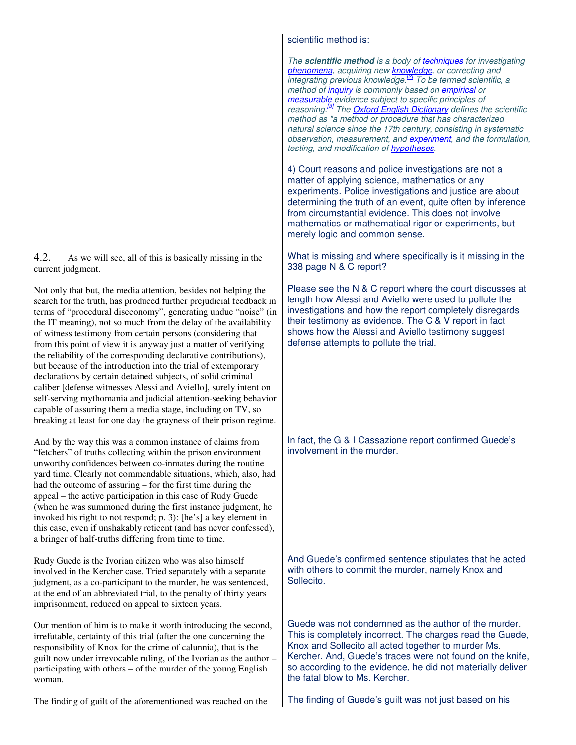4.2. As we will see, all of this is basically missing in the current judgment.

Not only that but, the media attention, besides not helping the search for the truth, has produced further prejudicial feedback in terms of "procedural diseconomy", generating undue "noise" (in the IT meaning), not so much from the delay of the availability of witness testimony from certain persons (considering that from this point of view it is anyway just a matter of verifying the reliability of the corresponding declarative contributions), but because of the introduction into the trial of extemporary declarations by certain detained subjects, of solid criminal caliber [defense witnesses Alessi and Aviello], surely intent on self-serving mythomania and judicial attention-seeking behavior capable of assuring them a media stage, including on TV, so breaking at least for one day the grayness of their prison regime.

And by the way this was a common instance of claims from "fetchers" of truths collecting within the prison environment unworthy confidences between co-inmates during the routine yard time. Clearly not commendable situations, which, also, had had the outcome of assuring – for the first time during the appeal – the active participation in this case of Rudy Guede (when he was summoned during the first instance judgment, he invoked his right to not respond; p. 3): [he's] a key element in this case, even if unshakably reticent (and has never confessed), a bringer of half-truths differing from time to time.

Rudy Guede is the Ivorian citizen who was also himself involved in the Kercher case. Tried separately with a separate judgment, as a co-participant to the murder, he was sentenced, at the end of an abbreviated trial, to the penalty of thirty years imprisonment, reduced on appeal to sixteen years.

Our mention of him is to make it worth introducing the second, irrefutable, certainty of this trial (after the one concerning the responsibility of Knox for the crime of calunnia), that is the guilt now under irrevocable ruling, of the Ivorian as the author – participating with others – of the murder of the young English woman.

The finding of guilt of the aforementioned was reached on the

# scientific method is:

*The* **scientific method** *is a body of techniques for investigating phenomena, acquiring new knowledge, or correcting and integrating previous knowledge.[2] To be termed scientific, a method of inquiry is commonly based on empirical or measurable evidence subject to specific principles of reasoning.[3] The Oxford English Dictionary defines the scientific method as "a method or procedure that has characterized natural science since the 17th century, consisting in systematic observation, measurement, and experiment, and the formulation, testing, and modification of hypotheses.* 

4) Court reasons and police investigations are not a matter of applying science, mathematics or any experiments. Police investigations and justice are about determining the truth of an event, quite often by inference from circumstantial evidence. This does not involve mathematics or mathematical rigor or experiments, but merely logic and common sense.

What is missing and where specifically is it missing in the 338 page N & C report?

Please see the N & C report where the court discusses at length how Alessi and Aviello were used to pollute the investigations and how the report completely disregards their testimony as evidence. The C & V report in fact shows how the Alessi and Aviello testimony suggest defense attempts to pollute the trial.

In fact, the G & I Cassazione report confirmed Guede's involvement in the murder.

And Guede's confirmed sentence stipulates that he acted with others to commit the murder, namely Knox and Sollecito.

Guede was not condemned as the author of the murder. This is completely incorrect. The charges read the Guede, Knox and Sollecito all acted together to murder Ms. Kercher. And, Guede's traces were not found on the knife, so according to the evidence, he did not materially deliver the fatal blow to Ms. Kercher.

The finding of Guede's guilt was not just based on his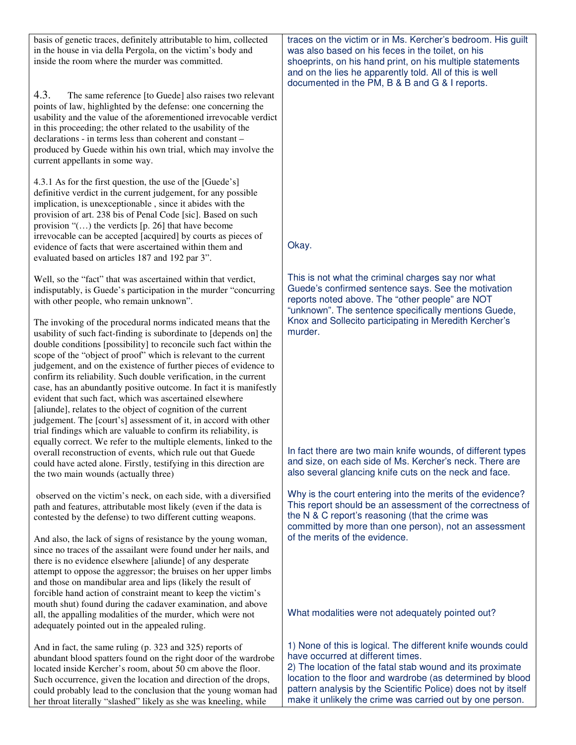| basis of genetic traces, definitely attributable to him, collected<br>in the house in via della Pergola, on the victim's body and<br>inside the room where the murder was committed.                                                                                                                                                                                                                                                                                                                                                                                                                                                                                                                                                                        | traces on the victim or in Ms. Kercher's bedroom. His guilt<br>was also based on his feces in the toilet, on his<br>shoeprints, on his hand print, on his multiple statements<br>and on the lies he apparently told. All of this is well<br>documented in the PM, B & B and G & I reports.                                                                 |
|-------------------------------------------------------------------------------------------------------------------------------------------------------------------------------------------------------------------------------------------------------------------------------------------------------------------------------------------------------------------------------------------------------------------------------------------------------------------------------------------------------------------------------------------------------------------------------------------------------------------------------------------------------------------------------------------------------------------------------------------------------------|------------------------------------------------------------------------------------------------------------------------------------------------------------------------------------------------------------------------------------------------------------------------------------------------------------------------------------------------------------|
| 4.3.<br>The same reference [to Guede] also raises two relevant<br>points of law, highlighted by the defense: one concerning the<br>usability and the value of the aforementioned irrevocable verdict<br>in this proceeding; the other related to the usability of the<br>declarations - in terms less than coherent and constant -<br>produced by Guede within his own trial, which may involve the<br>current appellants in some way.                                                                                                                                                                                                                                                                                                                      |                                                                                                                                                                                                                                                                                                                                                            |
| 4.3.1 As for the first question, the use of the [Guede's]<br>definitive verdict in the current judgement, for any possible<br>implication, is unexceptionable, since it abides with the<br>provision of art. 238 bis of Penal Code [sic]. Based on such<br>provision " $()$ the verdicts [p. 26] that have become<br>irrevocable can be accepted [acquired] by courts as pieces of<br>evidence of facts that were ascertained within them and                                                                                                                                                                                                                                                                                                               | Okay.                                                                                                                                                                                                                                                                                                                                                      |
| evaluated based on articles 187 and 192 par 3".                                                                                                                                                                                                                                                                                                                                                                                                                                                                                                                                                                                                                                                                                                             |                                                                                                                                                                                                                                                                                                                                                            |
| Well, so the "fact" that was ascertained within that verdict,<br>indisputably, is Guede's participation in the murder "concurring<br>with other people, who remain unknown".                                                                                                                                                                                                                                                                                                                                                                                                                                                                                                                                                                                | This is not what the criminal charges say nor what<br>Guede's confirmed sentence says. See the motivation<br>reports noted above. The "other people" are NOT<br>"unknown". The sentence specifically mentions Guede,                                                                                                                                       |
| The invoking of the procedural norms indicated means that the<br>usability of such fact-finding is subordinate to [depends on] the<br>double conditions [possibility] to reconcile such fact within the<br>scope of the "object of proof" which is relevant to the current<br>judgement, and on the existence of further pieces of evidence to<br>confirm its reliability. Such double verification, in the current<br>case, has an abundantly positive outcome. In fact it is manifestly<br>evident that such fact, which was ascertained elsewhere<br>[aliunde], relates to the object of cognition of the current<br>judgement. The [court's] assessment of it, in accord with other<br>trial findings which are valuable to confirm its reliability, is | Knox and Sollecito participating in Meredith Kercher's<br>murder.                                                                                                                                                                                                                                                                                          |
| equally correct. We refer to the multiple elements, linked to the<br>overall reconstruction of events, which rule out that Guede<br>could have acted alone. Firstly, testifying in this direction are<br>the two main wounds (actually three)                                                                                                                                                                                                                                                                                                                                                                                                                                                                                                               | In fact there are two main knife wounds, of different types<br>and size, on each side of Ms. Kercher's neck. There are<br>also several glancing knife cuts on the neck and face.                                                                                                                                                                           |
| observed on the victim's neck, on each side, with a diversified<br>path and features, attributable most likely (even if the data is<br>contested by the defense) to two different cutting weapons.                                                                                                                                                                                                                                                                                                                                                                                                                                                                                                                                                          | Why is the court entering into the merits of the evidence?<br>This report should be an assessment of the correctness of<br>the N & C report's reasoning (that the crime was<br>committed by more than one person), not an assessment                                                                                                                       |
| And also, the lack of signs of resistance by the young woman,<br>since no traces of the assailant were found under her nails, and<br>there is no evidence elsewhere [aliunde] of any desperate<br>attempt to oppose the aggressor; the bruises on her upper limbs<br>and those on mandibular area and lips (likely the result of<br>forcible hand action of constraint meant to keep the victim's                                                                                                                                                                                                                                                                                                                                                           | of the merits of the evidence.                                                                                                                                                                                                                                                                                                                             |
| mouth shut) found during the cadaver examination, and above<br>all, the appalling modalities of the murder, which were not<br>adequately pointed out in the appealed ruling.                                                                                                                                                                                                                                                                                                                                                                                                                                                                                                                                                                                | What modalities were not adequately pointed out?                                                                                                                                                                                                                                                                                                           |
| And in fact, the same ruling (p. 323 and 325) reports of<br>abundant blood spatters found on the right door of the wardrobe<br>located inside Kercher's room, about 50 cm above the floor.<br>Such occurrence, given the location and direction of the drops,<br>could probably lead to the conclusion that the young woman had<br>her throat literally "slashed" likely as she was kneeling, while                                                                                                                                                                                                                                                                                                                                                         | 1) None of this is logical. The different knife wounds could<br>have occurred at different times.<br>2) The location of the fatal stab wound and its proximate<br>location to the floor and wardrobe (as determined by blood<br>pattern analysis by the Scientific Police) does not by itself<br>make it unlikely the crime was carried out by one person. |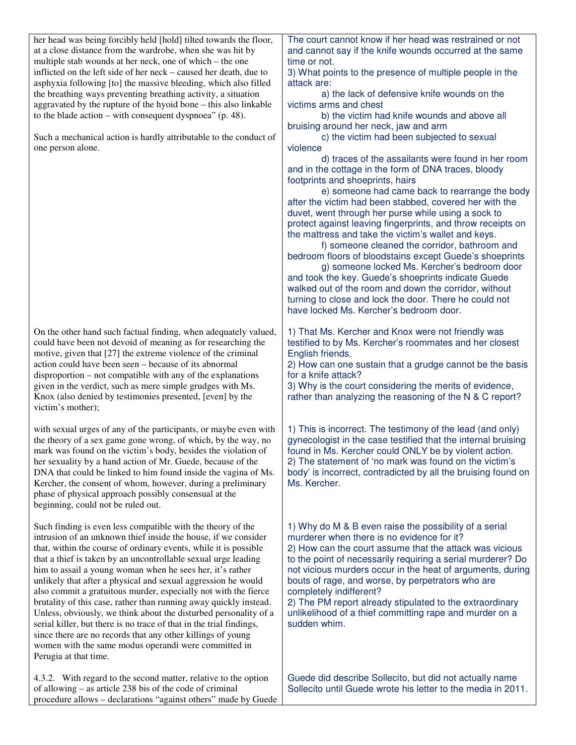| her head was being forcibly held [hold] tilted towards the floor,<br>at a close distance from the wardrobe, when she was hit by<br>multiple stab wounds at her neck, one of which - the one<br>inflicted on the left side of her neck – caused her death, due to<br>asphyxia following [to] the massive bleeding, which also filled<br>the breathing ways preventing breathing activity, a situation<br>aggravated by the rupture of the hyoid bone - this also linkable<br>to the blade action – with consequent dyspnoea" $(p. 48)$ .<br>Such a mechanical action is hardly attributable to the conduct of<br>one person alone.                                                                                                                                                                                                    | The court cannot know if her head was restrained or not<br>and cannot say if the knife wounds occurred at the same<br>time or not.<br>3) What points to the presence of multiple people in the<br>attack are:<br>a) the lack of defensive knife wounds on the<br>victims arms and chest<br>b) the victim had knife wounds and above all<br>bruising around her neck, jaw and arm<br>c) the victim had been subjected to sexual<br>violence<br>d) traces of the assailants were found in her room<br>and in the cottage in the form of DNA traces, bloody<br>footprints and shoeprints, hairs<br>e) someone had came back to rearrange the body<br>after the victim had been stabbed, covered her with the<br>duvet, went through her purse while using a sock to<br>protect against leaving fingerprints, and throw receipts on<br>the mattress and take the victim's wallet and keys.<br>f) someone cleaned the corridor, bathroom and<br>bedroom floors of bloodstains except Guede's shoeprints<br>g) someone locked Ms. Kercher's bedroom door<br>and took the key. Guede's shoeprints indicate Guede<br>walked out of the room and down the corridor, without<br>turning to close and lock the door. There he could not<br>have locked Ms. Kercher's bedroom door. |
|--------------------------------------------------------------------------------------------------------------------------------------------------------------------------------------------------------------------------------------------------------------------------------------------------------------------------------------------------------------------------------------------------------------------------------------------------------------------------------------------------------------------------------------------------------------------------------------------------------------------------------------------------------------------------------------------------------------------------------------------------------------------------------------------------------------------------------------|-------------------------------------------------------------------------------------------------------------------------------------------------------------------------------------------------------------------------------------------------------------------------------------------------------------------------------------------------------------------------------------------------------------------------------------------------------------------------------------------------------------------------------------------------------------------------------------------------------------------------------------------------------------------------------------------------------------------------------------------------------------------------------------------------------------------------------------------------------------------------------------------------------------------------------------------------------------------------------------------------------------------------------------------------------------------------------------------------------------------------------------------------------------------------------------------------------------------------------------------------------------------------|
| On the other hand such factual finding, when adequately valued,<br>could have been not devoid of meaning as for researching the<br>motive, given that [27] the extreme violence of the criminal<br>action could have been seen - because of its abnormal<br>disproportion – not compatible with any of the explanations<br>given in the verdict, such as mere simple grudges with Ms.<br>Knox (also denied by testimonies presented, [even] by the<br>victim's mother);                                                                                                                                                                                                                                                                                                                                                              | 1) That Ms. Kercher and Knox were not friendly was<br>testified to by Ms. Kercher's roommates and her closest<br>English friends.<br>2) How can one sustain that a grudge cannot be the basis<br>for a knife attack?<br>3) Why is the court considering the merits of evidence,<br>rather than analyzing the reasoning of the N & C report?                                                                                                                                                                                                                                                                                                                                                                                                                                                                                                                                                                                                                                                                                                                                                                                                                                                                                                                             |
| with sexual urges of any of the participants, or maybe even with<br>the theory of a sex game gone wrong, of which, by the way, no<br>mark was found on the victim's body, besides the violation of<br>her sexuality by a hand action of Mr. Guede, because of the<br>DNA that could be linked to him found inside the vagina of Ms.<br>Kercher, the consent of whom, however, during a preliminary<br>phase of physical approach possibly consensual at the<br>beginning, could not be ruled out.                                                                                                                                                                                                                                                                                                                                    | 1) This is incorrect. The testimony of the lead (and only)<br>gynecologist in the case testified that the internal bruising<br>found in Ms. Kercher could ONLY be by violent action.<br>2) The statement of 'no mark was found on the victim's<br>body' is incorrect, contradicted by all the bruising found on<br>Ms. Kercher.                                                                                                                                                                                                                                                                                                                                                                                                                                                                                                                                                                                                                                                                                                                                                                                                                                                                                                                                         |
| Such finding is even less compatible with the theory of the<br>intrusion of an unknown thief inside the house, if we consider<br>that, within the course of ordinary events, while it is possible<br>that a thief is taken by an uncontrollable sexual urge leading<br>him to assail a young woman when he sees her, it's rather<br>unlikely that after a physical and sexual aggression he would<br>also commit a gratuitous murder, especially not with the fierce<br>brutality of this case, rather than running away quickly instead.<br>Unless, obviously, we think about the disturbed personality of a<br>serial killer, but there is no trace of that in the trial findings,<br>since there are no records that any other killings of young<br>women with the same modus operandi were committed in<br>Perugia at that time. | 1) Why do M & B even raise the possibility of a serial<br>murderer when there is no evidence for it?<br>2) How can the court assume that the attack was vicious<br>to the point of necessarily requiring a serial murderer? Do<br>not vicious murders occur in the heat of arguments, during<br>bouts of rage, and worse, by perpetrators who are<br>completely indifferent?<br>2) The PM report already stipulated to the extraordinary<br>unlikelihood of a thief committing rape and murder on a<br>sudden whim.                                                                                                                                                                                                                                                                                                                                                                                                                                                                                                                                                                                                                                                                                                                                                     |
| 4.3.2. With regard to the second matter, relative to the option<br>of allowing – as article 238 bis of the code of criminal<br>procedure allows - declarations "against others" made by Guede                                                                                                                                                                                                                                                                                                                                                                                                                                                                                                                                                                                                                                        | Guede did describe Sollecito, but did not actually name<br>Sollecito until Guede wrote his letter to the media in 2011.                                                                                                                                                                                                                                                                                                                                                                                                                                                                                                                                                                                                                                                                                                                                                                                                                                                                                                                                                                                                                                                                                                                                                 |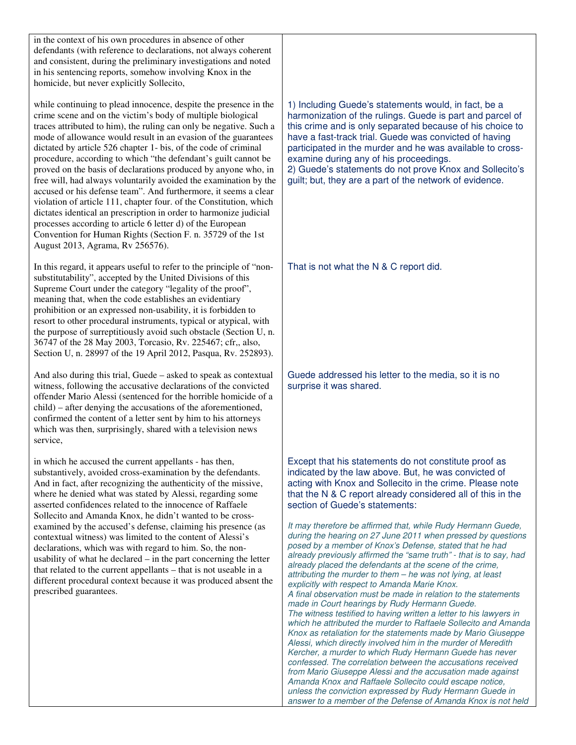in the context of his own procedures in absence of other defendants (with reference to declarations, not always coherent and consistent, during the preliminary investigations and noted in his sentencing reports, somehow involving Knox in the homicide, but never explicitly Sollecito,

while continuing to plead innocence, despite the presence in the crime scene and on the victim's body of multiple biological traces attributed to him), the ruling can only be negative. Such a mode of allowance would result in an evasion of the guarantees dictated by article 526 chapter 1- bis, of the code of criminal procedure, according to which "the defendant's guilt cannot be proved on the basis of declarations produced by anyone who, in free will, had always voluntarily avoided the examination by the accused or his defense team". And furthermore, it seems a clear violation of article 111, chapter four. of the Constitution, which dictates identical an prescription in order to harmonize judicial processes according to article 6 letter d) of the European Convention for Human Rights (Section F. n. 35729 of the 1st August 2013, Agrama, Rv 256576).

In this regard, it appears useful to refer to the principle of "nonsubstitutability", accepted by the United Divisions of this Supreme Court under the category "legality of the proof", meaning that, when the code establishes an evidentiary prohibition or an expressed non-usability, it is forbidden to resort to other procedural instruments, typical or atypical, with the purpose of surreptitiously avoid such obstacle (Section U, n. 36747 of the 28 May 2003, Torcasio, Rv. 225467; cfr,, also, Section U, n. 28997 of the 19 April 2012, Pasqua, Rv. 252893).

And also during this trial, Guede – asked to speak as contextual witness, following the accusative declarations of the convicted offender Mario Alessi (sentenced for the horrible homicide of a child) – after denying the accusations of the aforementioned, confirmed the content of a letter sent by him to his attorneys which was then, surprisingly, shared with a television news service,

in which he accused the current appellants - has then, substantively, avoided cross-examination by the defendants. And in fact, after recognizing the authenticity of the missive, where he denied what was stated by Alessi, regarding some asserted confidences related to the innocence of Raffaele Sollecito and Amanda Knox, he didn't wanted to be crossexamined by the accused's defense, claiming his presence (as contextual witness) was limited to the content of Alessi's declarations, which was with regard to him. So, the nonusability of what he declared – in the part concerning the letter that related to the current appellants – that is not useable in a different procedural context because it was produced absent the prescribed guarantees.

1) Including Guede's statements would, in fact, be a harmonization of the rulings. Guede is part and parcel of this crime and is only separated because of his choice to have a fast-track trial. Guede was convicted of having participated in the murder and he was available to crossexamine during any of his proceedings.

2) Guede's statements do not prove Knox and Sollecito's guilt; but, they are a part of the network of evidence.

That is not what the N & C report did.

Guede addressed his letter to the media, so it is no surprise it was shared.

Except that his statements do not constitute proof as indicated by the law above. But, he was convicted of acting with Knox and Sollecito in the crime. Please note that the N & C report already considered all of this in the section of Guede's statements:

*It may therefore be affirmed that, while Rudy Hermann Guede, during the hearing on 27 June 2011 when pressed by questions posed by a member of Knox's Defense, stated that he had already previously affirmed the "same truth" - that is to say, had already placed the defendants at the scene of the crime, attributing the murder to them – he was not lying, at least explicitly with respect to Amanda Marie Knox. A final observation must be made in relation to the statements made in Court hearings by Rudy Hermann Guede. The witness testified to having written a letter to his lawyers in which he attributed the murder to Raffaele Sollecito and Amanda Knox as retaliation for the statements made by Mario Giuseppe Alessi, which directly involved him in the murder of Meredith Kercher, a murder to which Rudy Hermann Guede has never confessed. The correlation between the accusations received from Mario Giuseppe Alessi and the accusation made against Amanda Knox and Raffaele Sollecito could escape notice, unless the conviction expressed by Rudy Hermann Guede in answer to a member of the Defense of Amanda Knox is not held*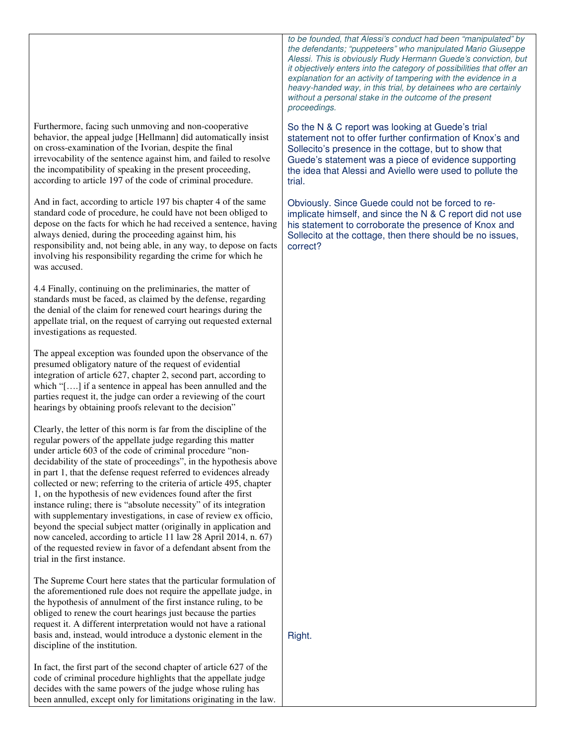Furthermore, facing such unmoving and non-cooperative behavior, the appeal judge [Hellmann] did automatically insist on cross-examination of the Ivorian, despite the final irrevocability of the sentence against him, and failed to resolve the incompatibility of speaking in the present proceeding, according to article 197 of the code of criminal procedure.

And in fact, according to article 197 bis chapter 4 of the same standard code of procedure, he could have not been obliged to depose on the facts for which he had received a sentence, having always denied, during the proceeding against him, his responsibility and, not being able, in any way, to depose on facts involving his responsibility regarding the crime for which he was accused.

4.4 Finally, continuing on the preliminaries, the matter of standards must be faced, as claimed by the defense, regarding the denial of the claim for renewed court hearings during the appellate trial, on the request of carrying out requested external investigations as requested.

The appeal exception was founded upon the observance of the presumed obligatory nature of the request of evidential integration of article 627, chapter 2, second part, according to which "[….] if a sentence in appeal has been annulled and the parties request it, the judge can order a reviewing of the court hearings by obtaining proofs relevant to the decision"

Clearly, the letter of this norm is far from the discipline of the regular powers of the appellate judge regarding this matter under article 603 of the code of criminal procedure "nondecidability of the state of proceedings", in the hypothesis above in part 1, that the defense request referred to evidences already collected or new; referring to the criteria of article 495, chapter 1, on the hypothesis of new evidences found after the first instance ruling; there is "absolute necessity" of its integration with supplementary investigations, in case of review ex officio, beyond the special subject matter (originally in application and now canceled, according to article 11 law 28 April 2014, n. 67) of the requested review in favor of a defendant absent from the trial in the first instance.

The Supreme Court here states that the particular formulation of the aforementioned rule does not require the appellate judge, in the hypothesis of annulment of the first instance ruling, to be obliged to renew the court hearings just because the parties request it. A different interpretation would not have a rational basis and, instead, would introduce a dystonic element in the discipline of the institution.

In fact, the first part of the second chapter of article 627 of the code of criminal procedure highlights that the appellate judge decides with the same powers of the judge whose ruling has been annulled, except only for limitations originating in the law. *to be founded, that Alessi's conduct had been "manipulated" by the defendants; "puppeteers" who manipulated Mario Giuseppe Alessi. This is obviously Rudy Hermann Guede's conviction, but it objectively enters into the category of possibilities that offer an explanation for an activity of tampering with the evidence in a heavy-handed way, in this trial, by detainees who are certainly without a personal stake in the outcome of the present proceedings.* 

So the N & C report was looking at Guede's trial statement not to offer further confirmation of Knox's and Sollecito's presence in the cottage, but to show that Guede's statement was a piece of evidence supporting the idea that Alessi and Aviello were used to pollute the trial.

Obviously. Since Guede could not be forced to reimplicate himself, and since the N & C report did not use his statement to corroborate the presence of Knox and Sollecito at the cottage, then there should be no issues, correct?

Right.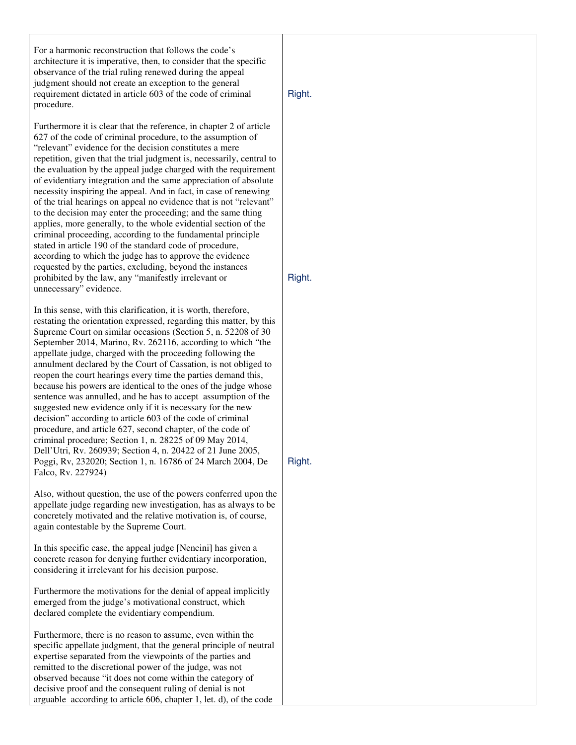For a harmonic reconstruction that follows the code's architecture it is imperative, then, to consider that the specific observance of the trial ruling renewed during the appeal judgment should not create an exception to the general requirement dictated in article 603 of the code of criminal procedure.

Furthermore it is clear that the reference, in chapter 2 of article 627 of the code of criminal procedure, to the assumption of "relevant" evidence for the decision constitutes a mere repetition, given that the trial judgment is, necessarily, central to the evaluation by the appeal judge charged with the requirement of evidentiary integration and the same appreciation of absolute necessity inspiring the appeal. And in fact, in case of renewing of the trial hearings on appeal no evidence that is not "relevant" to the decision may enter the proceeding; and the same thing applies, more generally, to the whole evidential section of the criminal proceeding, according to the fundamental principle stated in article 190 of the standard code of procedure, according to which the judge has to approve the evidence requested by the parties, excluding, beyond the instances prohibited by the law, any "manifestly irrelevant or unnecessary" evidence.

In this sense, with this clarification, it is worth, therefore, restating the orientation expressed, regarding this matter, by this Supreme Court on similar occasions (Section 5, n. 52208 of 30 September 2014, Marino, Rv. 262116, according to which "the appellate judge, charged with the proceeding following the annulment declared by the Court of Cassation, is not obliged to reopen the court hearings every time the parties demand this, because his powers are identical to the ones of the judge whose sentence was annulled, and he has to accept assumption of the suggested new evidence only if it is necessary for the new decision" according to article 603 of the code of criminal procedure, and article 627, second chapter, of the code of criminal procedure; Section 1, n. 28225 of 09 May 2014, Dell'Utri, Rv. 260939; Section 4, n. 20422 of 21 June 2005, Poggi, Rv, 232020; Section 1, n. 16786 of 24 March 2004, De Falco, Rv. 227924)

Also, without question, the use of the powers conferred upon the appellate judge regarding new investigation, has as always to be concretely motivated and the relative motivation is, of course, again contestable by the Supreme Court.

In this specific case, the appeal judge [Nencini] has given a concrete reason for denying further evidentiary incorporation, considering it irrelevant for his decision purpose.

Furthermore the motivations for the denial of appeal implicitly emerged from the judge's motivational construct, which declared complete the evidentiary compendium.

Furthermore, there is no reason to assume, even within the specific appellate judgment, that the general principle of neutral expertise separated from the viewpoints of the parties and remitted to the discretional power of the judge, was not observed because "it does not come within the category of decisive proof and the consequent ruling of denial is not arguable according to article 606, chapter 1, let. d), of the code

Right.

Right.

Right.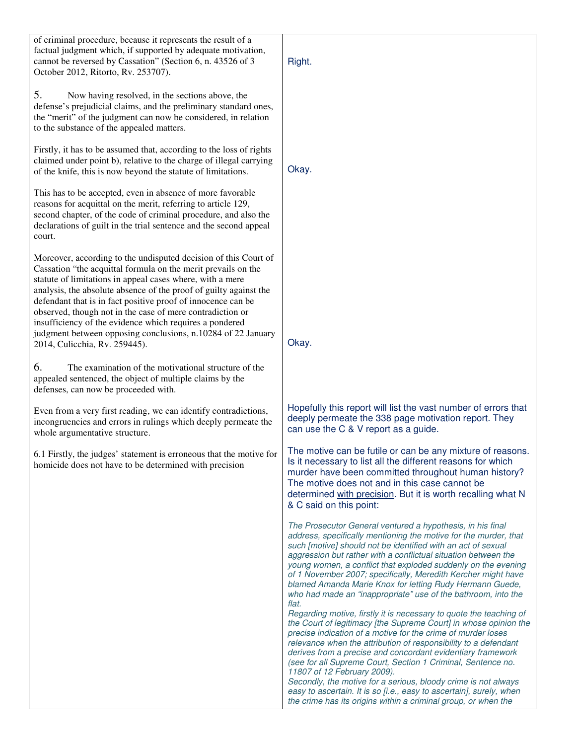| of criminal procedure, because it represents the result of a<br>factual judgment which, if supported by adequate motivation,<br>cannot be reversed by Cassation" (Section 6, n. 43526 of 3<br>October 2012, Ritorto, Rv. 253707).                                                                                                                                                                                                                                                                                                                           | Right.                                                                                                                                                                                                                                                                                                                                                                                                                                                                                                                                                                                                         |
|-------------------------------------------------------------------------------------------------------------------------------------------------------------------------------------------------------------------------------------------------------------------------------------------------------------------------------------------------------------------------------------------------------------------------------------------------------------------------------------------------------------------------------------------------------------|----------------------------------------------------------------------------------------------------------------------------------------------------------------------------------------------------------------------------------------------------------------------------------------------------------------------------------------------------------------------------------------------------------------------------------------------------------------------------------------------------------------------------------------------------------------------------------------------------------------|
| 5.<br>Now having resolved, in the sections above, the<br>defense's prejudicial claims, and the preliminary standard ones,<br>the "merit" of the judgment can now be considered, in relation<br>to the substance of the appealed matters.                                                                                                                                                                                                                                                                                                                    |                                                                                                                                                                                                                                                                                                                                                                                                                                                                                                                                                                                                                |
| Firstly, it has to be assumed that, according to the loss of rights<br>claimed under point b), relative to the charge of illegal carrying<br>of the knife, this is now beyond the statute of limitations.                                                                                                                                                                                                                                                                                                                                                   | Okay.                                                                                                                                                                                                                                                                                                                                                                                                                                                                                                                                                                                                          |
| This has to be accepted, even in absence of more favorable<br>reasons for acquittal on the merit, referring to article 129,<br>second chapter, of the code of criminal procedure, and also the<br>declarations of guilt in the trial sentence and the second appeal<br>court.                                                                                                                                                                                                                                                                               |                                                                                                                                                                                                                                                                                                                                                                                                                                                                                                                                                                                                                |
| Moreover, according to the undisputed decision of this Court of<br>Cassation "the acquittal formula on the merit prevails on the<br>statute of limitations in appeal cases where, with a mere<br>analysis, the absolute absence of the proof of guilty against the<br>defendant that is in fact positive proof of innocence can be<br>observed, though not in the case of mere contradiction or<br>insufficiency of the evidence which requires a pondered<br>judgment between opposing conclusions, n.10284 of 22 January<br>2014, Culicchia, Rv. 259445). | Okay.                                                                                                                                                                                                                                                                                                                                                                                                                                                                                                                                                                                                          |
| 6.<br>The examination of the motivational structure of the<br>appealed sentenced, the object of multiple claims by the<br>defenses, can now be proceeded with.                                                                                                                                                                                                                                                                                                                                                                                              |                                                                                                                                                                                                                                                                                                                                                                                                                                                                                                                                                                                                                |
| Even from a very first reading, we can identify contradictions,<br>incongruencies and errors in rulings which deeply permeate the<br>whole argumentative structure.                                                                                                                                                                                                                                                                                                                                                                                         | Hopefully this report will list the vast number of errors that<br>deeply permeate the 338 page motivation report. They<br>can use the C & V report as a guide.                                                                                                                                                                                                                                                                                                                                                                                                                                                 |
| 6.1 Firstly, the judges' statement is erroneous that the motive for<br>homicide does not have to be determined with precision                                                                                                                                                                                                                                                                                                                                                                                                                               | The motive can be futile or can be any mixture of reasons.<br>Is it necessary to list all the different reasons for which<br>murder have been committed throughout human history?<br>The motive does not and in this case cannot be<br>determined with precision. But it is worth recalling what N<br>& C said on this point:                                                                                                                                                                                                                                                                                  |
|                                                                                                                                                                                                                                                                                                                                                                                                                                                                                                                                                             | The Prosecutor General ventured a hypothesis, in his final<br>address, specifically mentioning the motive for the murder, that<br>such [motive] should not be identified with an act of sexual<br>aggression but rather with a conflictual situation between the<br>young women, a conflict that exploded suddenly on the evening<br>of 1 November 2007; specifically, Meredith Kercher might have<br>blamed Amanda Marie Knox for letting Rudy Hermann Guede,<br>who had made an "inappropriate" use of the bathroom, into the<br>flat.<br>Regarding motive, firstly it is necessary to quote the teaching of |
|                                                                                                                                                                                                                                                                                                                                                                                                                                                                                                                                                             | the Court of legitimacy [the Supreme Court] in whose opinion the<br>precise indication of a motive for the crime of murder loses<br>relevance when the attribution of responsibility to a defendant<br>derives from a precise and concordant evidentiary framework<br>(see for all Supreme Court, Section 1 Criminal, Sentence no.<br>11807 of 12 February 2009).<br>Secondly, the motive for a serious, bloody crime is not always<br>easy to ascertain. It is so [i.e., easy to ascertain], surely, when<br>the crime has its origins within a criminal group, or when the                                   |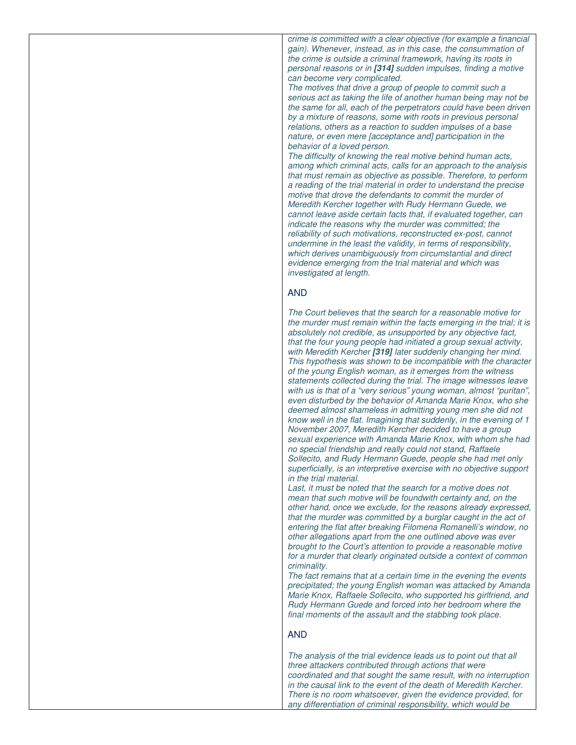*crime is committed with a clear objective (for example a financial gain). Whenever, instead, as in this case, the consummation of the crime is outside a criminal framework, having its roots in personal reasons or in* **[314]** *sudden impulses, finding a motive can become very complicated.* 

*The motives that drive a group of people to commit such a serious act as taking the life of another human being may not be the same for all, each of the perpetrators could have been driven by a mixture of reasons, some with roots in previous personal relations, others as a reaction to sudden impulses of a base nature, or even mere [acceptance and] participation in the behavior of a loved person.* 

*The difficulty of knowing the real motive behind human acts, among which criminal acts, calls for an approach to the analysis that must remain as objective as possible. Therefore, to perform a reading of the trial material in order to understand the precise motive that drove the defendants to commit the murder of Meredith Kercher together with Rudy Hermann Guede, we cannot leave aside certain facts that, if evaluated together, can indicate the reasons why the murder was committed; the reliability of such motivations, reconstructed ex-post, cannot undermine in the least the validity, in terms of responsibility, which derives unambiguously from circumstantial and direct evidence emerging from the trial material and which was investigated at length.* 

# AND

*The Court believes that the search for a reasonable motive for the murder must remain within the facts emerging in the trial; it is absolutely not credible, as unsupported by any objective fact, that the four young people had initiated a group sexual activity, with Meredith Kercher* **[319]** *later suddenly changing her mind. This hypothesis was shown to be incompatible with the character of the young English woman, as it emerges from the witness statements collected during the trial. The image witnesses leave with us is that of a "very serious" young woman, almost "puritan", even disturbed by the behavior of Amanda Marie Knox, who she deemed almost shameless in admitting young men she did not know well in the flat. Imagining that suddenly, in the evening of 1 November 2007, Meredith Kercher decided to have a group sexual experience with Amanda Marie Knox, with whom she had no special friendship and really could not stand, Raffaele Sollecito, and Rudy Hermann Guede, people she had met only superficially, is an interpretive exercise with no objective support in the trial material.* 

Last, it must be noted that the search for a motive does not *mean that such motive will be foundwith certainty and, on the other hand, once we exclude, for the reasons already expressed, that the murder was committed by a burglar caught in the act of entering the flat after breaking Filomena Romanelli's window, no other allegations apart from the one outlined above was ever brought to the Court's attention to provide a reasonable motive for a murder that clearly originated outside a context of common criminality.* 

*The fact remains that at a certain time in the evening the events precipitated; the young English woman was attacked by Amanda Marie Knox, Raffaele Sollecito, who supported his girlfriend, and Rudy Hermann Guede and forced into her bedroom where the final moments of the assault and the stabbing took place.* 

## AND

*The analysis of the trial evidence leads us to point out that all three attackers contributed through actions that were coordinated and that sought the same result, with no interruption in the causal link to the event of the death of Meredith Kercher. There is no room whatsoever, given the evidence provided, for any differentiation of criminal responsibility, which would be*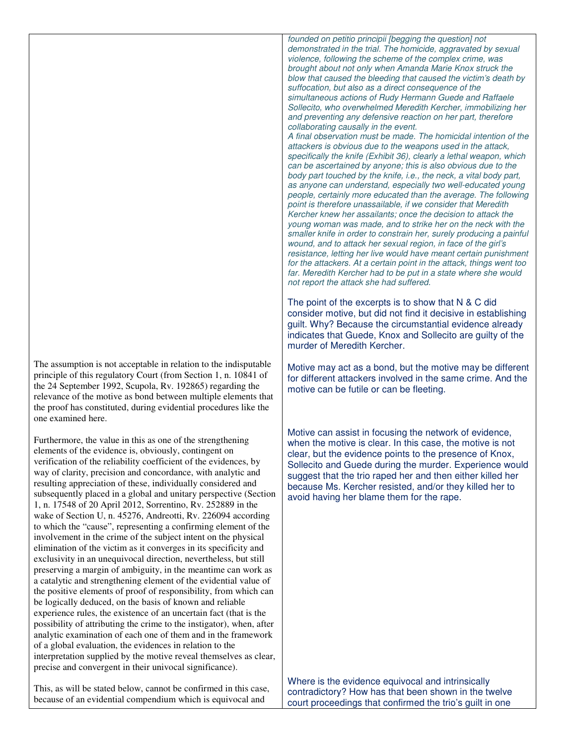The assumption is not acceptable in relation to the indisputable principle of this regulatory Court (from Section 1, n. 10841 of the 24 September 1992, Scupola, Rv. 192865) regarding the relevance of the motive as bond between multiple elements that the proof has constituted, during evidential procedures like the one examined here.

Furthermore, the value in this as one of the strengthening elements of the evidence is, obviously, contingent on verification of the reliability coefficient of the evidences, by way of clarity, precision and concordance, with analytic and resulting appreciation of these, individually considered and subsequently placed in a global and unitary perspective (Section 1, n. 17548 of 20 April 2012, Sorrentino, Rv. 252889 in the wake of Section U, n. 45276, Andreotti, Rv. 226094 according to which the "cause", representing a confirming element of the involvement in the crime of the subject intent on the physical elimination of the victim as it converges in its specificity and exclusivity in an unequivocal direction, nevertheless, but still preserving a margin of ambiguity, in the meantime can work as a catalytic and strengthening element of the evidential value of the positive elements of proof of responsibility, from which can be logically deduced, on the basis of known and reliable experience rules, the existence of an uncertain fact (that is the possibility of attributing the crime to the instigator), when, after analytic examination of each one of them and in the framework of a global evaluation, the evidences in relation to the interpretation supplied by the motive reveal themselves as clear, precise and convergent in their univocal significance).

This, as will be stated below, cannot be confirmed in this case, because of an evidential compendium which is equivocal and

*founded on petitio principii [begging the question] not demonstrated in the trial. The homicide, aggravated by sexual violence, following the scheme of the complex crime, was brought about not only when Amanda Marie Knox struck the blow that caused the bleeding that caused the victim's death by suffocation, but also as a direct consequence of the simultaneous actions of Rudy Hermann Guede and Raffaele Sollecito, who overwhelmed Meredith Kercher, immobilizing her and preventing any defensive reaction on her part, therefore collaborating causally in the event.* 

*A final observation must be made. The homicidal intention of the attackers is obvious due to the weapons used in the attack, specifically the knife (Exhibit 36), clearly a lethal weapon, which can be ascertained by anyone; this is also obvious due to the body part touched by the knife, i.e., the neck, a vital body part, as anyone can understand, especially two well-educated young people, certainly more educated than the average. The following point is therefore unassailable, if we consider that Meredith Kercher knew her assailants; once the decision to attack the young woman was made, and to strike her on the neck with the smaller knife in order to constrain her, surely producing a painful wound, and to attack her sexual region, in face of the girl's resistance, letting her live would have meant certain punishment for the attackers. At a certain point in the attack, things went too far. Meredith Kercher had to be put in a state where she would not report the attack she had suffered.* 

The point of the excerpts is to show that N & C did consider motive, but did not find it decisive in establishing guilt. Why? Because the circumstantial evidence already indicates that Guede, Knox and Sollecito are guilty of the murder of Meredith Kercher.

Motive may act as a bond, but the motive may be different for different attackers involved in the same crime. And the motive can be futile or can be fleeting.

Motive can assist in focusing the network of evidence, when the motive is clear. In this case, the motive is not clear, but the evidence points to the presence of Knox, Sollecito and Guede during the murder. Experience would suggest that the trio raped her and then either killed her because Ms. Kercher resisted, and/or they killed her to avoid having her blame them for the rape.

Where is the evidence equivocal and intrinsically contradictory? How has that been shown in the twelve court proceedings that confirmed the trio's guilt in one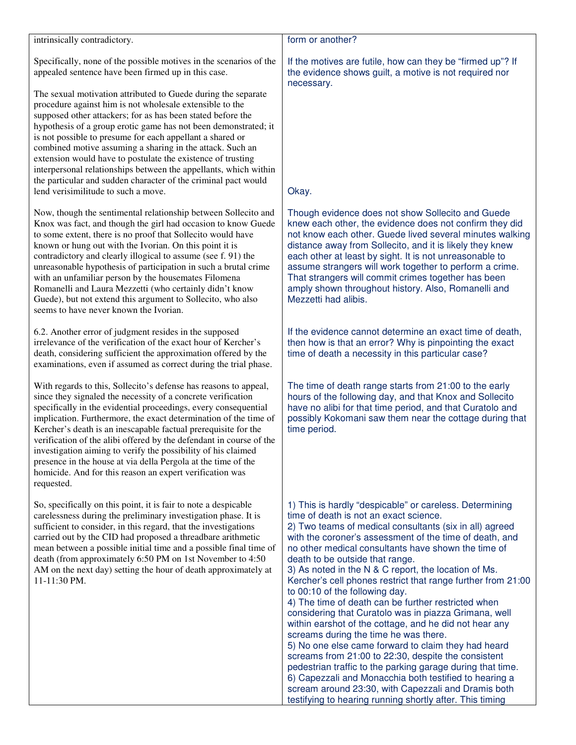### intrinsically contradictory.

Specifically, none of the possible motives in the scenarios of the appealed sentence have been firmed up in this case.

The sexual motivation attributed to Guede during the separate procedure against him is not wholesale extensible to the supposed other attackers; for as has been stated before the hypothesis of a group erotic game has not been demonstrated; it is not possible to presume for each appellant a shared or combined motive assuming a sharing in the attack. Such an extension would have to postulate the existence of trusting interpersonal relationships between the appellants, which within the particular and sudden character of the criminal pact would lend verisimilitude to such a move.

Now, though the sentimental relationship between Sollecito and Knox was fact, and though the girl had occasion to know Guede to some extent, there is no proof that Sollecito would have known or hung out with the Ivorian. On this point it is contradictory and clearly illogical to assume (see f. 91) the unreasonable hypothesis of participation in such a brutal crime with an unfamiliar person by the housemates Filomena Romanelli and Laura Mezzetti (who certainly didn't know Guede), but not extend this argument to Sollecito, who also seems to have never known the Ivorian.

6.2. Another error of judgment resides in the supposed irrelevance of the verification of the exact hour of Kercher's death, considering sufficient the approximation offered by the examinations, even if assumed as correct during the trial phase.

With regards to this, Sollecito's defense has reasons to appeal, since they signaled the necessity of a concrete verification specifically in the evidential proceedings, every consequential implication. Furthermore, the exact determination of the time of Kercher's death is an inescapable factual prerequisite for the verification of the alibi offered by the defendant in course of the investigation aiming to verify the possibility of his claimed presence in the house at via della Pergola at the time of the homicide. And for this reason an expert verification was requested.

So, specifically on this point, it is fair to note a despicable carelessness during the preliminary investigation phase. It is sufficient to consider, in this regard, that the investigations carried out by the CID had proposed a threadbare arithmetic mean between a possible initial time and a possible final time of death (from approximately 6:50 PM on 1st November to 4:50 AM on the next day) setting the hour of death approximately at 11-11:30 PM.

## form or another?

If the motives are futile, how can they be "firmed up"? If the evidence shows guilt, a motive is not required nor necessary.

# Okay.

Though evidence does not show Sollecito and Guede knew each other, the evidence does not confirm they did not know each other. Guede lived several minutes walking distance away from Sollecito, and it is likely they knew each other at least by sight. It is not unreasonable to assume strangers will work together to perform a crime. That strangers will commit crimes together has been amply shown throughout history. Also, Romanelli and Mezzetti had alibis.

If the evidence cannot determine an exact time of death, then how is that an error? Why is pinpointing the exact time of death a necessity in this particular case?

The time of death range starts from 21:00 to the early hours of the following day, and that Knox and Sollecito have no alibi for that time period, and that Curatolo and possibly Kokomani saw them near the cottage during that time period.

1) This is hardly "despicable" or careless. Determining time of death is not an exact science.

2) Two teams of medical consultants (six in all) agreed with the coroner's assessment of the time of death, and no other medical consultants have shown the time of death to be outside that range.

3) As noted in the N & C report, the location of Ms. Kercher's cell phones restrict that range further from 21:00 to 00:10 of the following day.

4) The time of death can be further restricted when considering that Curatolo was in piazza Grimana, well within earshot of the cottage, and he did not hear any screams during the time he was there.

5) No one else came forward to claim they had heard screams from 21:00 to 22:30, despite the consistent pedestrian traffic to the parking garage during that time. 6) Capezzali and Monacchia both testified to hearing a scream around 23:30, with Capezzali and Dramis both testifying to hearing running shortly after. This timing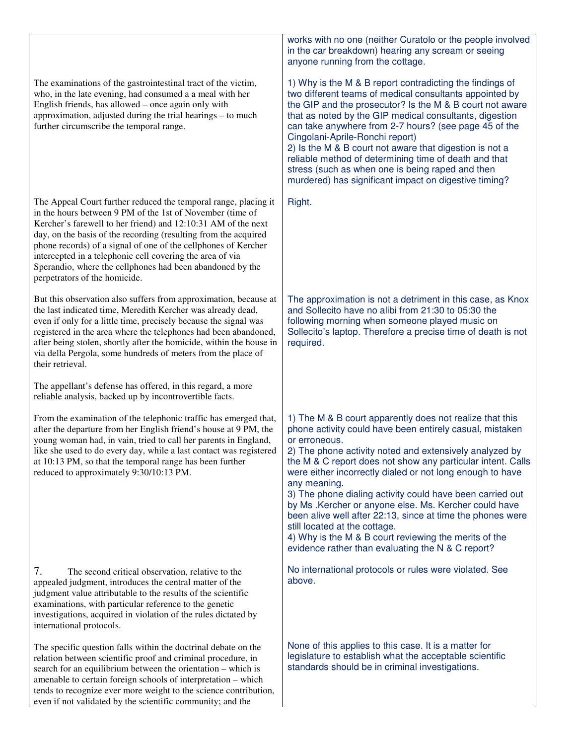The examinations of the gastrointestinal tract of the victim, who, in the late evening, had consumed a a meal with her English friends, has allowed – once again only with approximation, adjusted during the trial hearings – to much further circumscribe the temporal range.

The Appeal Court further reduced the temporal range, placing it in the hours between 9 PM of the 1st of November (time of Kercher's farewell to her friend) and 12:10:31 AM of the next day, on the basis of the recording (resulting from the acquired phone records) of a signal of one of the cellphones of Kercher intercepted in a telephonic cell covering the area of via Sperandio, where the cellphones had been abandoned by the perpetrators of the homicide.

But this observation also suffers from approximation, because at the last indicated time, Meredith Kercher was already dead, even if only for a little time, precisely because the signal was registered in the area where the telephones had been abandoned, after being stolen, shortly after the homicide, within the house in via della Pergola, some hundreds of meters from the place of their retrieval.

The appellant's defense has offered, in this regard, a more reliable analysis, backed up by incontrovertible facts.

From the examination of the telephonic traffic has emerged that, after the departure from her English friend's house at 9 PM, the young woman had, in vain, tried to call her parents in England, like she used to do every day, while a last contact was registered at 10:13 PM, so that the temporal range has been further reduced to approximately 9:30/10:13 PM.

7. The second critical observation, relative to the appealed judgment, introduces the central matter of the judgment value attributable to the results of the scientific examinations, with particular reference to the genetic investigations, acquired in violation of the rules dictated by international protocols.

The specific question falls within the doctrinal debate on the relation between scientific proof and criminal procedure, in search for an equilibrium between the orientation – which is amenable to certain foreign schools of interpretation – which tends to recognize ever more weight to the science contribution, even if not validated by the scientific community; and the

works with no one (neither Curatolo or the people involved in the car breakdown) hearing any scream or seeing anyone running from the cottage.

1) Why is the M & B report contradicting the findings of two different teams of medical consultants appointed by the GIP and the prosecutor? Is the M & B court not aware that as noted by the GIP medical consultants, digestion can take anywhere from 2-7 hours? (see page 45 of the Cingolani-Aprile-Ronchi report) 2) Is the M & B court not aware that digestion is not a reliable method of determining time of death and that stress (such as when one is being raped and then murdered) has significant impact on digestive timing?

Right.

The approximation is not a detriment in this case, as Knox and Sollecito have no alibi from 21:30 to 05:30 the following morning when someone played music on Sollecito's laptop. Therefore a precise time of death is not required.

1) The M & B court apparently does not realize that this phone activity could have been entirely casual, mistaken or erroneous.

2) The phone activity noted and extensively analyzed by the M & C report does not show any particular intent. Calls were either incorrectly dialed or not long enough to have any meaning.

3) The phone dialing activity could have been carried out by Ms .Kercher or anyone else. Ms. Kercher could have been alive well after 22:13, since at time the phones were still located at the cottage.

4) Why is the M & B court reviewing the merits of the evidence rather than evaluating the N & C report?

No international protocols or rules were violated. See above.

None of this applies to this case. It is a matter for legislature to establish what the acceptable scientific standards should be in criminal investigations.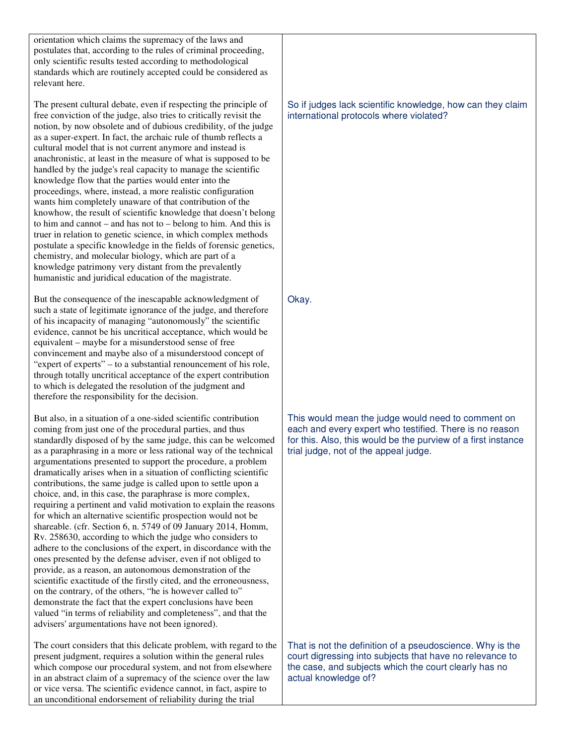orientation which claims the supremacy of the laws and postulates that, according to the rules of criminal proceeding, only scientific results tested according to methodological standards which are routinely accepted could be considered as relevant here.

The present cultural debate, even if respecting the principle of free conviction of the judge, also tries to critically revisit the notion, by now obsolete and of dubious credibility, of the judge as a super-expert. In fact, the archaic rule of thumb reflects a cultural model that is not current anymore and instead is anachronistic, at least in the measure of what is supposed to be handled by the judge's real capacity to manage the scientific knowledge flow that the parties would enter into the proceedings, where, instead, a more realistic configuration wants him completely unaware of that contribution of the knowhow, the result of scientific knowledge that doesn't belong to him and cannot – and has not to – belong to him. And this is truer in relation to genetic science, in which complex methods postulate a specific knowledge in the fields of forensic genetics, chemistry, and molecular biology, which are part of a knowledge patrimony very distant from the prevalently humanistic and juridical education of the magistrate.

But the consequence of the inescapable acknowledgment of such a state of legitimate ignorance of the judge, and therefore of his incapacity of managing "autonomously" the scientific evidence, cannot be his uncritical acceptance, which would be equivalent – maybe for a misunderstood sense of free convincement and maybe also of a misunderstood concept of "expert of experts" – to a substantial renouncement of his role, through totally uncritical acceptance of the expert contribution to which is delegated the resolution of the judgment and therefore the responsibility for the decision.

But also, in a situation of a one-sided scientific contribution coming from just one of the procedural parties, and thus standardly disposed of by the same judge, this can be welcomed as a paraphrasing in a more or less rational way of the technical argumentations presented to support the procedure, a problem dramatically arises when in a situation of conflicting scientific contributions, the same judge is called upon to settle upon a choice, and, in this case, the paraphrase is more complex, requiring a pertinent and valid motivation to explain the reasons for which an alternative scientific prospection would not be shareable. (cfr. Section 6, n. 5749 of 09 January 2014, Homm, Rv. 258630, according to which the judge who considers to adhere to the conclusions of the expert, in discordance with the ones presented by the defense adviser, even if not obliged to provide, as a reason, an autonomous demonstration of the scientific exactitude of the firstly cited, and the erroneousness, on the contrary, of the others, "he is however called to" demonstrate the fact that the expert conclusions have been valued "in terms of reliability and completeness", and that the advisers' argumentations have not been ignored).

The court considers that this delicate problem, with regard to the present judgment, requires a solution within the general rules which compose our procedural system, and not from elsewhere in an abstract claim of a supremacy of the science over the law or vice versa. The scientific evidence cannot, in fact, aspire to an unconditional endorsement of reliability during the trial

So if judges lack scientific knowledge, how can they claim international protocols where violated?

Okay.

This would mean the judge would need to comment on each and every expert who testified. There is no reason for this. Also, this would be the purview of a first instance trial judge, not of the appeal judge.

That is not the definition of a pseudoscience. Why is the court digressing into subjects that have no relevance to the case, and subjects which the court clearly has no actual knowledge of?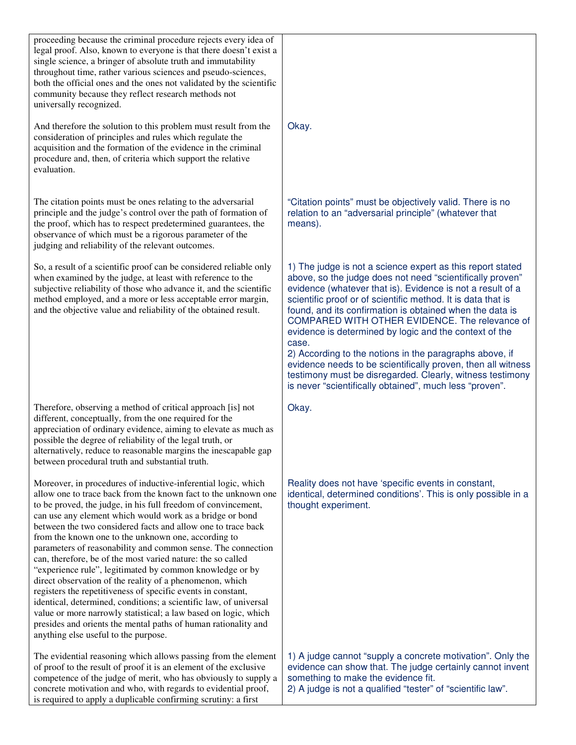| proceeding because the criminal procedure rejects every idea of<br>legal proof. Also, known to everyone is that there doesn't exist a<br>single science, a bringer of absolute truth and immutability<br>throughout time, rather various sciences and pseudo-sciences,<br>both the official ones and the ones not validated by the scientific<br>community because they reflect research methods not<br>universally recognized.<br>And therefore the solution to this problem must result from the<br>consideration of principles and rules which regulate the<br>acquisition and the formation of the evidence in the criminal                                                                                                                                                                                                                                                                                                                              | Okay.                                                                                                                                                                                                                                                                                                                                                                                                                                                                                                                                                                                                                                                                                     |
|--------------------------------------------------------------------------------------------------------------------------------------------------------------------------------------------------------------------------------------------------------------------------------------------------------------------------------------------------------------------------------------------------------------------------------------------------------------------------------------------------------------------------------------------------------------------------------------------------------------------------------------------------------------------------------------------------------------------------------------------------------------------------------------------------------------------------------------------------------------------------------------------------------------------------------------------------------------|-------------------------------------------------------------------------------------------------------------------------------------------------------------------------------------------------------------------------------------------------------------------------------------------------------------------------------------------------------------------------------------------------------------------------------------------------------------------------------------------------------------------------------------------------------------------------------------------------------------------------------------------------------------------------------------------|
| procedure and, then, of criteria which support the relative<br>evaluation.                                                                                                                                                                                                                                                                                                                                                                                                                                                                                                                                                                                                                                                                                                                                                                                                                                                                                   |                                                                                                                                                                                                                                                                                                                                                                                                                                                                                                                                                                                                                                                                                           |
| The citation points must be ones relating to the adversarial<br>principle and the judge's control over the path of formation of<br>the proof, which has to respect predetermined guarantees, the<br>observance of which must be a rigorous parameter of the<br>judging and reliability of the relevant outcomes.                                                                                                                                                                                                                                                                                                                                                                                                                                                                                                                                                                                                                                             | "Citation points" must be objectively valid. There is no<br>relation to an "adversarial principle" (whatever that<br>means).                                                                                                                                                                                                                                                                                                                                                                                                                                                                                                                                                              |
| So, a result of a scientific proof can be considered reliable only<br>when examined by the judge, at least with reference to the<br>subjective reliability of those who advance it, and the scientific<br>method employed, and a more or less acceptable error margin,<br>and the objective value and reliability of the obtained result.                                                                                                                                                                                                                                                                                                                                                                                                                                                                                                                                                                                                                    | 1) The judge is not a science expert as this report stated<br>above, so the judge does not need "scientifically proven"<br>evidence (whatever that is). Evidence is not a result of a<br>scientific proof or of scientific method. It is data that is<br>found, and its confirmation is obtained when the data is<br>COMPARED WITH OTHER EVIDENCE. The relevance of<br>evidence is determined by logic and the context of the<br>case.<br>2) According to the notions in the paragraphs above, if<br>evidence needs to be scientifically proven, then all witness<br>testimony must be disregarded. Clearly, witness testimony<br>is never "scientifically obtained", much less "proven". |
| Therefore, observing a method of critical approach [is] not<br>different, conceptually, from the one required for the<br>appreciation of ordinary evidence, aiming to elevate as much as<br>possible the degree of reliability of the legal truth, or<br>alternatively, reduce to reasonable margins the inescapable gap<br>between procedural truth and substantial truth.                                                                                                                                                                                                                                                                                                                                                                                                                                                                                                                                                                                  | Okay.                                                                                                                                                                                                                                                                                                                                                                                                                                                                                                                                                                                                                                                                                     |
| Moreover, in procedures of inductive-inferential logic, which<br>allow one to trace back from the known fact to the unknown one<br>to be proved, the judge, in his full freedom of convincement,<br>can use any element which would work as a bridge or bond<br>between the two considered facts and allow one to trace back<br>from the known one to the unknown one, according to<br>parameters of reasonability and common sense. The connection<br>can, therefore, be of the most varied nature: the so called<br>"experience rule", legitimated by common knowledge or by<br>direct observation of the reality of a phenomenon, which<br>registers the repetitiveness of specific events in constant,<br>identical, determined, conditions; a scientific law, of universal<br>value or more narrowly statistical; a law based on logic, which<br>presides and orients the mental paths of human rationality and<br>anything else useful to the purpose. | Reality does not have 'specific events in constant,<br>identical, determined conditions'. This is only possible in a<br>thought experiment.                                                                                                                                                                                                                                                                                                                                                                                                                                                                                                                                               |
| The evidential reasoning which allows passing from the element<br>of proof to the result of proof it is an element of the exclusive<br>competence of the judge of merit, who has obviously to supply a<br>concrete motivation and who, with regards to evidential proof,<br>is required to apply a duplicable confirming scrutiny: a first                                                                                                                                                                                                                                                                                                                                                                                                                                                                                                                                                                                                                   | 1) A judge cannot "supply a concrete motivation". Only the<br>evidence can show that. The judge certainly cannot invent<br>something to make the evidence fit.<br>2) A judge is not a qualified "tester" of "scientific law".                                                                                                                                                                                                                                                                                                                                                                                                                                                             |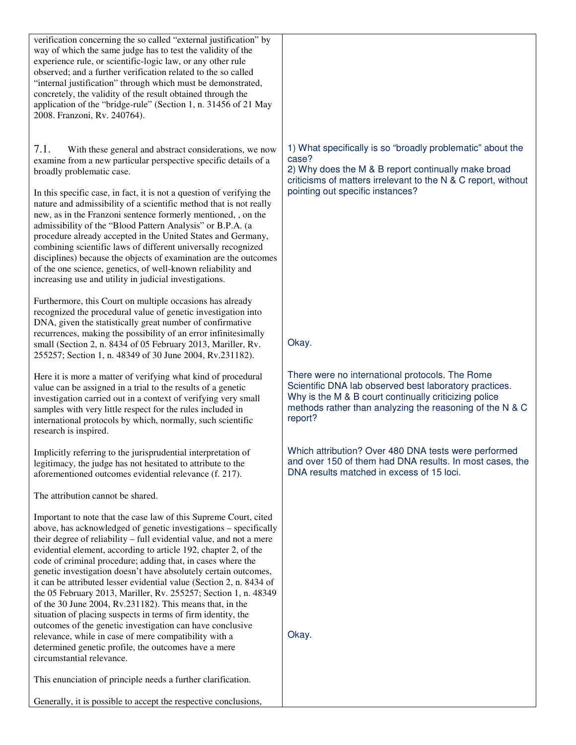| verification concerning the so called "external justification" by<br>way of which the same judge has to test the validity of the<br>experience rule, or scientific-logic law, or any other rule<br>observed; and a further verification related to the so called<br>"internal justification" through which must be demonstrated,<br>concretely, the validity of the result obtained through the<br>application of the "bridge-rule" (Section 1, n. 31456 of 21 May<br>2008. Franzoni, Rv. 240764).                                                                                                                                                                                                                                                                                                                                                                                                |                                                                                                                                                                                                                                           |
|---------------------------------------------------------------------------------------------------------------------------------------------------------------------------------------------------------------------------------------------------------------------------------------------------------------------------------------------------------------------------------------------------------------------------------------------------------------------------------------------------------------------------------------------------------------------------------------------------------------------------------------------------------------------------------------------------------------------------------------------------------------------------------------------------------------------------------------------------------------------------------------------------|-------------------------------------------------------------------------------------------------------------------------------------------------------------------------------------------------------------------------------------------|
| 7.1.<br>With these general and abstract considerations, we now<br>examine from a new particular perspective specific details of a<br>broadly problematic case.<br>In this specific case, in fact, it is not a question of verifying the<br>nature and admissibility of a scientific method that is not really<br>new, as in the Franzoni sentence formerly mentioned, , on the<br>admissibility of the "Blood Pattern Analysis" or B.P.A. (a<br>procedure already accepted in the United States and Germany,<br>combining scientific laws of different universally recognized<br>disciplines) because the objects of examination are the outcomes<br>of the one science, genetics, of well-known reliability and<br>increasing use and utility in judicial investigations.                                                                                                                        | 1) What specifically is so "broadly problematic" about the<br>case?<br>2) Why does the M & B report continually make broad<br>criticisms of matters irrelevant to the N & C report, without<br>pointing out specific instances?           |
| Furthermore, this Court on multiple occasions has already<br>recognized the procedural value of genetic investigation into<br>DNA, given the statistically great number of confirmative<br>recurrences, making the possibility of an error infinitesimally<br>small (Section 2, n. 8434 of 05 February 2013, Mariller, Rv.<br>255257; Section 1, n. 48349 of 30 June 2004, Rv.231182).                                                                                                                                                                                                                                                                                                                                                                                                                                                                                                            | Okay.                                                                                                                                                                                                                                     |
| Here it is more a matter of verifying what kind of procedural<br>value can be assigned in a trial to the results of a genetic<br>investigation carried out in a context of verifying very small<br>samples with very little respect for the rules included in<br>international protocols by which, normally, such scientific<br>research is inspired.                                                                                                                                                                                                                                                                                                                                                                                                                                                                                                                                             | There were no international protocols. The Rome<br>Scientific DNA lab observed best laboratory practices.<br>Why is the M & B court continually criticizing police<br>methods rather than analyzing the reasoning of the N & C<br>report? |
| Implicitly referring to the jurisprudential interpretation of<br>legitimacy, the judge has not hesitated to attribute to the<br>aforementioned outcomes evidential relevance (f. 217).                                                                                                                                                                                                                                                                                                                                                                                                                                                                                                                                                                                                                                                                                                            | Which attribution? Over 480 DNA tests were performed<br>and over 150 of them had DNA results. In most cases, the<br>DNA results matched in excess of 15 loci.                                                                             |
| The attribution cannot be shared.                                                                                                                                                                                                                                                                                                                                                                                                                                                                                                                                                                                                                                                                                                                                                                                                                                                                 |                                                                                                                                                                                                                                           |
| Important to note that the case law of this Supreme Court, cited<br>above, has acknowledged of genetic investigations - specifically<br>their degree of reliability – full evidential value, and not a mere<br>evidential element, according to article 192, chapter 2, of the<br>code of criminal procedure; adding that, in cases where the<br>genetic investigation doesn't have absolutely certain outcomes,<br>it can be attributed lesser evidential value (Section 2, n. 8434 of<br>the 05 February 2013, Mariller, Rv. 255257; Section 1, n. 48349<br>of the 30 June 2004, Rv.231182). This means that, in the<br>situation of placing suspects in terms of firm identity, the<br>outcomes of the genetic investigation can have conclusive<br>relevance, while in case of mere compatibility with a<br>determined genetic profile, the outcomes have a mere<br>circumstantial relevance. | Okay.                                                                                                                                                                                                                                     |
| This enunciation of principle needs a further clarification.                                                                                                                                                                                                                                                                                                                                                                                                                                                                                                                                                                                                                                                                                                                                                                                                                                      |                                                                                                                                                                                                                                           |
| Generally, it is possible to accept the respective conclusions,                                                                                                                                                                                                                                                                                                                                                                                                                                                                                                                                                                                                                                                                                                                                                                                                                                   |                                                                                                                                                                                                                                           |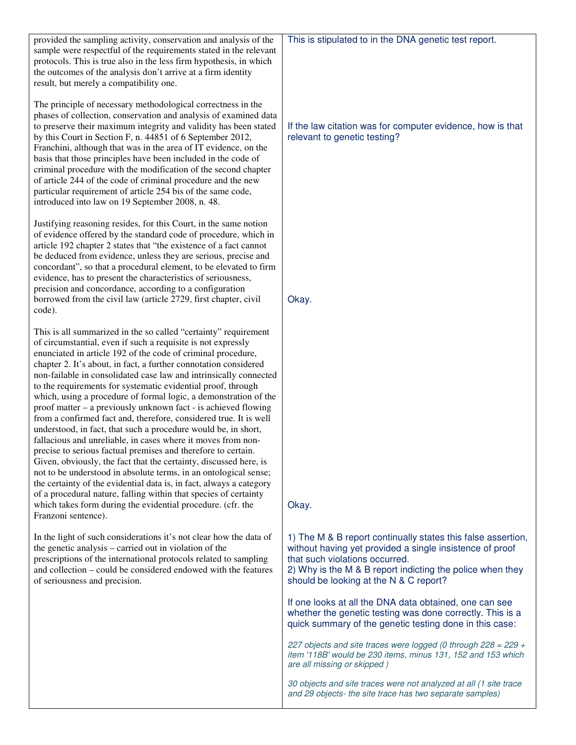| provided the sampling activity, conservation and analysis of the<br>sample were respectful of the requirements stated in the relevant<br>protocols. This is true also in the less firm hypothesis, in which<br>the outcomes of the analysis don't arrive at a firm identity<br>result, but merely a compatibility one.                                                                                                                                                                                                                                                                                                                                                                                                                                                                                                                                                                                                                                                                                                                                                                                                                                                                           | This is stipulated to in the DNA genetic test report.                                                                                                                                                                                                             |
|--------------------------------------------------------------------------------------------------------------------------------------------------------------------------------------------------------------------------------------------------------------------------------------------------------------------------------------------------------------------------------------------------------------------------------------------------------------------------------------------------------------------------------------------------------------------------------------------------------------------------------------------------------------------------------------------------------------------------------------------------------------------------------------------------------------------------------------------------------------------------------------------------------------------------------------------------------------------------------------------------------------------------------------------------------------------------------------------------------------------------------------------------------------------------------------------------|-------------------------------------------------------------------------------------------------------------------------------------------------------------------------------------------------------------------------------------------------------------------|
| The principle of necessary methodological correctness in the<br>phases of collection, conservation and analysis of examined data<br>to preserve their maximum integrity and validity has been stated<br>by this Court in Section F, n. 44851 of 6 September 2012,<br>Franchini, although that was in the area of IT evidence, on the<br>basis that those principles have been included in the code of<br>criminal procedure with the modification of the second chapter<br>of article 244 of the code of criminal procedure and the new<br>particular requirement of article 254 bis of the same code,<br>introduced into law on 19 September 2008, n. 48.                                                                                                                                                                                                                                                                                                                                                                                                                                                                                                                                       | If the law citation was for computer evidence, how is that<br>relevant to genetic testing?                                                                                                                                                                        |
| Justifying reasoning resides, for this Court, in the same notion<br>of evidence offered by the standard code of procedure, which in<br>article 192 chapter 2 states that "the existence of a fact cannot<br>be deduced from evidence, unless they are serious, precise and<br>concordant", so that a procedural element, to be elevated to firm<br>evidence, has to present the characteristics of seriousness,<br>precision and concordance, according to a configuration<br>borrowed from the civil law (article 2729, first chapter, civil<br>code).                                                                                                                                                                                                                                                                                                                                                                                                                                                                                                                                                                                                                                          | Okay.                                                                                                                                                                                                                                                             |
| This is all summarized in the so called "certainty" requirement<br>of circumstantial, even if such a requisite is not expressly<br>enunciated in article 192 of the code of criminal procedure,<br>chapter 2. It's about, in fact, a further connotation considered<br>non-failable in consolidated case law and intrinsically connected<br>to the requirements for systematic evidential proof, through<br>which, using a procedure of formal logic, a demonstration of the<br>proof matter – a previously unknown fact - is achieved flowing<br>from a confirmed fact and, therefore, considered true. It is well<br>understood, in fact, that such a procedure would be, in short,<br>fallacious and unreliable, in cases where it moves from non-<br>precise to serious factual premises and therefore to certain.<br>Given, obviously, the fact that the certainty, discussed here, is<br>not to be understood in absolute terms, in an ontological sense;<br>the certainty of the evidential data is, in fact, always a category<br>of a procedural nature, falling within that species of certainty<br>which takes form during the evidential procedure. (cfr. the<br>Franzoni sentence). | Okay.                                                                                                                                                                                                                                                             |
| In the light of such considerations it's not clear how the data of<br>the genetic analysis – carried out in violation of the<br>prescriptions of the international protocols related to sampling<br>and collection – could be considered endowed with the features<br>of seriousness and precision.                                                                                                                                                                                                                                                                                                                                                                                                                                                                                                                                                                                                                                                                                                                                                                                                                                                                                              | 1) The M & B report continually states this false assertion,<br>without having yet provided a single insistence of proof<br>that such violations occurred.<br>2) Why is the M & B report indicting the police when they<br>should be looking at the N & C report? |
|                                                                                                                                                                                                                                                                                                                                                                                                                                                                                                                                                                                                                                                                                                                                                                                                                                                                                                                                                                                                                                                                                                                                                                                                  | If one looks at all the DNA data obtained, one can see<br>whether the genetic testing was done correctly. This is a<br>quick summary of the genetic testing done in this case:                                                                                    |
|                                                                                                                                                                                                                                                                                                                                                                                                                                                                                                                                                                                                                                                                                                                                                                                                                                                                                                                                                                                                                                                                                                                                                                                                  | 227 objects and site traces were logged (0 through $228 = 229 +$<br>item '118B' would be 230 items, minus 131, 152 and 153 which<br>are all missing or skipped)                                                                                                   |
|                                                                                                                                                                                                                                                                                                                                                                                                                                                                                                                                                                                                                                                                                                                                                                                                                                                                                                                                                                                                                                                                                                                                                                                                  | 30 objects and site traces were not analyzed at all (1 site trace<br>and 29 objects- the site trace has two separate samples)                                                                                                                                     |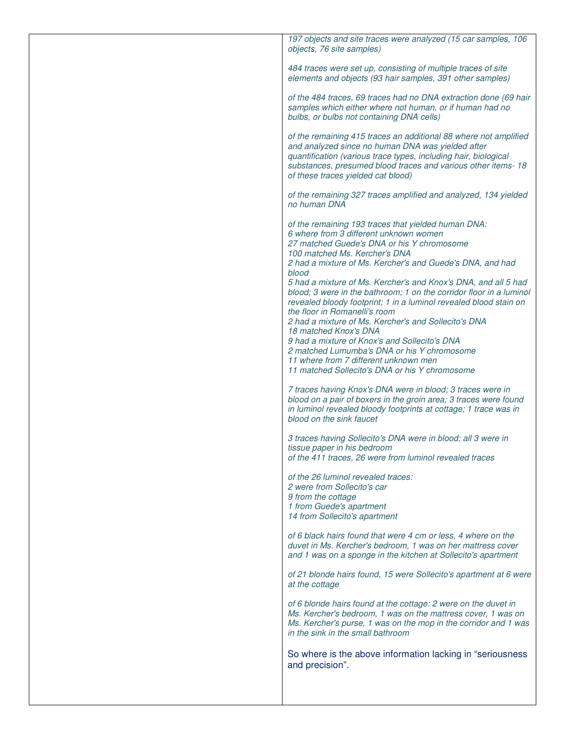| 197 objects and site traces were analyzed (15 car samples, 106<br>objects, 76 site samples)                                                                                                                                                                                                                                                                                                                                                                                                                                                                                                                                                                                                                                                                                                                                                                                                                                                                                                                                                                                                                                                                                                                                                    |
|------------------------------------------------------------------------------------------------------------------------------------------------------------------------------------------------------------------------------------------------------------------------------------------------------------------------------------------------------------------------------------------------------------------------------------------------------------------------------------------------------------------------------------------------------------------------------------------------------------------------------------------------------------------------------------------------------------------------------------------------------------------------------------------------------------------------------------------------------------------------------------------------------------------------------------------------------------------------------------------------------------------------------------------------------------------------------------------------------------------------------------------------------------------------------------------------------------------------------------------------|
| 484 traces were set up, consisting of multiple traces of site<br>elements and objects (93 hair samples, 391 other samples)                                                                                                                                                                                                                                                                                                                                                                                                                                                                                                                                                                                                                                                                                                                                                                                                                                                                                                                                                                                                                                                                                                                     |
| of the 484 traces, 69 traces had no DNA extraction done (69 hair<br>samples which either where not human, or if human had no<br>bulbs, or bulbs not containing DNA cells)                                                                                                                                                                                                                                                                                                                                                                                                                                                                                                                                                                                                                                                                                                                                                                                                                                                                                                                                                                                                                                                                      |
| of the remaining 415 traces an additional 88 where not amplified<br>and analyzed since no human DNA was yielded after<br>quantification (various trace types, including hair, biological<br>substances, presumed blood traces and various other items-18<br>of these traces yielded cat blood)                                                                                                                                                                                                                                                                                                                                                                                                                                                                                                                                                                                                                                                                                                                                                                                                                                                                                                                                                 |
| of the remaining 327 traces amplified and analyzed, 134 yielded<br>no human DNA                                                                                                                                                                                                                                                                                                                                                                                                                                                                                                                                                                                                                                                                                                                                                                                                                                                                                                                                                                                                                                                                                                                                                                |
| of the remaining 193 traces that yielded human DNA:<br>6 where from 3 different unknown women<br>27 matched Guede's DNA or his Y chromosome<br>100 matched Ms. Kercher's DNA<br>2 had a mixture of Ms. Kercher's and Guede's DNA, and had<br>blood<br>5 had a mixture of Ms. Kercher's and Knox's DNA, and all 5 had<br>blood; 3 were in the bathroom; 1 on the corridor floor in a luminol<br>revealed bloody footprint; 1 in a luminol revealed blood stain on<br>the floor in Romanelli's room<br>2 had a mixture of Ms. Kercher's and Sollecito's DNA<br>18 matched Knox's DNA<br>9 had a mixture of Knox's and Sollecito's DNA<br>2 matched Lumumba's DNA or his Y chromosome<br>11 where from 7 different unknown men<br>11 matched Sollecito's DNA or his Y chromosome<br>7 traces having Knox's DNA were in blood; 3 traces were in<br>blood on a pair of boxers in the groin area; 3 traces were found<br>in luminol revealed bloody footprints at cottage; 1 trace was in<br>blood on the sink faucet<br>3 traces having Sollecito's DNA were in blood; all 3 were in<br>tissue paper in his bedroom<br>of the 411 traces, 26 were from luminol revealed traces<br>of the 26 luminol revealed traces:<br>2 were from Sollecito's car |
| 9 from the cottage<br>1 from Guede's apartment<br>14 from Sollecito's apartment                                                                                                                                                                                                                                                                                                                                                                                                                                                                                                                                                                                                                                                                                                                                                                                                                                                                                                                                                                                                                                                                                                                                                                |
| of 6 black hairs found that were 4 cm or less, 4 where on the<br>duvet in Ms. Kercher's bedroom, 1 was on her mattress cover<br>and 1 was on a sponge in the kitchen at Sollecito's apartment                                                                                                                                                                                                                                                                                                                                                                                                                                                                                                                                                                                                                                                                                                                                                                                                                                                                                                                                                                                                                                                  |
| of 21 blonde hairs found, 15 were Sollecito's apartment at 6 were<br>at the cottage                                                                                                                                                                                                                                                                                                                                                                                                                                                                                                                                                                                                                                                                                                                                                                                                                                                                                                                                                                                                                                                                                                                                                            |
| of 6 blonde hairs found at the cottage: 2 were on the duvet in<br>Ms. Kercher's bedroom, 1 was on the mattress cover, 1 was on<br>Ms. Kercher's purse, 1 was on the mop in the corridor and 1 was<br>in the sink in the small bathroom                                                                                                                                                                                                                                                                                                                                                                                                                                                                                                                                                                                                                                                                                                                                                                                                                                                                                                                                                                                                         |
| So where is the above information lacking in "seriousness"<br>and precision".                                                                                                                                                                                                                                                                                                                                                                                                                                                                                                                                                                                                                                                                                                                                                                                                                                                                                                                                                                                                                                                                                                                                                                  |
|                                                                                                                                                                                                                                                                                                                                                                                                                                                                                                                                                                                                                                                                                                                                                                                                                                                                                                                                                                                                                                                                                                                                                                                                                                                |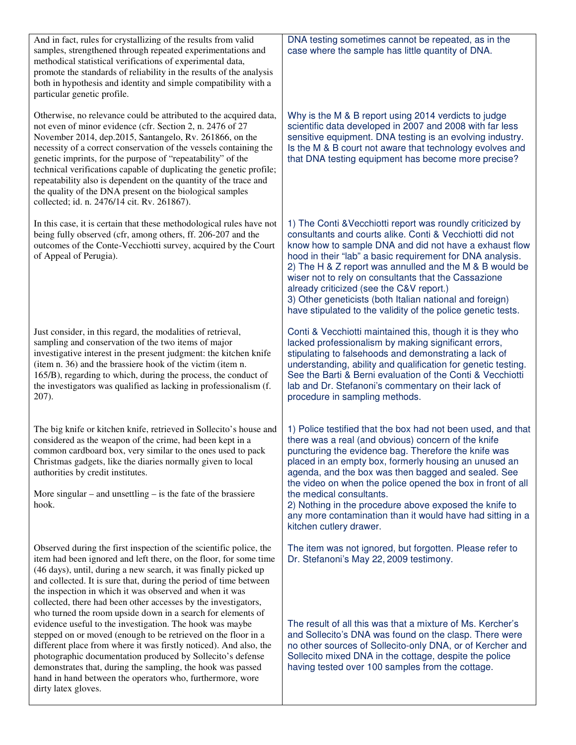| And in fact, rules for crystallizing of the results from valid<br>samples, strengthened through repeated experimentations and<br>methodical statistical verifications of experimental data,<br>promote the standards of reliability in the results of the analysis<br>both in hypothesis and identity and simple compatibility with a<br>particular genetic profile.                                                                                                                                                                                                                | DNA testing sometimes cannot be repeated, as in the<br>case where the sample has little quantity of DNA.                                                                                                                                                                                                                                                                                                                                                                                                                                  |
|-------------------------------------------------------------------------------------------------------------------------------------------------------------------------------------------------------------------------------------------------------------------------------------------------------------------------------------------------------------------------------------------------------------------------------------------------------------------------------------------------------------------------------------------------------------------------------------|-------------------------------------------------------------------------------------------------------------------------------------------------------------------------------------------------------------------------------------------------------------------------------------------------------------------------------------------------------------------------------------------------------------------------------------------------------------------------------------------------------------------------------------------|
| Otherwise, no relevance could be attributed to the acquired data,<br>not even of minor evidence (cfr. Section 2, n. 2476 of 27<br>November 2014, dep.2015, Santangelo, Rv. 261866, on the<br>necessity of a correct conservation of the vessels containing the<br>genetic imprints, for the purpose of "repeatability" of the<br>technical verifications capable of duplicating the genetic profile;<br>repeatability also is dependent on the quantity of the trace and<br>the quality of the DNA present on the biological samples<br>collected; id. n. 2476/14 cit. Rv. 261867). | Why is the M & B report using 2014 verdicts to judge<br>scientific data developed in 2007 and 2008 with far less<br>sensitive equipment. DNA testing is an evolving industry.<br>Is the M & B court not aware that technology evolves and<br>that DNA testing equipment has become more precise?                                                                                                                                                                                                                                          |
| In this case, it is certain that these methodological rules have not<br>being fully observed (cfr, among others, ff. 206-207 and the<br>outcomes of the Conte-Vecchiotti survey, acquired by the Court<br>of Appeal of Perugia).                                                                                                                                                                                                                                                                                                                                                    | 1) The Conti & Vecchiotti report was roundly criticized by<br>consultants and courts alike. Conti & Vecchiotti did not<br>know how to sample DNA and did not have a exhaust flow<br>hood in their "lab" a basic requirement for DNA analysis.<br>2) The H & Z report was annulled and the M & B would be<br>wiser not to rely on consultants that the Cassazione<br>already criticized (see the C&V report.)<br>3) Other geneticists (both Italian national and foreign)<br>have stipulated to the validity of the police genetic tests.  |
| Just consider, in this regard, the modalities of retrieval,<br>sampling and conservation of the two items of major<br>investigative interest in the present judgment: the kitchen knife<br>(item n. 36) and the brassiere hook of the victim (item n.<br>165/B), regarding to which, during the process, the conduct of<br>the investigators was qualified as lacking in professionalism (f.<br>207).                                                                                                                                                                               | Conti & Vecchiotti maintained this, though it is they who<br>lacked professionalism by making significant errors,<br>stipulating to falsehoods and demonstrating a lack of<br>understanding, ability and qualification for genetic testing.<br>See the Barti & Berni evaluation of the Conti & Vecchiotti<br>lab and Dr. Stefanoni's commentary on their lack of<br>procedure in sampling methods.                                                                                                                                        |
| The big knife or kitchen knife, retrieved in Sollecito's house and<br>considered as the weapon of the crime, had been kept in a<br>common cardboard box, very similar to the ones used to pack<br>Christmas gadgets, like the diaries normally given to local<br>authorities by credit institutes.<br>More singular – and unsettling – is the fate of the brassiere<br>hook.                                                                                                                                                                                                        | 1) Police testified that the box had not been used, and that<br>there was a real (and obvious) concern of the knife<br>puncturing the evidence bag. Therefore the knife was<br>placed in an empty box, formerly housing an unused an<br>agenda, and the box was then bagged and sealed. See<br>the video on when the police opened the box in front of all<br>the medical consultants.<br>2) Nothing in the procedure above exposed the knife to<br>any more contamination than it would have had sitting in a<br>kitchen cutlery drawer. |
| Observed during the first inspection of the scientific police, the<br>item had been ignored and left there, on the floor, for some time<br>(46 days), until, during a new search, it was finally picked up<br>and collected. It is sure that, during the period of time between<br>the inspection in which it was observed and when it was<br>collected, there had been other accesses by the investigators,<br>who turned the room upside down in a search for elements of                                                                                                         | The item was not ignored, but forgotten. Please refer to<br>Dr. Stefanoni's May 22, 2009 testimony.                                                                                                                                                                                                                                                                                                                                                                                                                                       |
| evidence useful to the investigation. The hook was maybe<br>stepped on or moved (enough to be retrieved on the floor in a<br>different place from where it was firstly noticed). And also, the<br>photographic documentation produced by Sollecito's defense<br>demonstrates that, during the sampling, the hook was passed<br>hand in hand between the operators who, furthermore, wore<br>dirty latex gloves.                                                                                                                                                                     | The result of all this was that a mixture of Ms. Kercher's<br>and Sollecito's DNA was found on the clasp. There were<br>no other sources of Sollecito-only DNA, or of Kercher and<br>Sollecito mixed DNA in the cottage, despite the police<br>having tested over 100 samples from the cottage.                                                                                                                                                                                                                                           |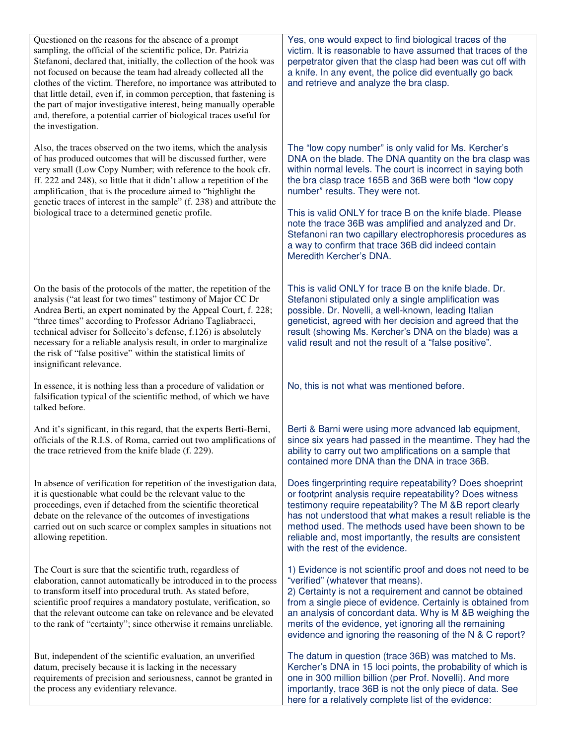| Questioned on the reasons for the absence of a prompt<br>sampling, the official of the scientific police, Dr. Patrizia<br>Stefanoni, declared that, initially, the collection of the hook was<br>not focused on because the team had already collected all the<br>clothes of the victim. Therefore, no importance was attributed to<br>that little detail, even if, in common perception, that fastening is<br>the part of major investigative interest, being manually operable<br>and, therefore, a potential carrier of biological traces useful for<br>the investigation. | Yes, one would expect to find biological traces of the<br>victim. It is reasonable to have assumed that traces of the<br>perpetrator given that the clasp had been was cut off with<br>a knife. In any event, the police did eventually go back<br>and retrieve and analyze the bra clasp.                                                                                                                                                                                                                                                     |
|-------------------------------------------------------------------------------------------------------------------------------------------------------------------------------------------------------------------------------------------------------------------------------------------------------------------------------------------------------------------------------------------------------------------------------------------------------------------------------------------------------------------------------------------------------------------------------|------------------------------------------------------------------------------------------------------------------------------------------------------------------------------------------------------------------------------------------------------------------------------------------------------------------------------------------------------------------------------------------------------------------------------------------------------------------------------------------------------------------------------------------------|
| Also, the traces observed on the two items, which the analysis<br>of has produced outcomes that will be discussed further, were<br>very small (Low Copy Number; with reference to the hook cfr.<br>ff. 222 and 248), so little that it didn't allow a repetition of the<br>amplification, that is the procedure aimed to "highlight the<br>genetic traces of interest in the sample" (f. 238) and attribute the<br>biological trace to a determined genetic profile.                                                                                                          | The "low copy number" is only valid for Ms. Kercher's<br>DNA on the blade. The DNA quantity on the bra clasp was<br>within normal levels. The court is incorrect in saying both<br>the bra clasp trace 165B and 36B were both "low copy<br>number" results. They were not.<br>This is valid ONLY for trace B on the knife blade. Please<br>note the trace 36B was amplified and analyzed and Dr.<br>Stefanoni ran two capillary electrophoresis procedures as<br>a way to confirm that trace 36B did indeed contain<br>Meredith Kercher's DNA. |
| On the basis of the protocols of the matter, the repetition of the<br>analysis ("at least for two times" testimony of Major CC Dr<br>Andrea Berti, an expert nominated by the Appeal Court, f. 228;<br>"three times" according to Professor Adriano Tagliabracci,<br>technical adviser for Sollecito's defense, f.126) is absolutely<br>necessary for a reliable analysis result, in order to marginalize<br>the risk of "false positive" within the statistical limits of<br>insignificant relevance.                                                                        | This is valid ONLY for trace B on the knife blade. Dr.<br>Stefanoni stipulated only a single amplification was<br>possible. Dr. Novelli, a well-known, leading Italian<br>geneticist, agreed with her decision and agreed that the<br>result (showing Ms. Kercher's DNA on the blade) was a<br>valid result and not the result of a "false positive".                                                                                                                                                                                          |
| In essence, it is nothing less than a procedure of validation or<br>falsification typical of the scientific method, of which we have<br>talked before.                                                                                                                                                                                                                                                                                                                                                                                                                        | No, this is not what was mentioned before.                                                                                                                                                                                                                                                                                                                                                                                                                                                                                                     |
| And it's significant, in this regard, that the experts Berti-Berni,<br>officials of the R.I.S. of Roma, carried out two amplifications of<br>the trace retrieved from the knife blade (f. 229).                                                                                                                                                                                                                                                                                                                                                                               | Berti & Barni were using more advanced lab equipment,<br>since six years had passed in the meantime. They had the<br>ability to carry out two amplifications on a sample that<br>contained more DNA than the DNA in trace 36B.                                                                                                                                                                                                                                                                                                                 |
| In absence of verification for repetition of the investigation data,<br>it is questionable what could be the relevant value to the<br>proceedings, even if detached from the scientific theoretical<br>debate on the relevance of the outcomes of investigations<br>carried out on such scarce or complex samples in situations not<br>allowing repetition.                                                                                                                                                                                                                   | Does fingerprinting require repeatability? Does shoeprint<br>or footprint analysis require repeatability? Does witness<br>testimony require repeatability? The M &B report clearly<br>has not understood that what makes a result reliable is the<br>method used. The methods used have been shown to be<br>reliable and, most importantly, the results are consistent<br>with the rest of the evidence.                                                                                                                                       |
| The Court is sure that the scientific truth, regardless of<br>elaboration, cannot automatically be introduced in to the process<br>to transform itself into procedural truth. As stated before,<br>scientific proof requires a mandatory postulate, verification, so<br>that the relevant outcome can take on relevance and be elevated<br>to the rank of "certainty"; since otherwise it remains unreliable.                                                                                                                                                                 | 1) Evidence is not scientific proof and does not need to be<br>"verified" (whatever that means).<br>2) Certainty is not a requirement and cannot be obtained<br>from a single piece of evidence. Certainly is obtained from<br>an analysis of concordant data. Why is M &B weighing the<br>merits of the evidence, yet ignoring all the remaining<br>evidence and ignoring the reasoning of the N & C report?                                                                                                                                  |
| But, independent of the scientific evaluation, an unverified<br>datum, precisely because it is lacking in the necessary<br>requirements of precision and seriousness, cannot be granted in<br>the process any evidentiary relevance.                                                                                                                                                                                                                                                                                                                                          | The datum in question (trace 36B) was matched to Ms.<br>Kercher's DNA in 15 loci points, the probability of which is<br>one in 300 million billion (per Prof. Novelli). And more<br>importantly, trace 36B is not the only piece of data. See<br>here for a relatively complete list of the evidence:                                                                                                                                                                                                                                          |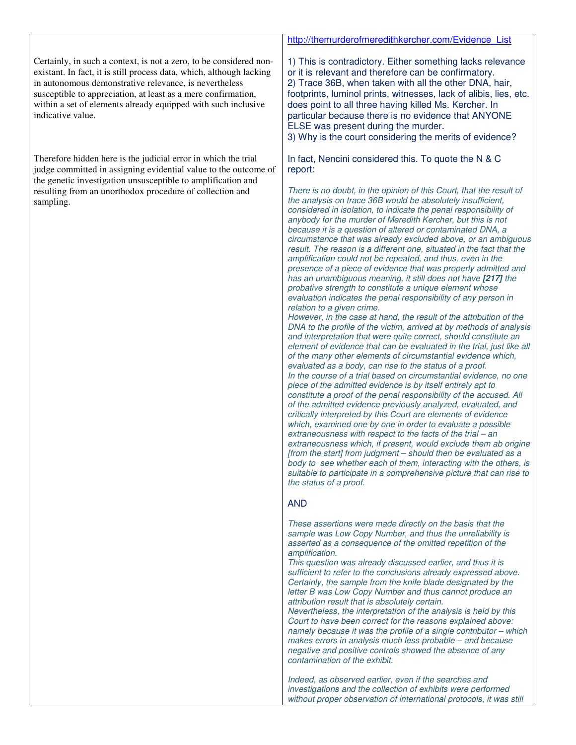|                                                                                                                                                                                                                                                                                                                                                             | http://themurderofmeredithkercher.com/Evidence List                                                                                                                                                                                                                                                                                                                                                                                                                                                                                                                                                                                                                                                                                                                                                                                                                                                                                                                                                                                                                                                                                                                                                                                                                                                                                                                                                                                                                                                                                                                                                                                                                        |
|-------------------------------------------------------------------------------------------------------------------------------------------------------------------------------------------------------------------------------------------------------------------------------------------------------------------------------------------------------------|----------------------------------------------------------------------------------------------------------------------------------------------------------------------------------------------------------------------------------------------------------------------------------------------------------------------------------------------------------------------------------------------------------------------------------------------------------------------------------------------------------------------------------------------------------------------------------------------------------------------------------------------------------------------------------------------------------------------------------------------------------------------------------------------------------------------------------------------------------------------------------------------------------------------------------------------------------------------------------------------------------------------------------------------------------------------------------------------------------------------------------------------------------------------------------------------------------------------------------------------------------------------------------------------------------------------------------------------------------------------------------------------------------------------------------------------------------------------------------------------------------------------------------------------------------------------------------------------------------------------------------------------------------------------------|
| Certainly, in such a context, is not a zero, to be considered non-<br>existant. In fact, it is still process data, which, although lacking<br>in autonomous demonstrative relevance, is nevertheless<br>susceptible to appreciation, at least as a mere confirmation,<br>within a set of elements already equipped with such inclusive<br>indicative value. | 1) This is contradictory. Either something lacks relevance<br>or it is relevant and therefore can be confirmatory.<br>2) Trace 36B, when taken with all the other DNA, hair,<br>footprints, luminol prints, witnesses, lack of alibis, lies, etc.<br>does point to all three having killed Ms. Kercher. In<br>particular because there is no evidence that ANYONE<br>ELSE was present during the murder.<br>3) Why is the court considering the merits of evidence?                                                                                                                                                                                                                                                                                                                                                                                                                                                                                                                                                                                                                                                                                                                                                                                                                                                                                                                                                                                                                                                                                                                                                                                                        |
| Therefore hidden here is the judicial error in which the trial<br>judge committed in assigning evidential value to the outcome of<br>the genetic investigation unsusceptible to amplification and<br>resulting from an unorthodox procedure of collection and<br>sampling.                                                                                  | In fact, Nencini considered this. To quote the N & C<br>report:<br>There is no doubt, in the opinion of this Court, that the result of<br>the analysis on trace 36B would be absolutely insufficient,<br>considered in isolation, to indicate the penal responsibility of<br>anybody for the murder of Meredith Kercher, but this is not<br>because it is a question of altered or contaminated DNA, a<br>circumstance that was already excluded above, or an ambiguous<br>result. The reason is a different one, situated in the fact that the<br>amplification could not be repeated, and thus, even in the<br>presence of a piece of evidence that was properly admitted and<br>has an unambiguous meaning, it still does not have [217] the<br>probative strength to constitute a unique element whose<br>evaluation indicates the penal responsibility of any person in<br>relation to a given crime.<br>However, in the case at hand, the result of the attribution of the<br>DNA to the profile of the victim, arrived at by methods of analysis<br>and interpretation that were quite correct, should constitute an<br>element of evidence that can be evaluated in the trial, just like all<br>of the many other elements of circumstantial evidence which,<br>evaluated as a body, can rise to the status of a proof.<br>In the course of a trial based on circumstantial evidence, no one<br>piece of the admitted evidence is by itself entirely apt to<br>constitute a proof of the penal responsibility of the accused. All<br>of the admitted evidence previously analyzed, evaluated, and<br>critically interpreted by this Court are elements of evidence |
|                                                                                                                                                                                                                                                                                                                                                             | which, examined one by one in order to evaluate a possible<br>extraneousness with respect to the facts of the trial - an<br>extraneousness which, if present, would exclude them ab origine<br>[from the start] from judgment - should then be evaluated as a<br>body to see whether each of them, interacting with the others, is<br>suitable to participate in a comprehensive picture that can rise to<br>the status of a proof.<br><b>AND</b><br>These assertions were made directly on the basis that the<br>sample was Low Copy Number, and thus the unreliability is<br>asserted as a consequence of the omitted repetition of the<br>amplification.<br>This question was already discussed earlier, and thus it is                                                                                                                                                                                                                                                                                                                                                                                                                                                                                                                                                                                                                                                                                                                                                                                                                                                                                                                                                 |
|                                                                                                                                                                                                                                                                                                                                                             | sufficient to refer to the conclusions already expressed above.<br>Certainly, the sample from the knife blade designated by the<br>letter B was Low Copy Number and thus cannot produce an<br>attribution result that is absolutely certain.<br>Nevertheless, the interpretation of the analysis is held by this<br>Court to have been correct for the reasons explained above:<br>namely because it was the profile of a single contributor - which<br>makes errors in analysis much less probable - and because<br>negative and positive controls showed the absence of any<br>contamination of the exhibit.<br>Indeed, as observed earlier, even if the searches and<br>investigations and the collection of exhibits were performed<br>without proper observation of international protocols, it was still                                                                                                                                                                                                                                                                                                                                                                                                                                                                                                                                                                                                                                                                                                                                                                                                                                                             |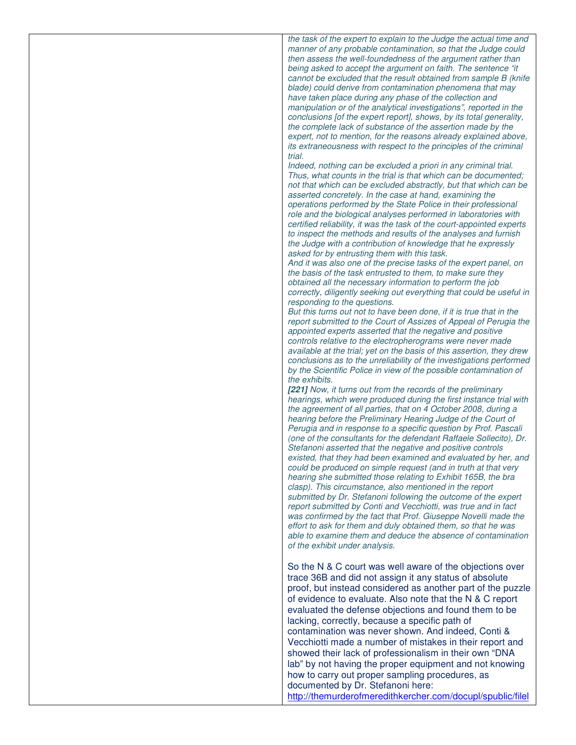| the task of the expert to explain to the Judge the actual time and    |
|-----------------------------------------------------------------------|
| manner of any probable contamination, so that the Judge could         |
| then assess the well-foundedness of the argument rather than          |
| being asked to accept the argument on faith. The sentence "it         |
| cannot be excluded that the result obtained from sample B (knife      |
| blade) could derive from contamination phenomena that may             |
| have taken place during any phase of the collection and               |
|                                                                       |
| manipulation or of the analytical investigations", reported in the    |
| conclusions [of the expert report], shows, by its total generality,   |
| the complete lack of substance of the assertion made by the           |
| expert, not to mention, for the reasons already explained above,      |
| its extraneousness with respect to the principles of the criminal     |
| trial.                                                                |
| Indeed, nothing can be excluded a priori in any criminal trial.       |
| Thus, what counts in the trial is that which can be documented;       |
| not that which can be excluded abstractly, but that which can be      |
| asserted concretely. In the case at hand, examining the               |
| operations performed by the State Police in their professional        |
| role and the biological analyses performed in laboratories with       |
| certified reliability, it was the task of the court-appointed experts |
| to inspect the methods and results of the analyses and furnish        |
| the Judge with a contribution of knowledge that he expressly          |
| asked for by entrusting them with this task.                          |
| And it was also one of the precise tasks of the expert panel, on      |
| the basis of the task entrusted to them, to make sure they            |
| obtained all the necessary information to perform the job             |
| correctly, diligently seeking out everything that could be useful in  |
| responding to the questions.                                          |
| But this turns out not to have been done, if it is true that in the   |
| report submitted to the Court of Assizes of Appeal of Perugia the     |
| appointed experts asserted that the negative and positive             |
| controls relative to the electropherograms were never made            |
|                                                                       |
| available at the trial; yet on the basis of this assertion, they drew |
| conclusions as to the unreliability of the investigations performed   |
| by the Scientific Police in view of the possible contamination of     |
| the exhibits.                                                         |
| [221] Now, it turns out from the records of the preliminary           |
| hearings, which were produced during the first instance trial with    |
| the agreement of all parties, that on 4 October 2008, during a        |
| hearing before the Preliminary Hearing Judge of the Court of          |
| Perugia and in response to a specific question by Prof. Pascali       |
| (one of the consultants for the defendant Raffaele Sollecito), Dr.    |
| Stefanoni asserted that the negative and positive controls            |
| existed, that they had been examined and evaluated by her, and        |
| could be produced on simple request (and in truth at that very        |
| hearing she submitted those relating to Exhibit 165B, the bra         |
| clasp). This circumstance, also mentioned in the report               |
| submitted by Dr. Stefanoni following the outcome of the expert        |
| report submitted by Conti and Vecchiotti, was true and in fact        |
| was confirmed by the fact that Prof. Giuseppe Novelli made the        |
| effort to ask for them and duly obtained them, so that he was         |
| able to examine them and deduce the absence of contamination          |
| of the exhibit under analysis.                                        |
|                                                                       |
| So the N & C court was well aware of the objections over              |
| trace 36B and did not assign it any status of absolute                |
| proof, but instead considered as another part of the puzzle           |
| of evidence to evaluate. Also note that the N & C report              |
|                                                                       |
| evaluated the defense objections and found them to be                 |
| lacking, correctly, because a specific path of                        |
| contamination was never shown. And indeed, Conti &                    |
| Vecchiotti made a number of mistakes in their report and              |
| showed their lack of professionalism in their own "DNA                |
| lab" by not having the proper equipment and not knowing               |
| how to carry out proper sampling procedures, as                       |
|                                                                       |
| documented by Dr. Stefanoni here:                                     |
| http://themurderofmeredithkercher.com/docupl/spublic/filel            |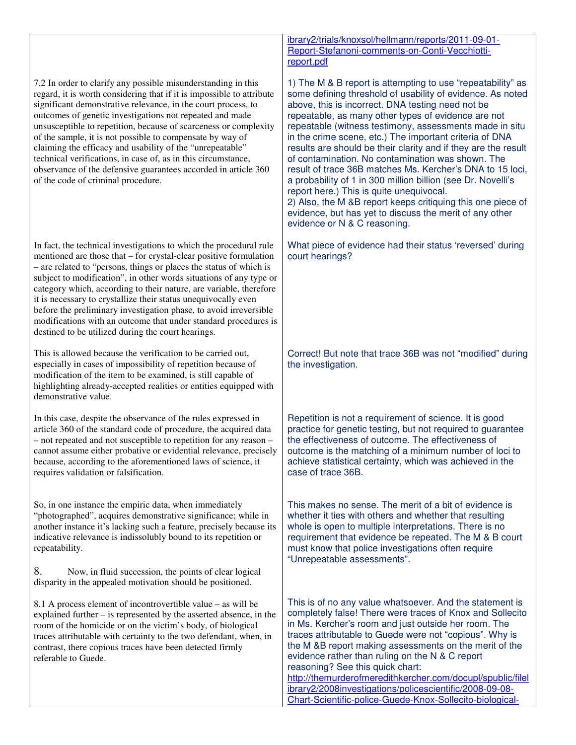7.2 In order to clarify any possible misunderstanding in this regard, it is worth considering that if it is impossible to attribute significant demonstrative relevance, in the court process, to outcomes of genetic investigations not repeated and made unsusceptible to repetition, because of scarceness or complexity of the sample, it is not possible to compensate by way of claiming the efficacy and usability of the "unrepeatable" technical verifications, in case of, as in this circumstance, observance of the defensive guarantees accorded in article 360 of the code of criminal procedure.

In fact, the technical investigations to which the procedural rule mentioned are those that – for crystal-clear positive formulation – are related to "persons, things or places the status of which is subject to modification", in other words situations of any type or category which, according to their nature, are variable, therefore it is necessary to crystallize their status unequivocally even before the preliminary investigation phase, to avoid irreversible modifications with an outcome that under standard procedures is destined to be utilized during the court hearings.

This is allowed because the verification to be carried out, especially in cases of impossibility of repetition because of modification of the item to be examined, is still capable of highlighting already-accepted realities or entities equipped with demonstrative value.

In this case, despite the observance of the rules expressed in article 360 of the standard code of procedure, the acquired data – not repeated and not susceptible to repetition for any reason – cannot assume either probative or evidential relevance, precisely because, according to the aforementioned laws of science, it requires validation or falsification.

So, in one instance the empiric data, when immediately "photographed", acquires demonstrative significance; while in another instance it's lacking such a feature, precisely because its indicative relevance is indissolubly bound to its repetition or repeatability.

8. Now, in fluid succession, the points of clear logical disparity in the appealed motivation should be positioned.

8.1 A process element of incontrovertible value – as will be explained further – is represented by the asserted absence, in the room of the homicide or on the victim's body, of biological traces attributable with certainty to the two defendant, when, in contrast, there copious traces have been detected firmly referable to Guede.

ibrary2/trials/knoxsol/hellmann/reports/2011-09-01- Report-Stefanoni-comments-on-Conti-Vecchiottireport.pdf

1) The M & B report is attempting to use "repeatability" as some defining threshold of usability of evidence. As noted above, this is incorrect. DNA testing need not be repeatable, as many other types of evidence are not repeatable (witness testimony, assessments made in situ in the crime scene, etc.) The important criteria of DNA results are should be their clarity and if they are the result of contamination. No contamination was shown. The result of trace 36B matches Ms. Kercher's DNA to 15 loci, a probability of 1 in 300 million billion (see Dr. Novelli's report here.) This is quite unequivocal.

2) Also, the M &B report keeps critiquing this one piece of evidence, but has yet to discuss the merit of any other evidence or N & C reasoning.

What piece of evidence had their status 'reversed' during court hearings?

Correct! But note that trace 36B was not "modified" during the investigation.

Repetition is not a requirement of science. It is good practice for genetic testing, but not required to guarantee the effectiveness of outcome. The effectiveness of outcome is the matching of a minimum number of loci to achieve statistical certainty, which was achieved in the case of trace 36B.

This makes no sense. The merit of a bit of evidence is whether it ties with others and whether that resulting whole is open to multiple interpretations. There is no requirement that evidence be repeated. The M & B court must know that police investigations often require "Unrepeatable assessments".

This is of no any value whatsoever. And the statement is completely false! There were traces of Knox and Sollecito in Ms. Kercher's room and just outside her room. The traces attributable to Guede were not "copious". Why is the M &B report making assessments on the merit of the evidence rather than ruling on the N & C report reasoning? See this quick chart: http://themurderofmeredithkercher.com/docupl/spublic/filel

ibrary2/2008investigations/policescientific/2008-09-08- Chart-Scientific-police-Guede-Knox-Sollecito-biological-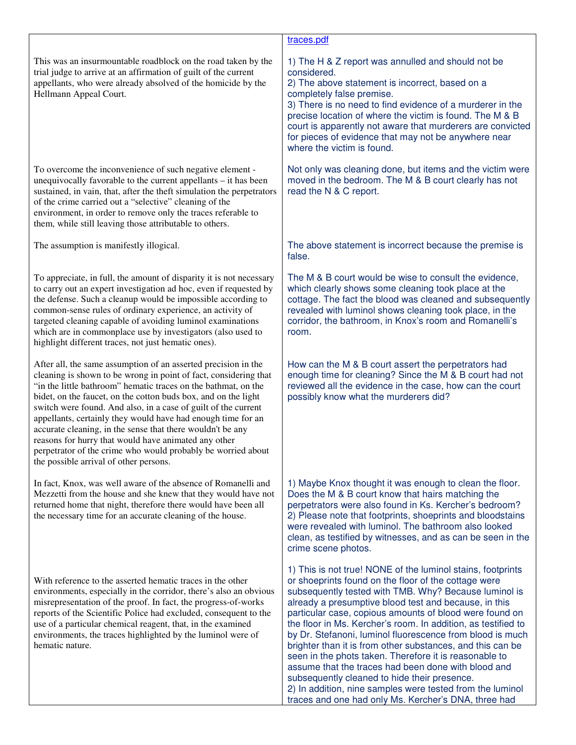|                                                                                                                                                                                                                                                                                                                                                                                                                                                                                                                                                                                                                                          | traces.pdf                                                                                                                                                                                                                                                                                                                                                                                                                                                                                                                                                                                                                                                                                                                                                                         |
|------------------------------------------------------------------------------------------------------------------------------------------------------------------------------------------------------------------------------------------------------------------------------------------------------------------------------------------------------------------------------------------------------------------------------------------------------------------------------------------------------------------------------------------------------------------------------------------------------------------------------------------|------------------------------------------------------------------------------------------------------------------------------------------------------------------------------------------------------------------------------------------------------------------------------------------------------------------------------------------------------------------------------------------------------------------------------------------------------------------------------------------------------------------------------------------------------------------------------------------------------------------------------------------------------------------------------------------------------------------------------------------------------------------------------------|
| This was an insurmountable roadblock on the road taken by the<br>trial judge to arrive at an affirmation of guilt of the current<br>appellants, who were already absolved of the homicide by the<br>Hellmann Appeal Court.                                                                                                                                                                                                                                                                                                                                                                                                               | 1) The H & Z report was annulled and should not be<br>considered.<br>2) The above statement is incorrect, based on a<br>completely false premise.<br>3) There is no need to find evidence of a murderer in the<br>precise location of where the victim is found. The M & B<br>court is apparently not aware that murderers are convicted<br>for pieces of evidence that may not be anywhere near<br>where the victim is found.                                                                                                                                                                                                                                                                                                                                                     |
| To overcome the inconvenience of such negative element -<br>unequivocally favorable to the current appellants - it has been<br>sustained, in vain, that, after the theft simulation the perpetrators<br>of the crime carried out a "selective" cleaning of the<br>environment, in order to remove only the traces referable to<br>them, while still leaving those attributable to others.                                                                                                                                                                                                                                                | Not only was cleaning done, but items and the victim were<br>moved in the bedroom. The M & B court clearly has not<br>read the N & C report.                                                                                                                                                                                                                                                                                                                                                                                                                                                                                                                                                                                                                                       |
| The assumption is manifestly illogical.                                                                                                                                                                                                                                                                                                                                                                                                                                                                                                                                                                                                  | The above statement is incorrect because the premise is<br>false.                                                                                                                                                                                                                                                                                                                                                                                                                                                                                                                                                                                                                                                                                                                  |
| To appreciate, in full, the amount of disparity it is not necessary<br>to carry out an expert investigation ad hoc, even if requested by<br>the defense. Such a cleanup would be impossible according to<br>common-sense rules of ordinary experience, an activity of<br>targeted cleaning capable of avoiding luminol examinations<br>which are in commonplace use by investigators (also used to<br>highlight different traces, not just hematic ones).                                                                                                                                                                                | The M & B court would be wise to consult the evidence,<br>which clearly shows some cleaning took place at the<br>cottage. The fact the blood was cleaned and subsequently<br>revealed with luminol shows cleaning took place, in the<br>corridor, the bathroom, in Knox's room and Romanelli's<br>room.                                                                                                                                                                                                                                                                                                                                                                                                                                                                            |
| After all, the same assumption of an asserted precision in the<br>cleaning is shown to be wrong in point of fact, considering that<br>"in the little bathroom" hematic traces on the bathmat, on the<br>bidet, on the faucet, on the cotton buds box, and on the light<br>switch were found. And also, in a case of guilt of the current<br>appellants, certainly they would have had enough time for an<br>accurate cleaning, in the sense that there wouldn't be any<br>reasons for hurry that would have animated any other<br>perpetrator of the crime who would probably be worried about<br>the possible arrival of other persons. | How can the M & B court assert the perpetrators had<br>enough time for cleaning? Since the M & B court had not<br>reviewed all the evidence in the case, how can the court<br>possibly know what the murderers did?                                                                                                                                                                                                                                                                                                                                                                                                                                                                                                                                                                |
| In fact, Knox, was well aware of the absence of Romanelli and<br>Mezzetti from the house and she knew that they would have not<br>returned home that night, therefore there would have been all<br>the necessary time for an accurate cleaning of the house.                                                                                                                                                                                                                                                                                                                                                                             | 1) Maybe Knox thought it was enough to clean the floor.<br>Does the M & B court know that hairs matching the<br>perpetrators were also found in Ks. Kercher's bedroom?<br>2) Please note that footprints, shoeprints and bloodstains<br>were revealed with luminol. The bathroom also looked<br>clean, as testified by witnesses, and as can be seen in the<br>crime scene photos.                                                                                                                                                                                                                                                                                                                                                                                                 |
| With reference to the asserted hematic traces in the other<br>environments, especially in the corridor, there's also an obvious<br>misrepresentation of the proof. In fact, the progress-of-works<br>reports of the Scientific Police had excluded, consequent to the<br>use of a particular chemical reagent, that, in the examined<br>environments, the traces highlighted by the luminol were of<br>hematic nature.                                                                                                                                                                                                                   | 1) This is not true! NONE of the luminol stains, footprints<br>or shoeprints found on the floor of the cottage were<br>subsequently tested with TMB. Why? Because luminol is<br>already a presumptive blood test and because, in this<br>particular case, copious amounts of blood were found on<br>the floor in Ms. Kercher's room. In addition, as testified to<br>by Dr. Stefanoni, luminol fluorescence from blood is much<br>brighter than it is from other substances, and this can be<br>seen in the phots taken. Therefore it is reasonable to<br>assume that the traces had been done with blood and<br>subsequently cleaned to hide their presence.<br>2) In addition, nine samples were tested from the luminol<br>traces and one had only Ms. Kercher's DNA, three had |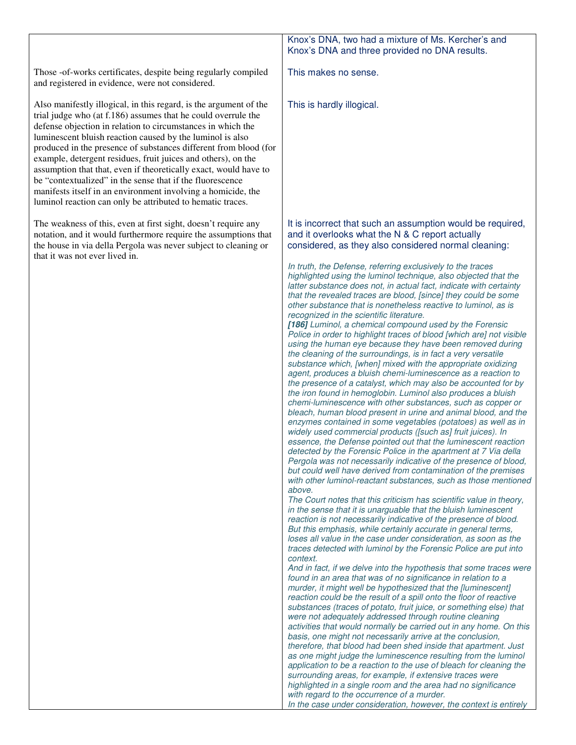#### Those -of-works certificates, despite being regularly compiled and registered in evidence, were not considered. Also manifestly illogical, in this regard, is the argument of the trial judge who (at f.186) assumes that he could overrule the defense objection in relation to circumstances in which the luminescent bluish reaction caused by the luminol is also produced in the presence of substances different from blood (for example, detergent residues, fruit juices and others), on the assumption that that, even if theoretically exact, would have to be "contextualized" in the sense that if the fluorescence manifests itself in an environment involving a homicide, the luminol reaction can only be attributed to hematic traces. The weakness of this, even at first sight, doesn't require any notation, and it would furthermore require the assumptions that the house in via della Pergola was never subject to cleaning or that it was not ever lived in. Knox's DNA, two had a mixture of Ms. Kercher's and Knox's DNA and three provided no DNA results. This makes no sense. This is hardly illogical. It is incorrect that such an assumption would be required, and it overlooks what the N & C report actually considered, as they also considered normal cleaning: *In truth, the Defense, referring exclusively to the traces highlighted using the luminol technique, also objected that the latter substance does not, in actual fact, indicate with certainty that the revealed traces are blood, [since] they could be some other substance that is nonetheless reactive to luminol, as is recognized in the scientific literature.*  **[186]** *Luminol, a chemical compound used by the Forensic Police in order to highlight traces of blood [which are] not visible using the human eye because they have been removed during the cleaning of the surroundings, is in fact a very versatile substance which, [when] mixed with the appropriate oxidizing agent, produces a bluish chemi-luminescence as a reaction to the presence of a catalyst, which may also be accounted for by the iron found in hemoglobin. Luminol also produces a bluish chemi-luminescence with other substances, such as copper or bleach, human blood present in urine and animal blood, and the enzymes contained in some vegetables (potatoes) as well as in widely used commercial products ([such as] fruit juices). In essence, the Defense pointed out that the luminescent reaction detected by the Forensic Police in the apartment at 7 Via della Pergola was not necessarily indicative of the presence of blood, but could well have derived from contamination of the premises with other luminol-reactant substances, such as those mentioned above. The Court notes that this criticism has scientific value in theory, in the sense that it is unarguable that the bluish luminescent reaction is not necessarily indicative of the presence of blood. But this emphasis, while certainly accurate in general terms, loses all value in the case under consideration, as soon as the traces detected with luminol by the Forensic Police are put into context. And in fact, if we delve into the hypothesis that some traces were found in an area that was of no significance in relation to a murder, it might well be hypothesized that the [luminescent] reaction could be the result of a spill onto the floor of reactive substances (traces of potato, fruit juice, or something else) that were not adequately addressed through routine cleaning activities that would normally be carried out in any home. On this basis, one might not necessarily arrive at the conclusion, therefore, that blood had been shed inside that apartment. Just as one might judge the luminescence resulting from the luminol application to be a reaction to the use of bleach for cleaning the surrounding areas, for example, if extensive traces were highlighted in a single room and the area had no significance with regard to the occurrence of a murder. In the case under consideration, however, the context is entirely*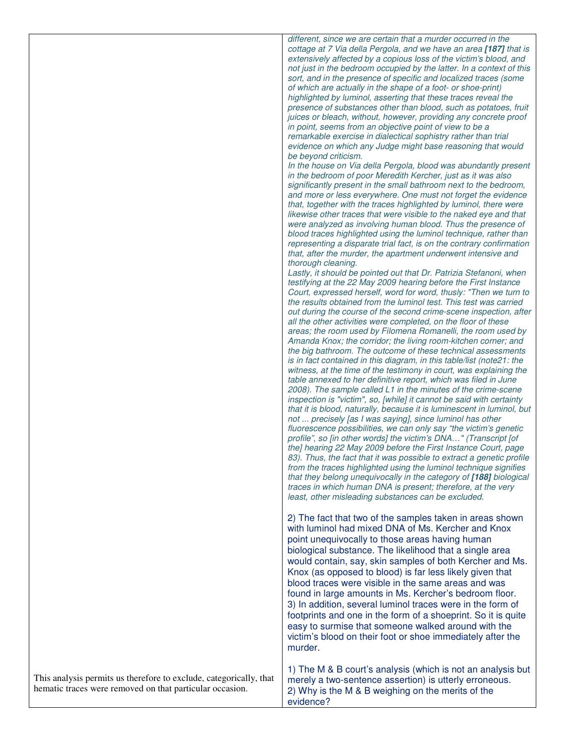|                                                                    | different, since we are certain that a murder occurred in the<br>cottage at 7 Via della Pergola, and we have an area [187] that is<br>extensively affected by a copious loss of the victim's blood, and<br>not just in the bedroom occupied by the latter. In a context of this<br>sort, and in the presence of specific and localized traces (some<br>of which are actually in the shape of a foot- or shoe-print)<br>highlighted by luminol, asserting that these traces reveal the<br>presence of substances other than blood, such as potatoes, fruit<br>juices or bleach, without, however, providing any concrete proof<br>in point, seems from an objective point of view to be a<br>remarkable exercise in dialectical sophistry rather than trial<br>evidence on which any Judge might base reasoning that would<br>be beyond criticism.<br>In the house on Via della Pergola, blood was abundantly present<br>in the bedroom of poor Meredith Kercher, just as it was also<br>significantly present in the small bathroom next to the bedroom,<br>and more or less everywhere. One must not forget the evidence<br>that, together with the traces highlighted by luminol, there were<br>likewise other traces that were visible to the naked eye and that<br>were analyzed as involving human blood. Thus the presence of<br>blood traces highlighted using the luminol technique, rather than<br>representing a disparate trial fact, is on the contrary confirmation<br>that, after the murder, the apartment underwent intensive and<br>thorough cleaning.<br>Lastly, it should be pointed out that Dr. Patrizia Stefanoni, when<br>testifying at the 22 May 2009 hearing before the First Instance<br>Court, expressed herself, word for word, thusly: "Then we turn to<br>the results obtained from the luminol test. This test was carried<br>out during the course of the second crime-scene inspection, after<br>all the other activities were completed, on the floor of these<br>areas; the room used by Filomena Romanelli, the room used by<br>Amanda Knox; the corridor; the living room-kitchen corner; and<br>the big bathroom. The outcome of these technical assessments<br>is in fact contained in this diagram, in this table/list (note21: the<br>witness, at the time of the testimony in court, was explaining the<br>table annexed to her definitive report, which was filed in June<br>2008). The sample called L1 in the minutes of the crime-scene<br>inspection is "victim", so, [while] it cannot be said with certainty<br>that it is blood, naturally, because it is luminescent in luminol, but<br>not  precisely [as I was saying], since luminol has other<br>fluorescence possibilities, we can only say "the victim's genetic<br>profile", so [in other words] the victim's DNA" (Transcript [of<br>the] hearing 22 May 2009 before the First Instance Court, page<br>83). Thus, the fact that it was possible to extract a genetic profile<br>from the traces highlighted using the luminol technique signifies<br>that they belong unequivocally in the category of [188] biological<br>traces in which human DNA is present; therefore, at the very<br>least, other misleading substances can be excluded.<br>2) The fact that two of the samples taken in areas shown<br>with luminol had mixed DNA of Ms. Kercher and Knox<br>point unequivocally to those areas having human<br>biological substance. The likelihood that a single area<br>would contain, say, skin samples of both Kercher and Ms.<br>Knox (as opposed to blood) is far less likely given that<br>blood traces were visible in the same areas and was<br>found in large amounts in Ms. Kercher's bedroom floor.<br>3) In addition, several luminol traces were in the form of<br>footprints and one in the form of a shoeprint. So it is quite<br>easy to surmise that someone walked around with the |
|--------------------------------------------------------------------|---------------------------------------------------------------------------------------------------------------------------------------------------------------------------------------------------------------------------------------------------------------------------------------------------------------------------------------------------------------------------------------------------------------------------------------------------------------------------------------------------------------------------------------------------------------------------------------------------------------------------------------------------------------------------------------------------------------------------------------------------------------------------------------------------------------------------------------------------------------------------------------------------------------------------------------------------------------------------------------------------------------------------------------------------------------------------------------------------------------------------------------------------------------------------------------------------------------------------------------------------------------------------------------------------------------------------------------------------------------------------------------------------------------------------------------------------------------------------------------------------------------------------------------------------------------------------------------------------------------------------------------------------------------------------------------------------------------------------------------------------------------------------------------------------------------------------------------------------------------------------------------------------------------------------------------------------------------------------------------------------------------------------------------------------------------------------------------------------------------------------------------------------------------------------------------------------------------------------------------------------------------------------------------------------------------------------------------------------------------------------------------------------------------------------------------------------------------------------------------------------------------------------------------------------------------------------------------------------------------------------------------------------------------------------------------------------------------------------------------------------------------------------------------------------------------------------------------------------------------------------------------------------------------------------------------------------------------------------------------------------------------------------------------------------------------------------------------------------------------------------------------------------------------------------------------------------------------------------------------------------------------------------------------------------------------------------------------------------------------------------------------------------------------------------------------------------------------------------------------------------------------------------------------------------------------------------------------------------------------------------------------------------------------------------------------------------------------------------------------------------------------------------------------------------------------------------------------------------------------------------------------------------------------------------|
| This analysis permits us therefore to exclude, categorically, that | victim's blood on their foot or shoe immediately after the<br>murder.<br>1) The M & B court's analysis (which is not an analysis but<br>merely a two-sentence assertion) is utterly erroneous.                                                                                                                                                                                                                                                                                                                                                                                                                                                                                                                                                                                                                                                                                                                                                                                                                                                                                                                                                                                                                                                                                                                                                                                                                                                                                                                                                                                                                                                                                                                                                                                                                                                                                                                                                                                                                                                                                                                                                                                                                                                                                                                                                                                                                                                                                                                                                                                                                                                                                                                                                                                                                                                                                                                                                                                                                                                                                                                                                                                                                                                                                                                                                                                                                                                                                                                                                                                                                                                                                                                                                                                                                                                                                                                            |
| hematic traces were removed on that particular occasion.           | 2) Why is the M & B weighing on the merits of the<br>evidence?                                                                                                                                                                                                                                                                                                                                                                                                                                                                                                                                                                                                                                                                                                                                                                                                                                                                                                                                                                                                                                                                                                                                                                                                                                                                                                                                                                                                                                                                                                                                                                                                                                                                                                                                                                                                                                                                                                                                                                                                                                                                                                                                                                                                                                                                                                                                                                                                                                                                                                                                                                                                                                                                                                                                                                                                                                                                                                                                                                                                                                                                                                                                                                                                                                                                                                                                                                                                                                                                                                                                                                                                                                                                                                                                                                                                                                                            |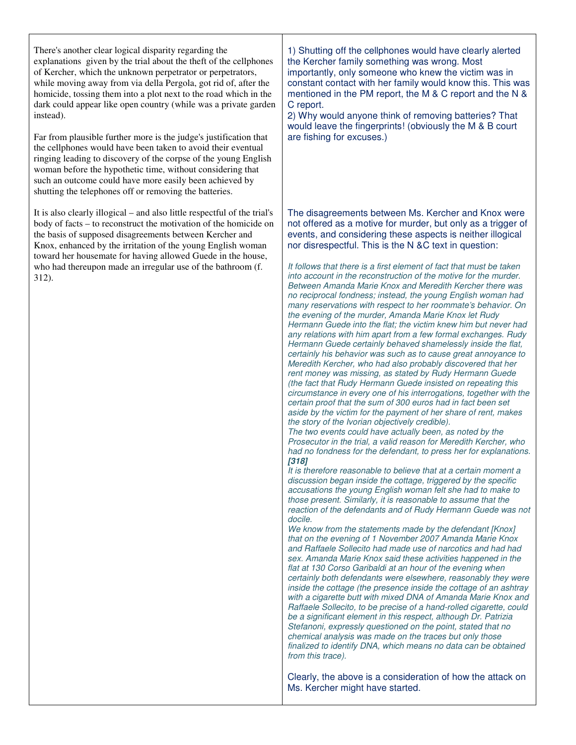There's another clear logical disparity regarding the explanations given by the trial about the theft of the cellphones of Kercher, which the unknown perpetrator or perpetrators, while moving away from via della Pergola, got rid of, after the homicide, tossing them into a plot next to the road which in the dark could appear like open country (while was a private garden instead).

Far from plausible further more is the judge's justification that the cellphones would have been taken to avoid their eventual ringing leading to discovery of the corpse of the young English woman before the hypothetic time, without considering that such an outcome could have more easily been achieved by shutting the telephones off or removing the batteries.

It is also clearly illogical – and also little respectful of the trial's body of facts – to reconstruct the motivation of the homicide on the basis of supposed disagreements between Kercher and Knox, enhanced by the irritation of the young English woman toward her housemate for having allowed Guede in the house, who had thereupon made an irregular use of the bathroom (f. 312).

1) Shutting off the cellphones would have clearly alerted the Kercher family something was wrong. Most importantly, only someone who knew the victim was in constant contact with her family would know this. This was mentioned in the PM report, the M & C report and the N & C report.

2) Why would anyone think of removing batteries? That would leave the fingerprints! (obviously the M & B court are fishing for excuses.)

The disagreements between Ms. Kercher and Knox were not offered as a motive for murder, but only as a trigger of events, and considering these aspects is neither illogical nor disrespectful. This is the N &C text in question:

*It follows that there is a first element of fact that must be taken into account in the reconstruction of the motive for the murder. Between Amanda Marie Knox and Meredith Kercher there was no reciprocal fondness; instead, the young English woman had many reservations with respect to her roommate's behavior. On the evening of the murder, Amanda Marie Knox let Rudy Hermann Guede into the flat; the victim knew him but never had any relations with him apart from a few formal exchanges. Rudy Hermann Guede certainly behaved shamelessly inside the flat, certainly his behavior was such as to cause great annoyance to Meredith Kercher, who had also probably discovered that her rent money was missing, as stated by Rudy Hermann Guede (the fact that Rudy Hermann Guede insisted on repeating this circumstance in every one of his interrogations, together with the certain proof that the sum of 300 euros had in fact been set aside by the victim for the payment of her share of rent, makes the story of the Ivorian objectively credible).* 

*The two events could have actually been, as noted by the Prosecutor in the trial, a valid reason for Meredith Kercher, who had no fondness for the defendant, to press her for explanations.*  **[318]** 

*It is therefore reasonable to believe that at a certain moment a discussion began inside the cottage, triggered by the specific accusations the young English woman felt she had to make to those present. Similarly, it is reasonable to assume that the reaction of the defendants and of Rudy Hermann Guede was not docile.* 

*We know from the statements made by the defendant [Knox] that on the evening of 1 November 2007 Amanda Marie Knox and Raffaele Sollecito had made use of narcotics and had had sex. Amanda Marie Knox said these activities happened in the flat at 130 Corso Garibaldi at an hour of the evening when certainly both defendants were elsewhere, reasonably they were inside the cottage (the presence inside the cottage of an ashtray with a cigarette butt with mixed DNA of Amanda Marie Knox and Raffaele Sollecito, to be precise of a hand-rolled cigarette, could be a significant element in this respect, although Dr. Patrizia Stefanoni, expressly questioned on the point, stated that no chemical analysis was made on the traces but only those finalized to identify DNA, which means no data can be obtained from this trace).* 

Clearly, the above is a consideration of how the attack on Ms. Kercher might have started.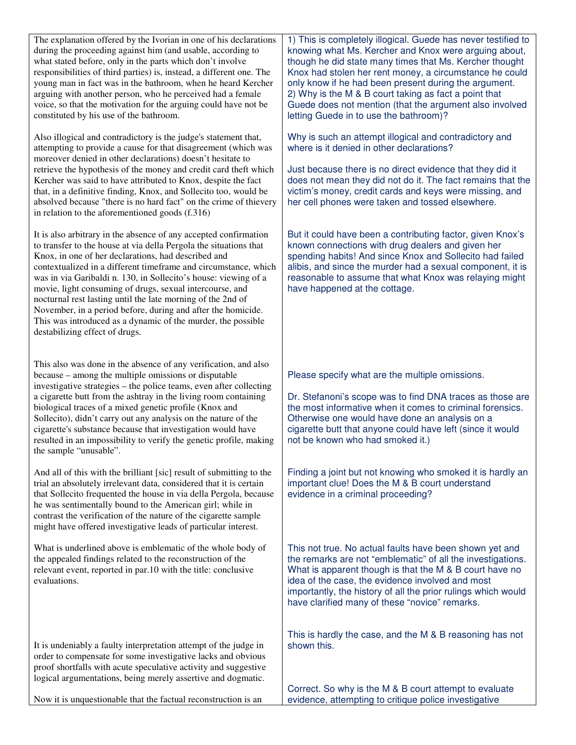| The explanation offered by the Ivorian in one of his declarations<br>during the proceeding against him (and usable, according to<br>what stated before, only in the parts which don't involve<br>responsibilities of third parties) is, instead, a different one. The<br>young man in fact was in the bathroom, when he heard Kercher<br>arguing with another person, who he perceived had a female<br>voice, so that the motivation for the arguing could have not be<br>constituted by his use of the bathroom.                                                                                                               | 1) This is completely illogical. Guede has never testified to<br>knowing what Ms. Kercher and Knox were arguing about,<br>though he did state many times that Ms. Kercher thought<br>Knox had stolen her rent money, a circumstance he could<br>only know if he had been present during the argument.<br>2) Why is the M & B court taking as fact a point that<br>Guede does not mention (that the argument also involved<br>letting Guede in to use the bathroom)? |
|---------------------------------------------------------------------------------------------------------------------------------------------------------------------------------------------------------------------------------------------------------------------------------------------------------------------------------------------------------------------------------------------------------------------------------------------------------------------------------------------------------------------------------------------------------------------------------------------------------------------------------|---------------------------------------------------------------------------------------------------------------------------------------------------------------------------------------------------------------------------------------------------------------------------------------------------------------------------------------------------------------------------------------------------------------------------------------------------------------------|
| Also illogical and contradictory is the judge's statement that,<br>attempting to provide a cause for that disagreement (which was<br>moreover denied in other declarations) doesn't hesitate to<br>retrieve the hypothesis of the money and credit card theft which<br>Kercher was said to have attributed to Knox, despite the fact<br>that, in a definitive finding, Knox, and Sollecito too, would be<br>absolved because "there is no hard fact" on the crime of thievery<br>in relation to the aforementioned goods (f.316)                                                                                                | Why is such an attempt illogical and contradictory and<br>where is it denied in other declarations?<br>Just because there is no direct evidence that they did it<br>does not mean they did not do it. The fact remains that the<br>victim's money, credit cards and keys were missing, and<br>her cell phones were taken and tossed elsewhere.                                                                                                                      |
| It is also arbitrary in the absence of any accepted confirmation<br>to transfer to the house at via della Pergola the situations that<br>Knox, in one of her declarations, had described and<br>contextualized in a different timeframe and circumstance, which<br>was in via Garibaldi n. 130, in Sollecito's house: viewing of a<br>movie, light consuming of drugs, sexual intercourse, and<br>nocturnal rest lasting until the late morning of the 2nd of<br>November, in a period before, during and after the homicide.<br>This was introduced as a dynamic of the murder, the possible<br>destabilizing effect of drugs. | But it could have been a contributing factor, given Knox's<br>known connections with drug dealers and given her<br>spending habits! And since Knox and Sollecito had failed<br>alibis, and since the murder had a sexual component, it is<br>reasonable to assume that what Knox was relaying might<br>have happened at the cottage.                                                                                                                                |
| This also was done in the absence of any verification, and also<br>because – among the multiple omissions or disputable<br>investigative strategies – the police teams, even after collecting<br>a cigarette butt from the ashtray in the living room containing<br>biological traces of a mixed genetic profile (Knox and<br>Sollecito), didn't carry out any analysis on the nature of the<br>cigarette's substance because that investigation would have<br>resulted in an impossibility to verify the genetic profile, making<br>the sample "unusable".                                                                     | Please specify what are the multiple omissions.<br>Dr. Stefanoni's scope was to find DNA traces as those are<br>the most informative when it comes to criminal forensics.<br>Otherwise one would have done an analysis on a<br>cigarette butt that anyone could have left (since it would<br>not be known who had smoked it.)                                                                                                                                       |
| And all of this with the brilliant [sic] result of submitting to the<br>trial an absolutely irrelevant data, considered that it is certain<br>that Sollecito frequented the house in via della Pergola, because<br>he was sentimentally bound to the American girl; while in<br>contrast the verification of the nature of the cigarette sample<br>might have offered investigative leads of particular interest.                                                                                                                                                                                                               | Finding a joint but not knowing who smoked it is hardly an<br>important clue! Does the M & B court understand<br>evidence in a criminal proceeding?                                                                                                                                                                                                                                                                                                                 |
| What is underlined above is emblematic of the whole body of<br>the appealed findings related to the reconstruction of the<br>relevant event, reported in par.10 with the title: conclusive<br>evaluations.                                                                                                                                                                                                                                                                                                                                                                                                                      | This not true. No actual faults have been shown yet and<br>the remarks are not "emblematic" of all the investigations.<br>What is apparent though is that the M & B court have no<br>idea of the case, the evidence involved and most<br>importantly, the history of all the prior rulings which would<br>have clarified many of these "novice" remarks.                                                                                                            |
| It is undeniably a faulty interpretation attempt of the judge in<br>order to compensate for some investigative lacks and obvious<br>proof shortfalls with acute speculative activity and suggestive<br>logical argumentations, being merely assertive and dogmatic.                                                                                                                                                                                                                                                                                                                                                             | This is hardly the case, and the M & B reasoning has not<br>shown this.<br>Correct. So why is the M & B court attempt to evaluate                                                                                                                                                                                                                                                                                                                                   |
| Now it is unquestionable that the factual reconstruction is an                                                                                                                                                                                                                                                                                                                                                                                                                                                                                                                                                                  | evidence, attempting to critique police investigative                                                                                                                                                                                                                                                                                                                                                                                                               |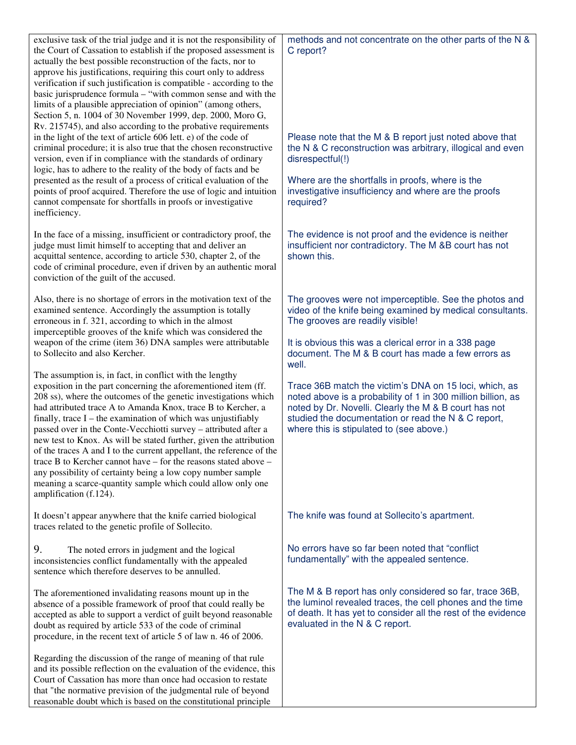| exclusive task of the trial judge and it is not the responsibility of<br>the Court of Cassation to establish if the proposed assessment is<br>actually the best possible reconstruction of the facts, nor to<br>approve his justifications, requiring this court only to address<br>verification if such justification is compatible - according to the<br>basic jurisprudence formula - "with common sense and with the<br>limits of a plausible appreciation of opinion" (among others,<br>Section 5, n. 1004 of 30 November 1999, dep. 2000, Moro G,<br>Rv. 215745), and also according to the probative requirements                                                                                                                                                     | methods and not concentrate on the other parts of the N &<br>C report?                                                                                                                                                                                                             |
|------------------------------------------------------------------------------------------------------------------------------------------------------------------------------------------------------------------------------------------------------------------------------------------------------------------------------------------------------------------------------------------------------------------------------------------------------------------------------------------------------------------------------------------------------------------------------------------------------------------------------------------------------------------------------------------------------------------------------------------------------------------------------|------------------------------------------------------------------------------------------------------------------------------------------------------------------------------------------------------------------------------------------------------------------------------------|
| in the light of the text of article 606 lett. e) of the code of<br>criminal procedure; it is also true that the chosen reconstructive<br>version, even if in compliance with the standards of ordinary<br>logic, has to adhere to the reality of the body of facts and be                                                                                                                                                                                                                                                                                                                                                                                                                                                                                                    | Please note that the M & B report just noted above that<br>the N & C reconstruction was arbitrary, illogical and even<br>disrespectful(!)                                                                                                                                          |
| presented as the result of a process of critical evaluation of the<br>points of proof acquired. Therefore the use of logic and intuition<br>cannot compensate for shortfalls in proofs or investigative<br>inefficiency.                                                                                                                                                                                                                                                                                                                                                                                                                                                                                                                                                     | Where are the shortfalls in proofs, where is the<br>investigative insufficiency and where are the proofs<br>required?                                                                                                                                                              |
| In the face of a missing, insufficient or contradictory proof, the<br>judge must limit himself to accepting that and deliver an<br>acquittal sentence, according to article 530, chapter 2, of the<br>code of criminal procedure, even if driven by an authentic moral<br>conviction of the guilt of the accused.                                                                                                                                                                                                                                                                                                                                                                                                                                                            | The evidence is not proof and the evidence is neither<br>insufficient nor contradictory. The M &B court has not<br>shown this.                                                                                                                                                     |
| Also, there is no shortage of errors in the motivation text of the<br>examined sentence. Accordingly the assumption is totally<br>erroneous in f. 321, according to which in the almost<br>imperceptible grooves of the knife which was considered the                                                                                                                                                                                                                                                                                                                                                                                                                                                                                                                       | The grooves were not imperceptible. See the photos and<br>video of the knife being examined by medical consultants.<br>The grooves are readily visible!                                                                                                                            |
| weapon of the crime (item 36) DNA samples were attributable<br>to Sollecito and also Kercher.                                                                                                                                                                                                                                                                                                                                                                                                                                                                                                                                                                                                                                                                                | It is obvious this was a clerical error in a 338 page<br>document. The M & B court has made a few errors as<br>well.                                                                                                                                                               |
| The assumption is, in fact, in conflict with the lengthy<br>exposition in the part concerning the aforementioned item (ff.<br>208 ss), where the outcomes of the genetic investigations which<br>had attributed trace A to Amanda Knox, trace B to Kercher, a<br>finally, trace $I$ – the examination of which was unjustifiably<br>passed over in the Conte-Vecchiotti survey - attributed after a<br>new test to Knox. As will be stated further, given the attribution<br>of the traces A and I to the current appellant, the reference of the<br>trace B to Kercher cannot have – for the reasons stated above –<br>any possibility of certainty being a low copy number sample<br>meaning a scarce-quantity sample which could allow only one<br>amplification (f.124). | Trace 36B match the victim's DNA on 15 loci, which, as<br>noted above is a probability of 1 in 300 million billion, as<br>noted by Dr. Novelli. Clearly the M & B court has not<br>studied the documentation or read the N & C report,<br>where this is stipulated to (see above.) |
| It doesn't appear anywhere that the knife carried biological<br>traces related to the genetic profile of Sollecito.                                                                                                                                                                                                                                                                                                                                                                                                                                                                                                                                                                                                                                                          | The knife was found at Sollecito's apartment.                                                                                                                                                                                                                                      |
| 9.<br>The noted errors in judgment and the logical<br>inconsistencies conflict fundamentally with the appealed<br>sentence which therefore deserves to be annulled.                                                                                                                                                                                                                                                                                                                                                                                                                                                                                                                                                                                                          | No errors have so far been noted that "conflict"<br>fundamentally" with the appealed sentence.                                                                                                                                                                                     |
| The aforementioned invalidating reasons mount up in the<br>absence of a possible framework of proof that could really be<br>accepted as able to support a verdict of guilt beyond reasonable<br>doubt as required by article 533 of the code of criminal<br>procedure, in the recent text of article 5 of law n. 46 of 2006.                                                                                                                                                                                                                                                                                                                                                                                                                                                 | The M & B report has only considered so far, trace 36B,<br>the luminol revealed traces, the cell phones and the time<br>of death. It has yet to consider all the rest of the evidence<br>evaluated in the N & C report.                                                            |
| Regarding the discussion of the range of meaning of that rule<br>and its possible reflection on the evaluation of the evidence, this<br>Court of Cassation has more than once had occasion to restate<br>that "the normative prevision of the judgmental rule of beyond<br>reasonable doubt which is based on the constitutional principle                                                                                                                                                                                                                                                                                                                                                                                                                                   |                                                                                                                                                                                                                                                                                    |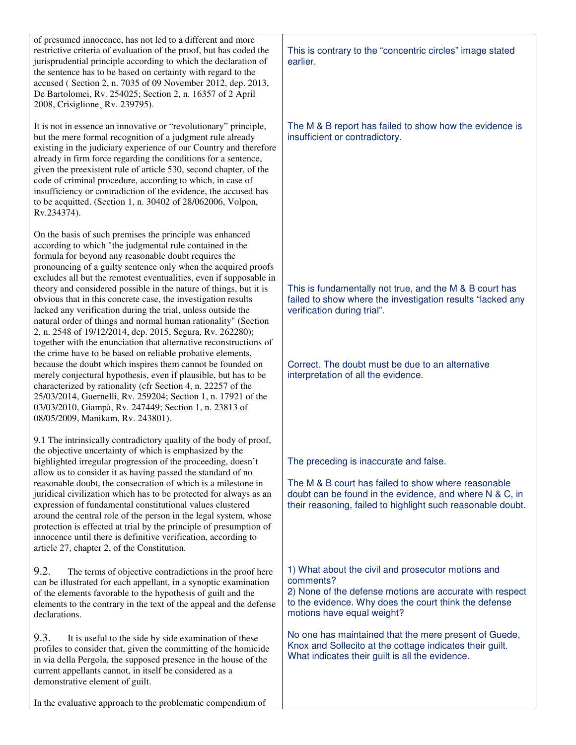| of presumed innocence, has not led to a different and more<br>restrictive criteria of evaluation of the proof, but has coded the<br>jurisprudential principle according to which the declaration of<br>the sentence has to be based on certainty with regard to the<br>accused (Section 2, n. 7035 of 09 November 2012, dep. 2013,<br>De Bartolomei, Rv. 254025; Section 2, n. 16357 of 2 April<br>2008, Crisiglione, Rv. 239795).                                                                                                                                                                                                                                                                                                                                                                                                                                                                                                                                                                                                                                                                                                                            | This is contrary to the "concentric circles" image stated<br>earlier.                                                                                                                                                                           |
|---------------------------------------------------------------------------------------------------------------------------------------------------------------------------------------------------------------------------------------------------------------------------------------------------------------------------------------------------------------------------------------------------------------------------------------------------------------------------------------------------------------------------------------------------------------------------------------------------------------------------------------------------------------------------------------------------------------------------------------------------------------------------------------------------------------------------------------------------------------------------------------------------------------------------------------------------------------------------------------------------------------------------------------------------------------------------------------------------------------------------------------------------------------|-------------------------------------------------------------------------------------------------------------------------------------------------------------------------------------------------------------------------------------------------|
| It is not in essence an innovative or "revolutionary" principle,<br>but the mere formal recognition of a judgment rule already<br>existing in the judiciary experience of our Country and therefore<br>already in firm force regarding the conditions for a sentence,<br>given the preexistent rule of article 530, second chapter, of the<br>code of criminal procedure, according to which, in case of<br>insufficiency or contradiction of the evidence, the accused has<br>to be acquitted. (Section 1, n. 30402 of 28/062006, Volpon,<br>Rv.234374).                                                                                                                                                                                                                                                                                                                                                                                                                                                                                                                                                                                                     | The M & B report has failed to show how the evidence is<br>insufficient or contradictory.                                                                                                                                                       |
| On the basis of such premises the principle was enhanced<br>according to which "the judgmental rule contained in the<br>formula for beyond any reasonable doubt requires the<br>pronouncing of a guilty sentence only when the acquired proofs<br>excludes all but the remotest eventualities, even if supposable in<br>theory and considered possible in the nature of things, but it is<br>obvious that in this concrete case, the investigation results<br>lacked any verification during the trial, unless outside the<br>natural order of things and normal human rationality" (Section<br>2, n. 2548 of 19/12/2014, dep. 2015, Segura, Rv. 262280);<br>together with the enunciation that alternative reconstructions of<br>the crime have to be based on reliable probative elements,<br>because the doubt which inspires them cannot be founded on<br>merely conjectural hypothesis, even if plausible, but has to be<br>characterized by rationality (cfr Section 4, n. 22257 of the<br>25/03/2014, Guernelli, Rv. 259204; Section 1, n. 17921 of the<br>03/03/2010, Giampà, Rv. 247449; Section 1, n. 23813 of<br>08/05/2009, Manikam, Rv. 243801). | This is fundamentally not true, and the M & B court has<br>failed to show where the investigation results "lacked any<br>verification during trial".<br>Correct. The doubt must be due to an alternative<br>interpretation of all the evidence. |
| 9.1 The intrinsically contradictory quality of the body of proof,<br>the objective uncertainty of which is emphasized by the<br>highlighted irregular progression of the proceeding, doesn't<br>allow us to consider it as having passed the standard of no<br>reasonable doubt, the consecration of which is a milestone in<br>juridical civilization which has to be protected for always as an<br>expression of fundamental constitutional values clustered<br>around the central role of the person in the legal system, whose<br>protection is effected at trial by the principle of presumption of<br>innocence until there is definitive verification, according to<br>article 27, chapter 2, of the Constitution.                                                                                                                                                                                                                                                                                                                                                                                                                                     | The preceding is inaccurate and false.<br>The M & B court has failed to show where reasonable<br>doubt can be found in the evidence, and where N & C, in<br>their reasoning, failed to highlight such reasonable doubt.                         |
| 9.2.<br>The terms of objective contradictions in the proof here<br>can be illustrated for each appellant, in a synoptic examination<br>of the elements favorable to the hypothesis of guilt and the<br>elements to the contrary in the text of the appeal and the defense<br>declarations.                                                                                                                                                                                                                                                                                                                                                                                                                                                                                                                                                                                                                                                                                                                                                                                                                                                                    | 1) What about the civil and prosecutor motions and<br>comments?<br>2) None of the defense motions are accurate with respect<br>to the evidence. Why does the court think the defense<br>motions have equal weight?                              |
| 9.3.<br>It is useful to the side by side examination of these<br>profiles to consider that, given the committing of the homicide<br>in via della Pergola, the supposed presence in the house of the<br>current appellants cannot, in itself be considered as a<br>demonstrative element of guilt.                                                                                                                                                                                                                                                                                                                                                                                                                                                                                                                                                                                                                                                                                                                                                                                                                                                             | No one has maintained that the mere present of Guede,<br>Knox and Sollecito at the cottage indicates their guilt.<br>What indicates their guilt is all the evidence.                                                                            |
| In the evaluative approach to the problematic compendium of                                                                                                                                                                                                                                                                                                                                                                                                                                                                                                                                                                                                                                                                                                                                                                                                                                                                                                                                                                                                                                                                                                   |                                                                                                                                                                                                                                                 |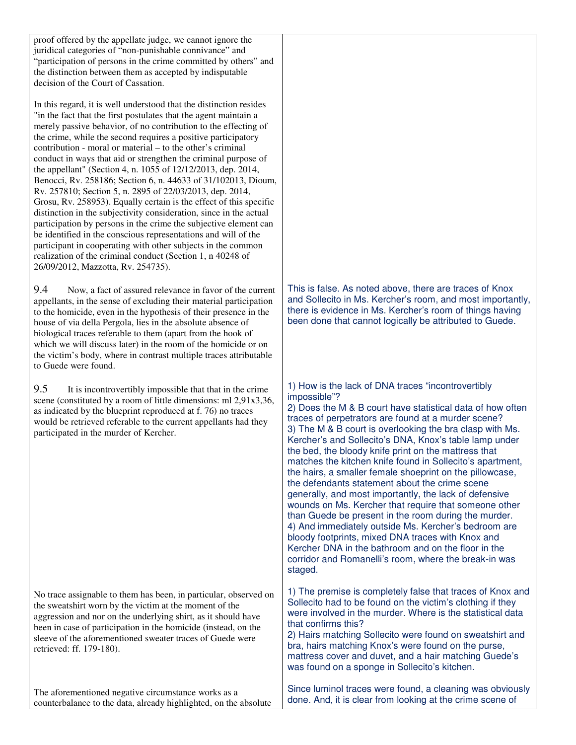proof offered by the appellate judge, we cannot ignore the juridical categories of "non-punishable connivance" and "participation of persons in the crime committed by others" and the distinction between them as accepted by indisputable decision of the Court of Cassation.

In this regard, it is well understood that the distinction resides "in the fact that the first postulates that the agent maintain a merely passive behavior, of no contribution to the effecting of the crime, while the second requires a positive participatory contribution - moral or material – to the other's criminal conduct in ways that aid or strengthen the criminal purpose of the appellant" (Section 4, n. 1055 of 12/12/2013, dep. 2014, Benocci, Rv. 258186; Section 6, n. 44633 of 31/102013, Dioum, Rv. 257810; Section 5, n. 2895 of 22/03/2013, dep. 2014, Grosu, Rv. 258953). Equally certain is the effect of this specific distinction in the subjectivity consideration, since in the actual participation by persons in the crime the subjective element can be identified in the conscious representations and will of the participant in cooperating with other subjects in the common realization of the criminal conduct (Section 1, n 40248 of 26/09/2012, Mazzotta, Rv. 254735).

9.4 Now, a fact of assured relevance in favor of the current appellants, in the sense of excluding their material participation to the homicide, even in the hypothesis of their presence in the house of via della Pergola, lies in the absolute absence of biological traces referable to them (apart from the hook of which we will discuss later) in the room of the homicide or on the victim's body, where in contrast multiple traces attributable to Guede were found.

9.5 It is incontrovertibly impossible that that in the crime scene (constituted by a room of little dimensions: ml 2,91x3,36, as indicated by the blueprint reproduced at f. 76) no traces would be retrieved referable to the current appellants had they participated in the murder of Kercher.

No trace assignable to them has been, in particular, observed on the sweatshirt worn by the victim at the moment of the aggression and nor on the underlying shirt, as it should have been in case of participation in the homicide (instead, on the sleeve of the aforementioned sweater traces of Guede were retrieved: ff. 179-180).

The aforementioned negative circumstance works as a counterbalance to the data, already highlighted, on the absolute This is false. As noted above, there are traces of Knox and Sollecito in Ms. Kercher's room, and most importantly, there is evidence in Ms. Kercher's room of things having been done that cannot logically be attributed to Guede.

1) How is the lack of DNA traces "incontrovertibly impossible"?

2) Does the M & B court have statistical data of how often traces of perpetrators are found at a murder scene? 3) The M & B court is overlooking the bra clasp with Ms. Kercher's and Sollecito's DNA, Knox's table lamp under the bed, the bloody knife print on the mattress that matches the kitchen knife found in Sollecito's apartment, the hairs, a smaller female shoeprint on the pillowcase, the defendants statement about the crime scene generally, and most importantly, the lack of defensive wounds on Ms. Kercher that require that someone other than Guede be present in the room during the murder. 4) And immediately outside Ms. Kercher's bedroom are bloody footprints, mixed DNA traces with Knox and Kercher DNA in the bathroom and on the floor in the corridor and Romanelli's room, where the break-in was staged.

1) The premise is completely false that traces of Knox and Sollecito had to be found on the victim's clothing if they were involved in the murder. Where is the statistical data that confirms this?

2) Hairs matching Sollecito were found on sweatshirt and bra, hairs matching Knox's were found on the purse, mattress cover and duvet, and a hair matching Guede's was found on a sponge in Sollecito's kitchen.

Since luminol traces were found, a cleaning was obviously done. And, it is clear from looking at the crime scene of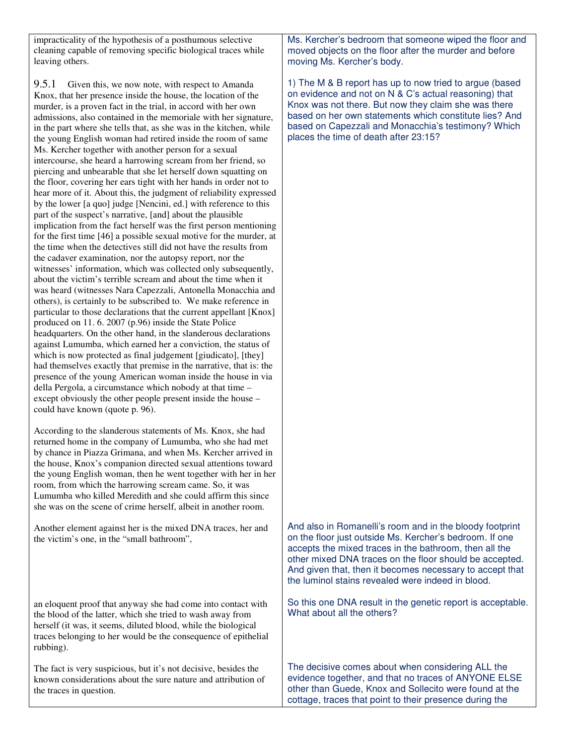impracticality of the hypothesis of a posthumous selective cleaning capable of removing specific biological traces while leaving others.

9.5.1 Given this, we now note, with respect to Amanda Knox, that her presence inside the house, the location of the murder, is a proven fact in the trial, in accord with her own admissions, also contained in the memoriale with her signature, in the part where she tells that, as she was in the kitchen, while the young English woman had retired inside the room of same Ms. Kercher together with another person for a sexual intercourse, she heard a harrowing scream from her friend, so piercing and unbearable that she let herself down squatting on the floor, covering her ears tight with her hands in order not to hear more of it. About this, the judgment of reliability expressed by the lower [a quo] judge [Nencini, ed.] with reference to this part of the suspect's narrative, [and] about the plausible implication from the fact herself was the first person mentioning for the first time [46] a possible sexual motive for the murder, at the time when the detectives still did not have the results from the cadaver examination, nor the autopsy report, nor the witnesses' information, which was collected only subsequently, about the victim's terrible scream and about the time when it was heard (witnesses Nara Capezzali, Antonella Monacchia and others), is certainly to be subscribed to. We make reference in particular to those declarations that the current appellant [Knox] produced on 11. 6. 2007 (p.96) inside the State Police headquarters. On the other hand, in the slanderous declarations against Lumumba, which earned her a conviction, the status of which is now protected as final judgement [giudicato], [they] had themselves exactly that premise in the narrative, that is: the presence of the young American woman inside the house in via della Pergola, a circumstance which nobody at that time – except obviously the other people present inside the house – could have known (quote p. 96).

According to the slanderous statements of Ms. Knox, she had returned home in the company of Lumumba, who she had met by chance in Piazza Grimana, and when Ms. Kercher arrived in the house, Knox's companion directed sexual attentions toward the young English woman, then he went together with her in her room, from which the harrowing scream came. So, it was Lumumba who killed Meredith and she could affirm this since she was on the scene of crime herself, albeit in another room.

Another element against her is the mixed DNA traces, her and the victim's one, in the "small bathroom",

an eloquent proof that anyway she had come into contact with the blood of the latter, which she tried to wash away from herself (it was, it seems, diluted blood, while the biological traces belonging to her would be the consequence of epithelial rubbing).

The fact is very suspicious, but it's not decisive, besides the known considerations about the sure nature and attribution of the traces in question.

Ms. Kercher's bedroom that someone wiped the floor and moved objects on the floor after the murder and before moving Ms. Kercher's body.

1) The M & B report has up to now tried to argue (based on evidence and not on N & C's actual reasoning) that Knox was not there. But now they claim she was there based on her own statements which constitute lies? And based on Capezzali and Monacchia's testimony? Which places the time of death after 23:15?

And also in Romanelli's room and in the bloody footprint on the floor just outside Ms. Kercher's bedroom. If one accepts the mixed traces in the bathroom, then all the other mixed DNA traces on the floor should be accepted. And given that, then it becomes necessary to accept that the luminol stains revealed were indeed in blood.

So this one DNA result in the genetic report is acceptable. What about all the others?

The decisive comes about when considering ALL the evidence together, and that no traces of ANYONE ELSE other than Guede, Knox and Sollecito were found at the cottage, traces that point to their presence during the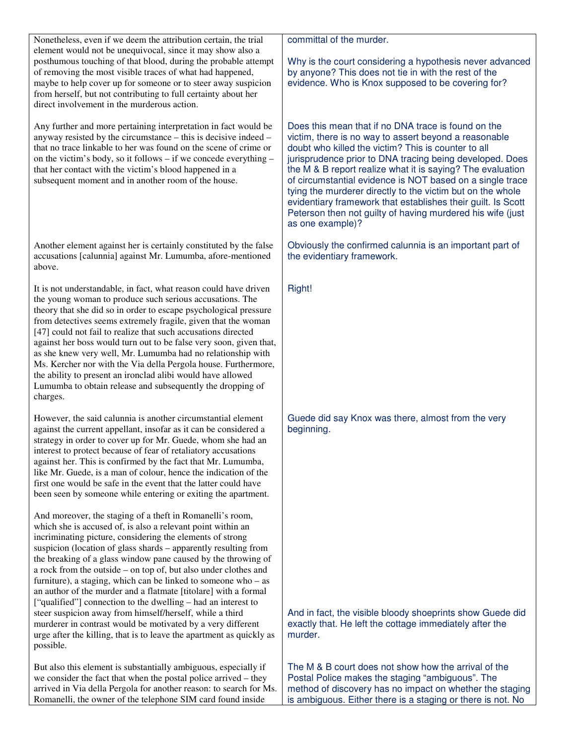| Nonetheless, even if we deem the attribution certain, the trial<br>element would not be unequivocal, since it may show also a<br>posthumous touching of that blood, during the probable attempt<br>of removing the most visible traces of what had happened,<br>maybe to help cover up for someone or to steer away suspicion<br>from herself, but not contributing to full certainty about her                                                                                                                                                                                                                                                                                    | committal of the murder.<br>Why is the court considering a hypothesis never advanced<br>by anyone? This does not tie in with the rest of the<br>evidence. Who is Knox supposed to be covering for?                                                                                                                                                                                                                                                         |
|------------------------------------------------------------------------------------------------------------------------------------------------------------------------------------------------------------------------------------------------------------------------------------------------------------------------------------------------------------------------------------------------------------------------------------------------------------------------------------------------------------------------------------------------------------------------------------------------------------------------------------------------------------------------------------|------------------------------------------------------------------------------------------------------------------------------------------------------------------------------------------------------------------------------------------------------------------------------------------------------------------------------------------------------------------------------------------------------------------------------------------------------------|
| direct involvement in the murderous action.<br>Any further and more pertaining interpretation in fact would be<br>anyway resisted by the circumstance – this is decisive indeed –                                                                                                                                                                                                                                                                                                                                                                                                                                                                                                  | Does this mean that if no DNA trace is found on the<br>victim, there is no way to assert beyond a reasonable                                                                                                                                                                                                                                                                                                                                               |
| that no trace linkable to her was found on the scene of crime or<br>on the victim's body, so it follows - if we concede everything -<br>that her contact with the victim's blood happened in a<br>subsequent moment and in another room of the house.                                                                                                                                                                                                                                                                                                                                                                                                                              | doubt who killed the victim? This is counter to all<br>jurisprudence prior to DNA tracing being developed. Does<br>the M & B report realize what it is saying? The evaluation<br>of circumstantial evidence is NOT based on a single trace<br>tying the murderer directly to the victim but on the whole<br>evidentiary framework that establishes their guilt. Is Scott<br>Peterson then not guilty of having murdered his wife (just<br>as one example)? |
| Another element against her is certainly constituted by the false<br>accusations [calunnia] against Mr. Lumumba, afore-mentioned<br>above.                                                                                                                                                                                                                                                                                                                                                                                                                                                                                                                                         | Obviously the confirmed calunnia is an important part of<br>the evidentiary framework.                                                                                                                                                                                                                                                                                                                                                                     |
| It is not understandable, in fact, what reason could have driven<br>the young woman to produce such serious accusations. The<br>theory that she did so in order to escape psychological pressure<br>from detectives seems extremely fragile, given that the woman<br>[47] could not fail to realize that such accusations directed<br>against her boss would turn out to be false very soon, given that,<br>as she knew very well, Mr. Lumumba had no relationship with<br>Ms. Kercher nor with the Via della Pergola house. Furthermore,<br>the ability to present an ironclad alibi would have allowed<br>Lumumba to obtain release and subsequently the dropping of<br>charges. | Right!                                                                                                                                                                                                                                                                                                                                                                                                                                                     |
| However, the said calunnia is another circumstantial element<br>against the current appellant, insofar as it can be considered a<br>strategy in order to cover up for Mr. Guede, whom she had an<br>interest to protect because of fear of retaliatory accusations<br>against her. This is confirmed by the fact that Mr. Lumumba,<br>like Mr. Guede, is a man of colour, hence the indication of the<br>first one would be safe in the event that the latter could have<br>been seen by someone while entering or exiting the apartment.                                                                                                                                          | Guede did say Knox was there, almost from the very<br>beginning.                                                                                                                                                                                                                                                                                                                                                                                           |
| And moreover, the staging of a theft in Romanelli's room,<br>which she is accused of, is also a relevant point within an<br>incriminating picture, considering the elements of strong<br>suspicion (location of glass shards – apparently resulting from<br>the breaking of a glass window pane caused by the throwing of<br>a rock from the outside – on top of, but also under clothes and<br>furniture), a staging, which can be linked to someone who $-$ as<br>an author of the murder and a flatmate [titolare] with a formal<br>["qualified"] connection to the dwelling – had an interest to                                                                               |                                                                                                                                                                                                                                                                                                                                                                                                                                                            |
| steer suspicion away from himself/herself, while a third<br>murderer in contrast would be motivated by a very different<br>urge after the killing, that is to leave the apartment as quickly as<br>possible.                                                                                                                                                                                                                                                                                                                                                                                                                                                                       | And in fact, the visible bloody shoeprints show Guede did<br>exactly that. He left the cottage immediately after the<br>murder.                                                                                                                                                                                                                                                                                                                            |
| But also this element is substantially ambiguous, especially if<br>we consider the fact that when the postal police arrived - they<br>arrived in Via della Pergola for another reason: to search for Ms.<br>Romanelli, the owner of the telephone SIM card found inside                                                                                                                                                                                                                                                                                                                                                                                                            | The M & B court does not show how the arrival of the<br>Postal Police makes the staging "ambiguous". The<br>method of discovery has no impact on whether the staging<br>is ambiguous. Either there is a staging or there is not. No                                                                                                                                                                                                                        |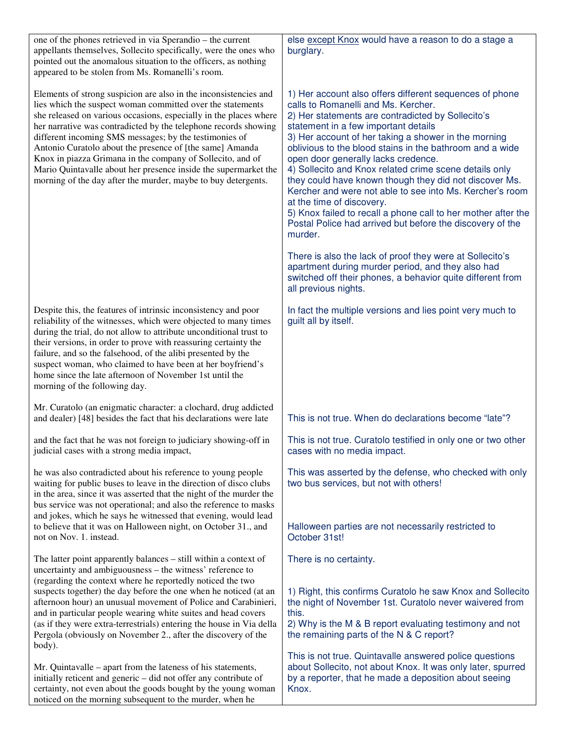| one of the phones retrieved in via Sperandio – the current<br>appellants themselves, Sollecito specifically, were the ones who<br>pointed out the anomalous situation to the officers, as nothing<br>appeared to be stolen from Ms. Romanelli's room.                                                                                                                                                                                                                                                                                                                                          | else except Knox would have a reason to do a stage a<br>burglary.                                                                                                                                                                                                                                                                                                                                                                                                                                                                                                                                                                                                                                            |
|------------------------------------------------------------------------------------------------------------------------------------------------------------------------------------------------------------------------------------------------------------------------------------------------------------------------------------------------------------------------------------------------------------------------------------------------------------------------------------------------------------------------------------------------------------------------------------------------|--------------------------------------------------------------------------------------------------------------------------------------------------------------------------------------------------------------------------------------------------------------------------------------------------------------------------------------------------------------------------------------------------------------------------------------------------------------------------------------------------------------------------------------------------------------------------------------------------------------------------------------------------------------------------------------------------------------|
| Elements of strong suspicion are also in the inconsistencies and<br>lies which the suspect woman committed over the statements<br>she released on various occasions, especially in the places where<br>her narrative was contradicted by the telephone records showing<br>different incoming SMS messages; by the testimonies of<br>Antonio Curatolo about the presence of [the same] Amanda<br>Knox in piazza Grimana in the company of Sollecito, and of<br>Mario Quintavalle about her presence inside the supermarket the<br>morning of the day after the murder, maybe to buy detergents. | 1) Her account also offers different sequences of phone<br>calls to Romanelli and Ms. Kercher.<br>2) Her statements are contradicted by Sollecito's<br>statement in a few important details<br>3) Her account of her taking a shower in the morning<br>oblivious to the blood stains in the bathroom and a wide<br>open door generally lacks credence.<br>4) Sollecito and Knox related crime scene details only<br>they could have known though they did not discover Ms.<br>Kercher and were not able to see into Ms. Kercher's room<br>at the time of discovery.<br>5) Knox failed to recall a phone call to her mother after the<br>Postal Police had arrived but before the discovery of the<br>murder. |
|                                                                                                                                                                                                                                                                                                                                                                                                                                                                                                                                                                                                | There is also the lack of proof they were at Sollecito's<br>apartment during murder period, and they also had<br>switched off their phones, a behavior quite different from<br>all previous nights.                                                                                                                                                                                                                                                                                                                                                                                                                                                                                                          |
| Despite this, the features of intrinsic inconsistency and poor<br>reliability of the witnesses, which were objected to many times<br>during the trial, do not allow to attribute unconditional trust to<br>their versions, in order to prove with reassuring certainty the<br>failure, and so the falsehood, of the alibi presented by the<br>suspect woman, who claimed to have been at her boyfriend's<br>home since the late afternoon of November 1st until the<br>morning of the following day.                                                                                           | In fact the multiple versions and lies point very much to<br>guilt all by itself.                                                                                                                                                                                                                                                                                                                                                                                                                                                                                                                                                                                                                            |
| Mr. Curatolo (an enigmatic character: a clochard, drug addicted<br>and dealer) [48] besides the fact that his declarations were late                                                                                                                                                                                                                                                                                                                                                                                                                                                           | This is not true. When do declarations become "late"?                                                                                                                                                                                                                                                                                                                                                                                                                                                                                                                                                                                                                                                        |
| and the fact that he was not foreign to judiciary showing-off in<br>judicial cases with a strong media impact,                                                                                                                                                                                                                                                                                                                                                                                                                                                                                 | This is not true. Curatolo testified in only one or two other<br>cases with no media impact.                                                                                                                                                                                                                                                                                                                                                                                                                                                                                                                                                                                                                 |
| he was also contradicted about his reference to young people<br>waiting for public buses to leave in the direction of disco clubs<br>in the area, since it was asserted that the night of the murder the<br>bus service was not operational; and also the reference to masks<br>and jokes, which he says he witnessed that evening, would lead                                                                                                                                                                                                                                                 | This was asserted by the defense, who checked with only<br>two bus services, but not with others!                                                                                                                                                                                                                                                                                                                                                                                                                                                                                                                                                                                                            |
| to believe that it was on Halloween night, on October 31., and<br>not on Nov. 1. instead.                                                                                                                                                                                                                                                                                                                                                                                                                                                                                                      | Halloween parties are not necessarily restricted to<br>October 31st!                                                                                                                                                                                                                                                                                                                                                                                                                                                                                                                                                                                                                                         |
| The latter point apparently balances - still within a context of<br>uncertainty and ambiguousness – the witness' reference to<br>(regarding the context where he reportedly noticed the two                                                                                                                                                                                                                                                                                                                                                                                                    | There is no certainty.                                                                                                                                                                                                                                                                                                                                                                                                                                                                                                                                                                                                                                                                                       |
| suspects together) the day before the one when he noticed (at an<br>afternoon hour) an unusual movement of Police and Carabinieri,<br>and in particular people wearing white suites and head covers<br>(as if they were extra-terrestrials) entering the house in Via della<br>Pergola (obviously on November 2., after the discovery of the                                                                                                                                                                                                                                                   | 1) Right, this confirms Curatolo he saw Knox and Sollecito<br>the night of November 1st. Curatolo never waivered from<br>this.<br>2) Why is the M & B report evaluating testimony and not<br>the remaining parts of the N & C report?                                                                                                                                                                                                                                                                                                                                                                                                                                                                        |
| body).                                                                                                                                                                                                                                                                                                                                                                                                                                                                                                                                                                                         | This is not true. Quintavalle answered police questions                                                                                                                                                                                                                                                                                                                                                                                                                                                                                                                                                                                                                                                      |
| Mr. Quintavalle – apart from the lateness of his statements,<br>initially reticent and generic - did not offer any contribute of<br>certainty, not even about the goods bought by the young woman<br>noticed on the morning subsequent to the murder, when he                                                                                                                                                                                                                                                                                                                                  | about Sollecito, not about Knox. It was only later, spurred<br>by a reporter, that he made a deposition about seeing<br>Knox.                                                                                                                                                                                                                                                                                                                                                                                                                                                                                                                                                                                |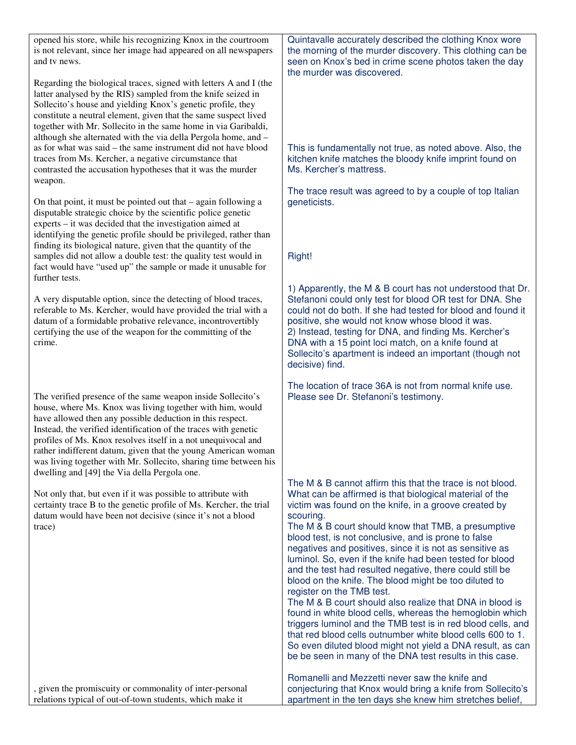| opened his store, while his recognizing Knox in the courtroom<br>is not relevant, since her image had appeared on all newspapers<br>and tv news.                                                                                                                                                                                                                                                                                                                                                                                                                                                 | Quintavalle accurately described the clothing Knox wore<br>the morning of the murder discovery. This clothing can be<br>seen on Knox's bed in crime scene photos taken the day<br>the murder was discovered.                                                                                                                                                                                                                                                                                                                                                                                                                                                                                                                                                                                                                                                                                                                                                                                                          |
|--------------------------------------------------------------------------------------------------------------------------------------------------------------------------------------------------------------------------------------------------------------------------------------------------------------------------------------------------------------------------------------------------------------------------------------------------------------------------------------------------------------------------------------------------------------------------------------------------|-----------------------------------------------------------------------------------------------------------------------------------------------------------------------------------------------------------------------------------------------------------------------------------------------------------------------------------------------------------------------------------------------------------------------------------------------------------------------------------------------------------------------------------------------------------------------------------------------------------------------------------------------------------------------------------------------------------------------------------------------------------------------------------------------------------------------------------------------------------------------------------------------------------------------------------------------------------------------------------------------------------------------|
| Regarding the biological traces, signed with letters A and I (the<br>latter analysed by the RIS) sampled from the knife seized in<br>Sollecito's house and yielding Knox's genetic profile, they<br>constitute a neutral element, given that the same suspect lived<br>together with Mr. Sollecito in the same home in via Garibaldi,<br>although she alternated with the via della Pergola home, and -<br>as for what was said – the same instrument did not have blood<br>traces from Ms. Kercher, a negative circumstance that<br>contrasted the accusation hypotheses that it was the murder | This is fundamentally not true, as noted above. Also, the<br>kitchen knife matches the bloody knife imprint found on<br>Ms. Kercher's mattress.                                                                                                                                                                                                                                                                                                                                                                                                                                                                                                                                                                                                                                                                                                                                                                                                                                                                       |
| weapon.                                                                                                                                                                                                                                                                                                                                                                                                                                                                                                                                                                                          |                                                                                                                                                                                                                                                                                                                                                                                                                                                                                                                                                                                                                                                                                                                                                                                                                                                                                                                                                                                                                       |
| On that point, it must be pointed out that $-$ again following a<br>disputable strategic choice by the scientific police genetic<br>experts – it was decided that the investigation aimed at<br>identifying the genetic profile should be privileged, rather than<br>finding its biological nature, given that the quantity of the                                                                                                                                                                                                                                                               | The trace result was agreed to by a couple of top Italian<br>geneticists.                                                                                                                                                                                                                                                                                                                                                                                                                                                                                                                                                                                                                                                                                                                                                                                                                                                                                                                                             |
| samples did not allow a double test: the quality test would in<br>fact would have "used up" the sample or made it unusable for                                                                                                                                                                                                                                                                                                                                                                                                                                                                   | Right!                                                                                                                                                                                                                                                                                                                                                                                                                                                                                                                                                                                                                                                                                                                                                                                                                                                                                                                                                                                                                |
| further tests.<br>A very disputable option, since the detecting of blood traces,<br>referable to Ms. Kercher, would have provided the trial with a<br>datum of a formidable probative relevance, incontrovertibly<br>certifying the use of the weapon for the committing of the<br>crime.                                                                                                                                                                                                                                                                                                        | 1) Apparently, the M & B court has not understood that Dr.<br>Stefanoni could only test for blood OR test for DNA. She<br>could not do both. If she had tested for blood and found it<br>positive, she would not know whose blood it was.<br>2) Instead, testing for DNA, and finding Ms. Kercher's<br>DNA with a 15 point loci match, on a knife found at<br>Sollecito's apartment is indeed an important (though not<br>decisive) find.                                                                                                                                                                                                                                                                                                                                                                                                                                                                                                                                                                             |
| The verified presence of the same weapon inside Sollecito's<br>house, where Ms. Knox was living together with him, would<br>have allowed then any possible deduction in this respect.<br>Instead, the verified identification of the traces with genetic<br>profiles of Ms. Knox resolves itself in a not unequivocal and<br>rather indifferent datum, given that the young American woman<br>was living together with Mr. Sollecito, sharing time between his<br>dwelling and [49] the Via della Pergola one.                                                                                   | The location of trace 36A is not from normal knife use.<br>Please see Dr. Stefanoni's testimony.                                                                                                                                                                                                                                                                                                                                                                                                                                                                                                                                                                                                                                                                                                                                                                                                                                                                                                                      |
| Not only that, but even if it was possible to attribute with<br>certainty trace B to the genetic profile of Ms. Kercher, the trial<br>datum would have been not decisive (since it's not a blood<br>trace)                                                                                                                                                                                                                                                                                                                                                                                       | The M & B cannot affirm this that the trace is not blood.<br>What can be affirmed is that biological material of the<br>victim was found on the knife, in a groove created by<br>scouring.<br>The M & B court should know that TMB, a presumptive<br>blood test, is not conclusive, and is prone to false<br>negatives and positives, since it is not as sensitive as<br>luminol. So, even if the knife had been tested for blood<br>and the test had resulted negative, there could still be<br>blood on the knife. The blood might be too diluted to<br>register on the TMB test.<br>The M & B court should also realize that DNA in blood is<br>found in white blood cells, whereas the hemoglobin which<br>triggers luminol and the TMB test is in red blood cells, and<br>that red blood cells outnumber white blood cells 600 to 1.<br>So even diluted blood might not yield a DNA result, as can<br>be be seen in many of the DNA test results in this case.<br>Romanelli and Mezzetti never saw the knife and |
| , given the promiscuity or commonality of inter-personal<br>relations typical of out-of-town students, which make it                                                                                                                                                                                                                                                                                                                                                                                                                                                                             | conjecturing that Knox would bring a knife from Sollecito's<br>apartment in the ten days she knew him stretches belief,                                                                                                                                                                                                                                                                                                                                                                                                                                                                                                                                                                                                                                                                                                                                                                                                                                                                                               |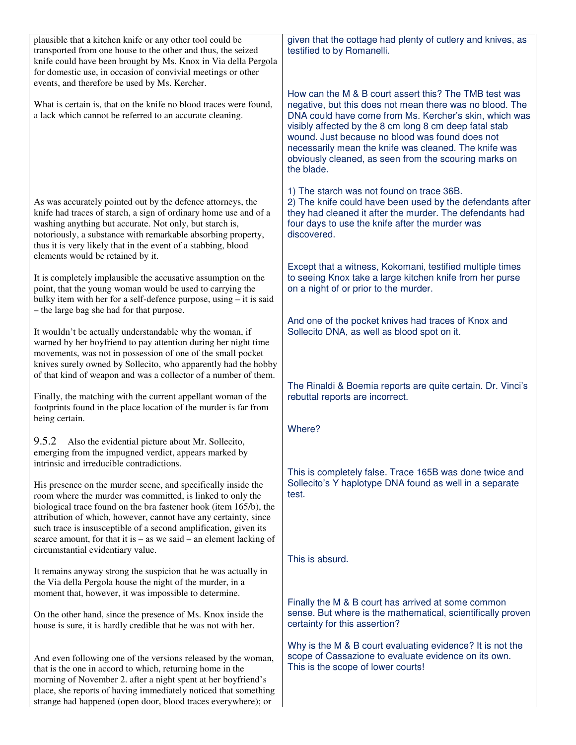| plausible that a kitchen knife or any other tool could be<br>transported from one house to the other and thus, the seized<br>knife could have been brought by Ms. Knox in Via della Pergola<br>for domestic use, in occasion of convivial meetings or other<br>events, and therefore be used by Ms. Kercher.                                                                                                      | given that the cottage had plenty of cutlery and knives, as<br>testified to by Romanelli.                                                                                                                                                                                                                                                                                                                                |
|-------------------------------------------------------------------------------------------------------------------------------------------------------------------------------------------------------------------------------------------------------------------------------------------------------------------------------------------------------------------------------------------------------------------|--------------------------------------------------------------------------------------------------------------------------------------------------------------------------------------------------------------------------------------------------------------------------------------------------------------------------------------------------------------------------------------------------------------------------|
| What is certain is, that on the knife no blood traces were found,<br>a lack which cannot be referred to an accurate cleaning.                                                                                                                                                                                                                                                                                     | How can the M & B court assert this? The TMB test was<br>negative, but this does not mean there was no blood. The<br>DNA could have come from Ms. Kercher's skin, which was<br>visibly affected by the 8 cm long 8 cm deep fatal stab<br>wound. Just because no blood was found does not<br>necessarily mean the knife was cleaned. The knife was<br>obviously cleaned, as seen from the scouring marks on<br>the blade. |
| As was accurately pointed out by the defence attorneys, the<br>knife had traces of starch, a sign of ordinary home use and of a<br>washing anything but accurate. Not only, but starch is,<br>notoriously, a substance with remarkable absorbing property,<br>thus it is very likely that in the event of a stabbing, blood<br>elements would be retained by it.                                                  | 1) The starch was not found on trace 36B.<br>2) The knife could have been used by the defendants after<br>they had cleaned it after the murder. The defendants had<br>four days to use the knife after the murder was<br>discovered.                                                                                                                                                                                     |
| It is completely implausible the accusative assumption on the<br>point, that the young woman would be used to carrying the<br>bulky item with her for a self-defence purpose, using – it is said<br>- the large bag she had for that purpose.                                                                                                                                                                     | Except that a witness, Kokomani, testified multiple times<br>to seeing Knox take a large kitchen knife from her purse<br>on a night of or prior to the murder.                                                                                                                                                                                                                                                           |
| It wouldn't be actually understandable why the woman, if<br>warned by her boyfriend to pay attention during her night time<br>movements, was not in possession of one of the small pocket<br>knives surely owned by Sollecito, who apparently had the hobby<br>of that kind of weapon and was a collector of a number of them.                                                                                    | And one of the pocket knives had traces of Knox and<br>Sollecito DNA, as well as blood spot on it.                                                                                                                                                                                                                                                                                                                       |
| Finally, the matching with the current appellant woman of the<br>footprints found in the place location of the murder is far from<br>being certain.                                                                                                                                                                                                                                                               | The Rinaldi & Boemia reports are quite certain. Dr. Vinci's<br>rebuttal reports are incorrect.<br>Where?                                                                                                                                                                                                                                                                                                                 |
| 9.5.2<br>Also the evidential picture about Mr. Sollecito,<br>emerging from the impugned verdict, appears marked by<br>intrinsic and irreducible contradictions.                                                                                                                                                                                                                                                   |                                                                                                                                                                                                                                                                                                                                                                                                                          |
| His presence on the murder scene, and specifically inside the<br>room where the murder was committed, is linked to only the<br>biological trace found on the bra fastener hook (item 165/b), the<br>attribution of which, however, cannot have any certainty, since<br>such trace is insusceptible of a second amplification, given its<br>scarce amount, for that it is $-$ as we said $-$ an element lacking of | This is completely false. Trace 165B was done twice and<br>Sollecito's Y haplotype DNA found as well in a separate<br>test.                                                                                                                                                                                                                                                                                              |
| circumstantial evidentiary value.<br>It remains anyway strong the suspicion that he was actually in                                                                                                                                                                                                                                                                                                               | This is absurd.                                                                                                                                                                                                                                                                                                                                                                                                          |
| the Via della Pergola house the night of the murder, in a<br>moment that, however, it was impossible to determine.                                                                                                                                                                                                                                                                                                |                                                                                                                                                                                                                                                                                                                                                                                                                          |
| On the other hand, since the presence of Ms. Knox inside the<br>house is sure, it is hardly credible that he was not with her.                                                                                                                                                                                                                                                                                    | Finally the M & B court has arrived at some common<br>sense. But where is the mathematical, scientifically proven<br>certainty for this assertion?                                                                                                                                                                                                                                                                       |
| And even following one of the versions released by the woman,<br>that is the one in accord to which, returning home in the<br>morning of November 2. after a night spent at her boyfriend's<br>place, she reports of having immediately noticed that something<br>strange had happened (open door, blood traces everywhere); or                                                                                   | Why is the M & B court evaluating evidence? It is not the<br>scope of Cassazione to evaluate evidence on its own.<br>This is the scope of lower courts!                                                                                                                                                                                                                                                                  |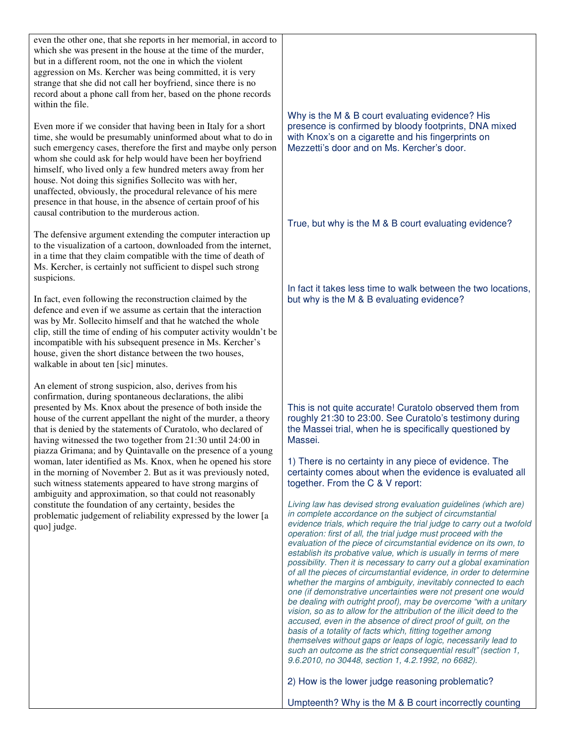| even the other one, that she reports in her memorial, in accord to<br>which she was present in the house at the time of the murder,<br>but in a different room, not the one in which the violent<br>aggression on Ms. Kercher was being committed, it is very<br>strange that she did not call her boyfriend, since there is no<br>record about a phone call from her, based on the phone records<br>within the file.                                                                                                    |                                                                                                                                                                                                                                                                                                                                                                                                                                                                                                                                                                                                                                                                                                                                                                                                                                                                                                                                                                                                                                                                                                                                                                         |
|--------------------------------------------------------------------------------------------------------------------------------------------------------------------------------------------------------------------------------------------------------------------------------------------------------------------------------------------------------------------------------------------------------------------------------------------------------------------------------------------------------------------------|-------------------------------------------------------------------------------------------------------------------------------------------------------------------------------------------------------------------------------------------------------------------------------------------------------------------------------------------------------------------------------------------------------------------------------------------------------------------------------------------------------------------------------------------------------------------------------------------------------------------------------------------------------------------------------------------------------------------------------------------------------------------------------------------------------------------------------------------------------------------------------------------------------------------------------------------------------------------------------------------------------------------------------------------------------------------------------------------------------------------------------------------------------------------------|
| Even more if we consider that having been in Italy for a short<br>time, she would be presumably uninformed about what to do in<br>such emergency cases, therefore the first and maybe only person<br>whom she could ask for help would have been her boyfriend<br>himself, who lived only a few hundred meters away from her<br>house. Not doing this signifies Sollecito was with her,<br>unaffected, obviously, the procedural relevance of his mere<br>presence in that house, in the absence of certain proof of his | Why is the M & B court evaluating evidence? His<br>presence is confirmed by bloody footprints, DNA mixed<br>with Knox's on a cigarette and his fingerprints on<br>Mezzetti's door and on Ms. Kercher's door.                                                                                                                                                                                                                                                                                                                                                                                                                                                                                                                                                                                                                                                                                                                                                                                                                                                                                                                                                            |
| causal contribution to the murderous action.                                                                                                                                                                                                                                                                                                                                                                                                                                                                             | True, but why is the M & B court evaluating evidence?                                                                                                                                                                                                                                                                                                                                                                                                                                                                                                                                                                                                                                                                                                                                                                                                                                                                                                                                                                                                                                                                                                                   |
| The defensive argument extending the computer interaction up<br>to the visualization of a cartoon, downloaded from the internet,<br>in a time that they claim compatible with the time of death of<br>Ms. Kercher, is certainly not sufficient to dispel such strong<br>suspicions.                                                                                                                                                                                                                                      |                                                                                                                                                                                                                                                                                                                                                                                                                                                                                                                                                                                                                                                                                                                                                                                                                                                                                                                                                                                                                                                                                                                                                                         |
| In fact, even following the reconstruction claimed by the<br>defence and even if we assume as certain that the interaction<br>was by Mr. Sollecito himself and that he watched the whole<br>clip, still the time of ending of his computer activity wouldn't be<br>incompatible with his subsequent presence in Ms. Kercher's<br>house, given the short distance between the two houses,<br>walkable in about ten [sic] minutes.                                                                                         | In fact it takes less time to walk between the two locations,<br>but why is the M & B evaluating evidence?                                                                                                                                                                                                                                                                                                                                                                                                                                                                                                                                                                                                                                                                                                                                                                                                                                                                                                                                                                                                                                                              |
| An element of strong suspicion, also, derives from his<br>confirmation, during spontaneous declarations, the alibi<br>presented by Ms. Knox about the presence of both inside the<br>house of the current appellant the night of the murder, a theory<br>that is denied by the statements of Curatolo, who declared of<br>having witnessed the two together from 21:30 until 24:00 in<br>piazza Grimana; and by Quintavalle on the presence of a young                                                                   | This is not quite accurate! Curatolo observed them from<br>roughly 21:30 to 23:00. See Curatolo's testimony during<br>the Massei trial, when he is specifically questioned by<br>Massei.                                                                                                                                                                                                                                                                                                                                                                                                                                                                                                                                                                                                                                                                                                                                                                                                                                                                                                                                                                                |
| woman, later identified as Ms. Knox, when he opened his store<br>in the morning of November 2. But as it was previously noted,<br>such witness statements appeared to have strong margins of<br>ambiguity and approximation, so that could not reasonably                                                                                                                                                                                                                                                                | 1) There is no certainty in any piece of evidence. The<br>certainty comes about when the evidence is evaluated all<br>together. From the C & V report:                                                                                                                                                                                                                                                                                                                                                                                                                                                                                                                                                                                                                                                                                                                                                                                                                                                                                                                                                                                                                  |
| constitute the foundation of any certainty, besides the<br>problematic judgement of reliability expressed by the lower [a<br>quo] judge.                                                                                                                                                                                                                                                                                                                                                                                 | Living law has devised strong evaluation guidelines (which are)<br>in complete accordance on the subject of circumstantial<br>evidence trials, which require the trial judge to carry out a twofold<br>operation: first of all, the trial judge must proceed with the<br>evaluation of the piece of circumstantial evidence on its own, to<br>establish its probative value, which is usually in terms of mere<br>possibility. Then it is necessary to carry out a global examination<br>of all the pieces of circumstantial evidence, in order to determine<br>whether the margins of ambiguity, inevitably connected to each<br>one (if demonstrative uncertainties were not present one would<br>be dealing with outright proof), may be overcome "with a unitary<br>vision, so as to allow for the attribution of the illicit deed to the<br>accused, even in the absence of direct proof of guilt, on the<br>basis of a totality of facts which, fitting together among<br>themselves without gaps or leaps of logic, necessarily lead to<br>such an outcome as the strict consequential result" (section 1,<br>9.6.2010, no 30448, section 1, 4.2.1992, no 6682). |
|                                                                                                                                                                                                                                                                                                                                                                                                                                                                                                                          | 2) How is the lower judge reasoning problematic?                                                                                                                                                                                                                                                                                                                                                                                                                                                                                                                                                                                                                                                                                                                                                                                                                                                                                                                                                                                                                                                                                                                        |
|                                                                                                                                                                                                                                                                                                                                                                                                                                                                                                                          | Umpteenth? Why is the M & B court incorrectly counting                                                                                                                                                                                                                                                                                                                                                                                                                                                                                                                                                                                                                                                                                                                                                                                                                                                                                                                                                                                                                                                                                                                  |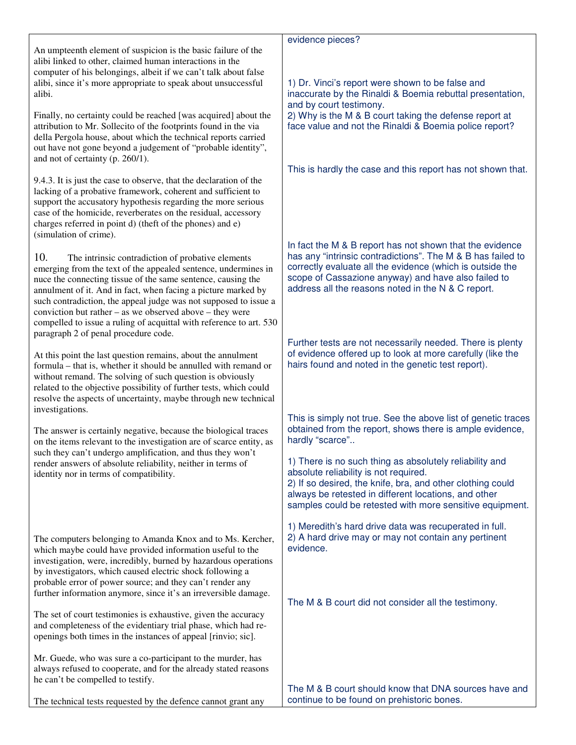|                                                                                                                                   | evidence pieces?                                                                                                        |
|-----------------------------------------------------------------------------------------------------------------------------------|-------------------------------------------------------------------------------------------------------------------------|
| An umpteenth element of suspicion is the basic failure of the<br>alibi linked to other, claimed human interactions in the         |                                                                                                                         |
| computer of his belongings, albeit if we can't talk about false                                                                   |                                                                                                                         |
| alibi, since it's more appropriate to speak about unsuccessful                                                                    | 1) Dr. Vinci's report were shown to be false and                                                                        |
| alibi.                                                                                                                            | inaccurate by the Rinaldi & Boemia rebuttal presentation,<br>and by court testimony.                                    |
| Finally, no certainty could be reached [was acquired] about the                                                                   | 2) Why is the M & B court taking the defense report at                                                                  |
| attribution to Mr. Sollecito of the footprints found in the via                                                                   | face value and not the Rinaldi & Boemia police report?                                                                  |
| della Pergola house, about which the technical reports carried<br>out have not gone beyond a judgement of "probable identity",    |                                                                                                                         |
| and not of certainty (p. 260/1).                                                                                                  |                                                                                                                         |
| 9.4.3. It is just the case to observe, that the declaration of the                                                                | This is hardly the case and this report has not shown that.                                                             |
| lacking of a probative framework, coherent and sufficient to                                                                      |                                                                                                                         |
| support the accusatory hypothesis regarding the more serious                                                                      |                                                                                                                         |
| case of the homicide, reverberates on the residual, accessory<br>charges referred in point d) (theft of the phones) and e)        |                                                                                                                         |
| (simulation of crime).                                                                                                            |                                                                                                                         |
|                                                                                                                                   | In fact the M & B report has not shown that the evidence<br>has any "intrinsic contradictions". The M & B has failed to |
| 10.<br>The intrinsic contradiction of probative elements<br>emerging from the text of the appealed sentence, undermines in        | correctly evaluate all the evidence (which is outside the                                                               |
| nuce the connecting tissue of the same sentence, causing the                                                                      | scope of Cassazione anyway) and have also failed to                                                                     |
| annulment of it. And in fact, when facing a picture marked by<br>such contradiction, the appeal judge was not supposed to issue a | address all the reasons noted in the N & C report.                                                                      |
| conviction but rather – as we observed above – they were                                                                          |                                                                                                                         |
| compelled to issue a ruling of acquittal with reference to art. 530                                                               |                                                                                                                         |
| paragraph 2 of penal procedure code.                                                                                              | Further tests are not necessarily needed. There is plenty                                                               |
| At this point the last question remains, about the annulment                                                                      | of evidence offered up to look at more carefully (like the                                                              |
| formula - that is, whether it should be annulled with remand or<br>without remand. The solving of such question is obviously      | hairs found and noted in the genetic test report).                                                                      |
| related to the objective possibility of further tests, which could                                                                |                                                                                                                         |
| resolve the aspects of uncertainty, maybe through new technical                                                                   |                                                                                                                         |
| investigations.                                                                                                                   | This is simply not true. See the above list of genetic traces                                                           |
| The answer is certainly negative, because the biological traces                                                                   | obtained from the report, shows there is ample evidence,                                                                |
| on the items relevant to the investigation are of scarce entity, as<br>such they can't undergo amplification, and thus they won't | hardly "scarce"                                                                                                         |
| render answers of absolute reliability, neither in terms of                                                                       | 1) There is no such thing as absolutely reliability and                                                                 |
| identity nor in terms of compatibility.                                                                                           | absolute reliability is not required.<br>2) If so desired, the knife, bra, and other clothing could                     |
|                                                                                                                                   | always be retested in different locations, and other                                                                    |
|                                                                                                                                   | samples could be retested with more sensitive equipment.                                                                |
|                                                                                                                                   | 1) Meredith's hard drive data was recuperated in full.                                                                  |
| The computers belonging to Amanda Knox and to Ms. Kercher,                                                                        | 2) A hard drive may or may not contain any pertinent<br>evidence.                                                       |
| which maybe could have provided information useful to the<br>investigation, were, incredibly, burned by hazardous operations      |                                                                                                                         |
| by investigators, which caused electric shock following a                                                                         |                                                                                                                         |
| probable error of power source; and they can't render any<br>further information anymore, since it's an irreversible damage.      |                                                                                                                         |
|                                                                                                                                   | The M & B court did not consider all the testimony.                                                                     |
| The set of court testimonies is exhaustive, given the accuracy                                                                    |                                                                                                                         |
| and completeness of the evidentiary trial phase, which had re-<br>openings both times in the instances of appeal [rinvio; sic].   |                                                                                                                         |
|                                                                                                                                   |                                                                                                                         |
| Mr. Guede, who was sure a co-participant to the murder, has<br>always refused to cooperate, and for the already stated reasons    |                                                                                                                         |
| he can't be compelled to testify.                                                                                                 |                                                                                                                         |
| The technical tests requested by the defence cannot grant any                                                                     | The M & B court should know that DNA sources have and<br>continue to be found on prehistoric bones.                     |
|                                                                                                                                   |                                                                                                                         |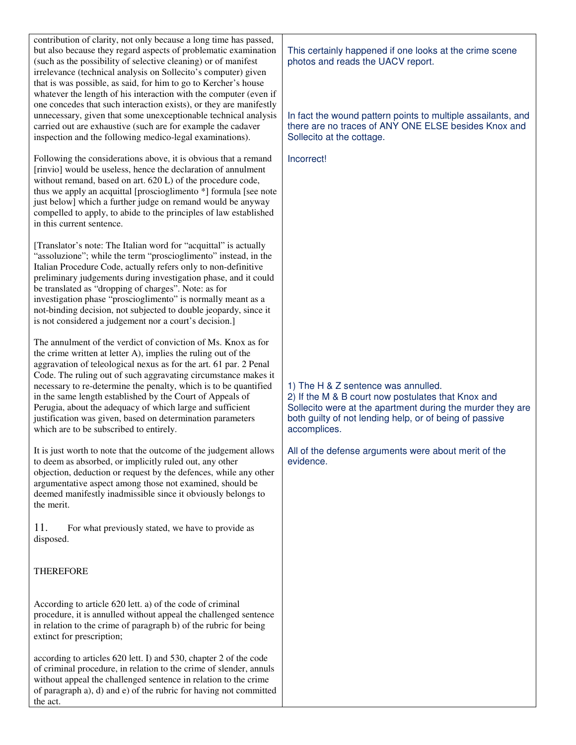contribution of clarity, not only because a long time has passed, but also because they regard aspects of problematic examination (such as the possibility of selective cleaning) or of manifest irrelevance (technical analysis on Sollecito's computer) given that is was possible, as said, for him to go to Kercher's house whatever the length of his interaction with the computer (even if one concedes that such interaction exists), or they are manifestly unnecessary, given that some unexceptionable technical analysis carried out are exhaustive (such are for example the cadaver inspection and the following medico-legal examinations).

Following the considerations above, it is obvious that a remand [rinvio] would be useless, hence the declaration of annulment without remand, based on art. 620 L) of the procedure code, thus we apply an acquittal [proscioglimento \*] formula [see note just below] which a further judge on remand would be anyway compelled to apply, to abide to the principles of law established in this current sentence.

[Translator's note: The Italian word for "acquittal" is actually "assoluzione"; while the term "proscioglimento" instead, in the Italian Procedure Code, actually refers only to non-definitive preliminary judgements during investigation phase, and it could be translated as "dropping of charges". Note: as for investigation phase "proscioglimento" is normally meant as a not-binding decision, not subjected to double jeopardy, since it is not considered a judgement nor a court's decision.]

The annulment of the verdict of conviction of Ms. Knox as for the crime written at letter A), implies the ruling out of the aggravation of teleological nexus as for the art. 61 par. 2 Penal Code. The ruling out of such aggravating circumstance makes it necessary to re-determine the penalty, which is to be quantified in the same length established by the Court of Appeals of Perugia, about the adequacy of which large and sufficient justification was given, based on determination parameters which are to be subscribed to entirely.

It is just worth to note that the outcome of the judgement allows to deem as absorbed, or implicitly ruled out, any other objection, deduction or request by the defences, while any other argumentative aspect among those not examined, should be deemed manifestly inadmissible since it obviously belongs to the merit.

11. For what previously stated, we have to provide as disposed.

## **THEREFORE**

According to article 620 lett. a) of the code of criminal procedure, it is annulled without appeal the challenged sentence in relation to the crime of paragraph b) of the rubric for being extinct for prescription;

according to articles 620 lett. I) and 530, chapter 2 of the code of criminal procedure, in relation to the crime of slender, annuls without appeal the challenged sentence in relation to the crime of paragraph a), d) and e) of the rubric for having not committed the act.

This certainly happened if one looks at the crime scene photos and reads the UACV report.

In fact the wound pattern points to multiple assailants, and there are no traces of ANY ONE ELSE besides Knox and Sollecito at the cottage.

Incorrect!

1) The H & Z sentence was annulled.

2) If the M & B court now postulates that Knox and Sollecito were at the apartment during the murder they are both guilty of not lending help, or of being of passive accomplices.

All of the defense arguments were about merit of the evidence.